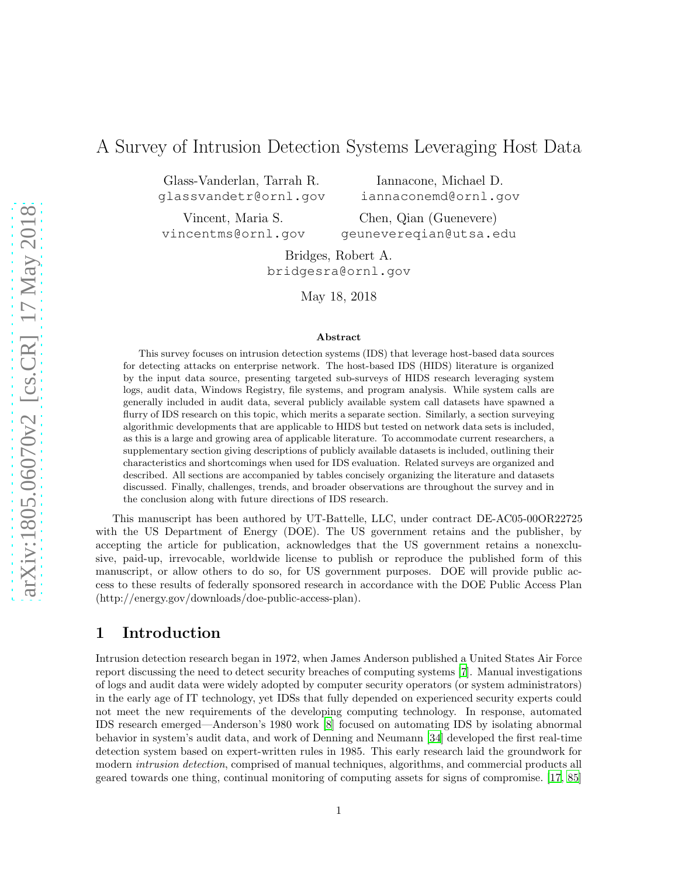# A Survey of Intrusion Detection Systems Leveraging Host Data

Glass-Vanderlan, Tarrah R. glassvandetr@ornl.gov

Iannacone, Michael D. iannaconemd@ornl.gov

Vincent, Maria S. vincentms@ornl.gov

Chen, Qian (Guenevere) geunevereqian@utsa.edu

Bridges, Robert A. bridgesra@ornl.gov

May 18, 2018

#### Abstract

This survey focuses on intrusion detection systems (IDS) that leverage host-based data sources for detecting attacks on enterprise network. The host-based IDS (HIDS) literature is organized by the input data source, presenting targeted sub-surveys of HIDS research leveraging system logs, audit data, Windows Registry, file systems, and program analysis. While system calls are generally included in audit data, several publicly available system call datasets have spawned a flurry of IDS research on this topic, which merits a separate section. Similarly, a section surveying algorithmic developments that are applicable to HIDS but tested on network data sets is included, as this is a large and growing area of applicable literature. To accommodate current researchers, a supplementary section giving descriptions of publicly available datasets is included, outlining their characteristics and shortcomings when used for IDS evaluation. Related surveys are organized and described. All sections are accompanied by tables concisely organizing the literature and datasets discussed. Finally, challenges, trends, and broader observations are throughout the survey and in the conclusion along with future directions of IDS research.

This manuscript has been authored by UT-Battelle, LLC, under contract DE-AC05-00OR22725 with the US Department of Energy (DOE). The US government retains and the publisher, by accepting the article for publication, acknowledges that the US government retains a nonexclusive, paid-up, irrevocable, worldwide license to publish or reproduce the published form of this manuscript, or allow others to do so, for US government purposes. DOE will provide public access to these results of federally sponsored research in accordance with the DOE Public Access Plan (http://energy.gov/downloads/doe-public-access-plan).

# 1 Introduction

Intrusion detection research began in 1972, when James Anderson published a United States Air Force report discussing the need to detect security breaches of computing systems [\[7\]](#page-25-0). Manual investigations of logs and audit data were widely adopted by computer security operators (or system administrators) in the early age of IT technology, yet IDSs that fully depended on experienced security experts could not meet the new requirements of the developing computing technology. In response, automated IDS research emerged—Anderson's 1980 work [\[8\]](#page-26-0) focused on automating IDS by isolating abnormal behavior in system's audit data, and work of Denning and Neumann [\[34](#page-27-0)] developed the first real-time detection system based on expert-written rules in 1985. This early research laid the groundwork for modern *intrusion detection*, comprised of manual techniques, algorithms, and commercial products all geared towards one thing, continual monitoring of computing assets for signs of compromise. [\[17,](#page-26-1) [85\]](#page-30-0)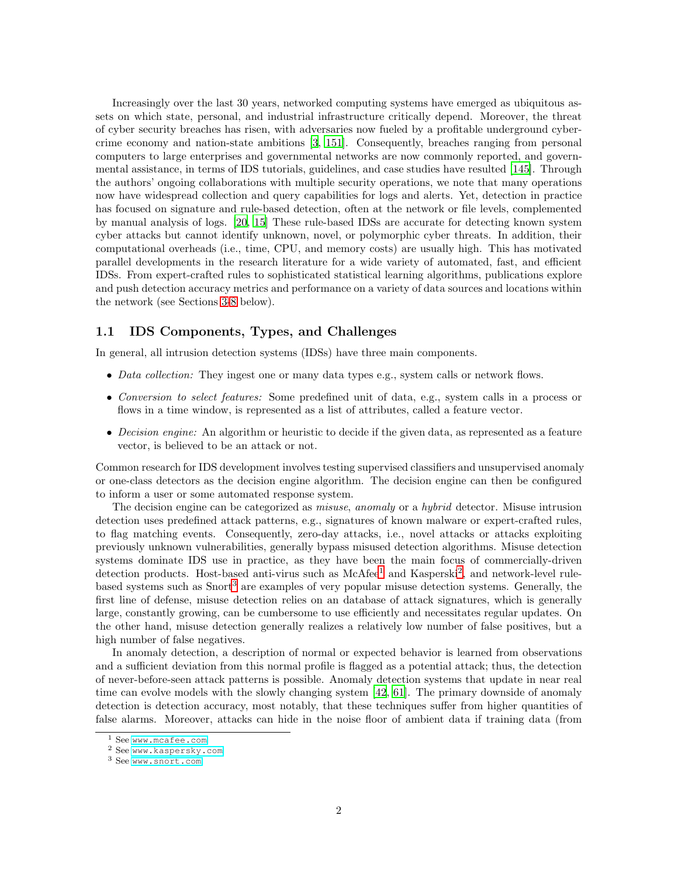Increasingly over the last 30 years, networked computing systems have emerged as ubiquitous assets on which state, personal, and industrial infrastructure critically depend. Moreover, the threat of cyber security breaches has risen, with adversaries now fueled by a profitable underground cybercrime economy and nation-state ambitions [\[3](#page-25-1), [151](#page-34-0)]. Consequently, breaches ranging from personal computers to large enterprises and governmental networks are now commonly reported, and governmental assistance, in terms of IDS tutorials, guidelines, and case studies have resulted [\[145](#page-33-0)]. Through the authors' ongoing collaborations with multiple security operations, we note that many operations now have widespread collection and query capabilities for logs and alerts. Yet, detection in practice has focused on signature and rule-based detection, often at the network or file levels, complemented by manual analysis of logs. [\[20](#page-26-2), [15\]](#page-26-3) These rule-based IDSs are accurate for detecting known system cyber attacks but cannot identify unknown, novel, or polymorphic cyber threats. In addition, their computational overheads (i.e., time, CPU, and memory costs) are usually high. This has motivated parallel developments in the research literature for a wide variety of automated, fast, and efficient IDSs. From expert-crafted rules to sophisticated statistical learning algorithms, publications explore and push detection accuracy metrics and performance on a variety of data sources and locations within the network (see Sections [3-](#page-5-0)[8](#page-19-0) below).

#### 1.1 IDS Components, Types, and Challenges

In general, all intrusion detection systems (IDSs) have three main components.

- Data collection: They ingest one or many data types e.g., system calls or network flows.
- Conversion to select features: Some predefined unit of data, e.g., system calls in a process or flows in a time window, is represented as a list of attributes, called a feature vector.
- Decision engine: An algorithm or heuristic to decide if the given data, as represented as a feature vector, is believed to be an attack or not.

Common research for IDS development involves testing supervised classifiers and unsupervised anomaly or one-class detectors as the decision engine algorithm. The decision engine can then be configured to inform a user or some automated response system.

The decision engine can be categorized as *misuse*, *anomaly* or a *hybrid* detector. Misuse intrusion detection uses predefined attack patterns, e.g., signatures of known malware or expert-crafted rules, to flag matching events. Consequently, zero-day attacks, i.e., novel attacks or attacks exploiting previously unknown vulnerabilities, generally bypass misused detection algorithms. Misuse detection systems dominate IDS use in practice, as they have been the main focus of commercially-driven detection products. Host-based anti-virus such as McAfee<sup>[1](#page-1-0)</sup> and Kasperski<sup>[2](#page-1-1)</sup>, and network-level rulebased systems such as Snort[3](#page-1-2) are examples of very popular misuse detection systems. Generally, the first line of defense, misuse detection relies on an database of attack signatures, which is generally large, constantly growing, can be cumbersome to use efficiently and necessitates regular updates. On the other hand, misuse detection generally realizes a relatively low number of false positives, but a high number of false negatives.

In anomaly detection, a description of normal or expected behavior is learned from observations and a sufficient deviation from this normal profile is flagged as a potential attack; thus, the detection of never-before-seen attack patterns is possible. Anomaly detection systems that update in near real time can evolve models with the slowly changing system [\[42](#page-27-1), [61](#page-29-0)]. The primary downside of anomaly detection is detection accuracy, most notably, that these techniques suffer from higher quantities of false alarms. Moreover, attacks can hide in the noise floor of ambient data if training data (from

<sup>1</sup> See <www.mcafee.com>.

<span id="page-1-0"></span><sup>2</sup> See <www.kaspersky.com>.

<span id="page-1-2"></span><span id="page-1-1"></span><sup>3</sup> See <www.snort.com>.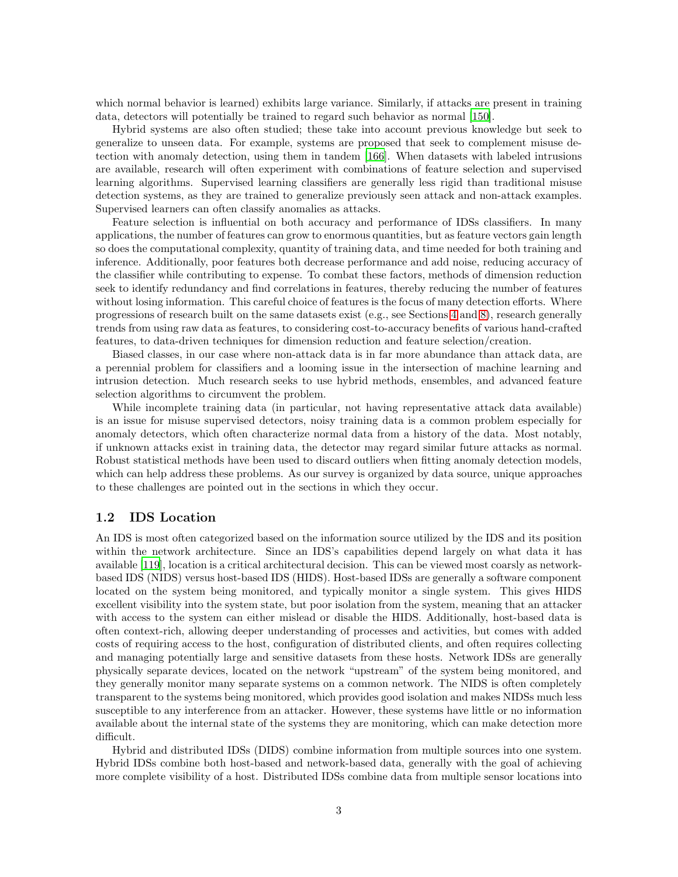which normal behavior is learned) exhibits large variance. Similarly, if attacks are present in training data, detectors will potentially be trained to regard such behavior as normal [\[150\]](#page-34-1).

Hybrid systems are also often studied; these take into account previous knowledge but seek to generalize to unseen data. For example, systems are proposed that seek to complement misuse detection with anomaly detection, using them in tandem [\[166](#page-35-0)]. When datasets with labeled intrusions are available, research will often experiment with combinations of feature selection and supervised learning algorithms. Supervised learning classifiers are generally less rigid than traditional misuse detection systems, as they are trained to generalize previously seen attack and non-attack examples. Supervised learners can often classify anomalies as attacks.

Feature selection is influential on both accuracy and performance of IDSs classifiers. In many applications, the number of features can grow to enormous quantities, but as feature vectors gain length so does the computational complexity, quantity of training data, and time needed for both training and inference. Additionally, poor features both decrease performance and add noise, reducing accuracy of the classifier while contributing to expense. To combat these factors, methods of dimension reduction seek to identify redundancy and find correlations in features, thereby reducing the number of features without losing information. This careful choice of features is the focus of many detection efforts. Where progressions of research built on the same datasets exist (e.g., see Sections [4](#page-9-0) and [8\)](#page-19-0), research generally trends from using raw data as features, to considering cost-to-accuracy benefits of various hand-crafted features, to data-driven techniques for dimension reduction and feature selection/creation.

Biased classes, in our case where non-attack data is in far more abundance than attack data, are a perennial problem for classifiers and a looming issue in the intersection of machine learning and intrusion detection. Much research seeks to use hybrid methods, ensembles, and advanced feature selection algorithms to circumvent the problem.

While incomplete training data (in particular, not having representative attack data available) is an issue for misuse supervised detectors, noisy training data is a common problem especially for anomaly detectors, which often characterize normal data from a history of the data. Most notably, if unknown attacks exist in training data, the detector may regard similar future attacks as normal. Robust statistical methods have been used to discard outliers when fitting anomaly detection models, which can help address these problems. As our survey is organized by data source, unique approaches to these challenges are pointed out in the sections in which they occur.

#### 1.2 IDS Location

An IDS is most often categorized based on the information source utilized by the IDS and its position within the network architecture. Since an IDS's capabilities depend largely on what data it has available [\[119](#page-32-0)], location is a critical architectural decision. This can be viewed most coarsly as networkbased IDS (NIDS) versus host-based IDS (HIDS). Host-based IDSs are generally a software component located on the system being monitored, and typically monitor a single system. This gives HIDS excellent visibility into the system state, but poor isolation from the system, meaning that an attacker with access to the system can either mislead or disable the HIDS. Additionally, host-based data is often context-rich, allowing deeper understanding of processes and activities, but comes with added costs of requiring access to the host, configuration of distributed clients, and often requires collecting and managing potentially large and sensitive datasets from these hosts. Network IDSs are generally physically separate devices, located on the network "upstream" of the system being monitored, and they generally monitor many separate systems on a common network. The NIDS is often completely transparent to the systems being monitored, which provides good isolation and makes NIDSs much less susceptible to any interference from an attacker. However, these systems have little or no information available about the internal state of the systems they are monitoring, which can make detection more difficult.

Hybrid and distributed IDSs (DIDS) combine information from multiple sources into one system. Hybrid IDSs combine both host-based and network-based data, generally with the goal of achieving more complete visibility of a host. Distributed IDSs combine data from multiple sensor locations into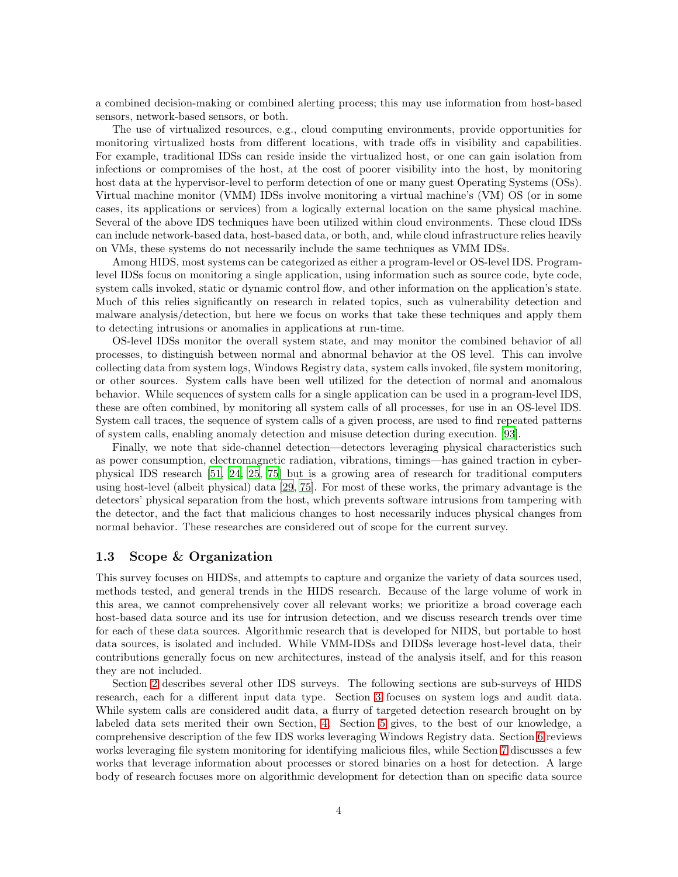a combined decision-making or combined alerting process; this may use information from host-based sensors, network-based sensors, or both.

The use of virtualized resources, e.g., cloud computing environments, provide opportunities for monitoring virtualized hosts from different locations, with trade offs in visibility and capabilities. For example, traditional IDSs can reside inside the virtualized host, or one can gain isolation from infections or compromises of the host, at the cost of poorer visibility into the host, by monitoring host data at the hypervisor-level to perform detection of one or many guest Operating Systems (OSs). Virtual machine monitor (VMM) IDSs involve monitoring a virtual machine's (VM) OS (or in some cases, its applications or services) from a logically external location on the same physical machine. Several of the above IDS techniques have been utilized within cloud environments. These cloud IDSs can include network-based data, host-based data, or both, and, while cloud infrastructure relies heavily on VMs, these systems do not necessarily include the same techniques as VMM IDSs.

Among HIDS, most systems can be categorized as either a program-level or OS-level IDS. Programlevel IDSs focus on monitoring a single application, using information such as source code, byte code, system calls invoked, static or dynamic control flow, and other information on the application's state. Much of this relies significantly on research in related topics, such as vulnerability detection and malware analysis/detection, but here we focus on works that take these techniques and apply them to detecting intrusions or anomalies in applications at run-time.

OS-level IDSs monitor the overall system state, and may monitor the combined behavior of all processes, to distinguish between normal and abnormal behavior at the OS level. This can involve collecting data from system logs, Windows Registry data, system calls invoked, file system monitoring, or other sources. System calls have been well utilized for the detection of normal and anomalous behavior. While sequences of system calls for a single application can be used in a program-level IDS, these are often combined, by monitoring all system calls of all processes, for use in an OS-level IDS. System call traces, the sequence of system calls of a given process, are used to find repeated patterns of system calls, enabling anomaly detection and misuse detection during execution. [\[93](#page-30-1)].

Finally, we note that side-channel detection—detectors leveraging physical characteristics such as power consumption, electromagnetic radiation, vibrations, timings—has gained traction in cyberphysical IDS research [\[51,](#page-28-0) [24](#page-26-4), [25,](#page-26-5) [75\]](#page-29-1) but is a growing area of research for traditional computers using host-level (albeit physical) data [\[29](#page-27-2), [75](#page-29-1)]. For most of these works, the primary advantage is the detectors' physical separation from the host, which prevents software intrusions from tampering with the detector, and the fact that malicious changes to host necessarily induces physical changes from normal behavior. These researches are considered out of scope for the current survey.

#### 1.3 Scope & Organization

This survey focuses on HIDSs, and attempts to capture and organize the variety of data sources used, methods tested, and general trends in the HIDS research. Because of the large volume of work in this area, we cannot comprehensively cover all relevant works; we prioritize a broad coverage each host-based data source and its use for intrusion detection, and we discuss research trends over time for each of these data sources. Algorithmic research that is developed for NIDS, but portable to host data sources, is isolated and included. While VMM-IDSs and DIDSs leverage host-level data, their contributions generally focus on new architectures, instead of the analysis itself, and for this reason they are not included.

Section [2](#page-4-0) describes several other IDS surveys. The following sections are sub-surveys of HIDS research, each for a different input data type. Section [3](#page-5-0) focuses on system logs and audit data. While system calls are considered audit data, a flurry of targeted detection research brought on by labeled data sets merited their own Section, [4.](#page-9-0) Section [5](#page-15-0) gives, to the best of our knowledge, a comprehensive description of the few IDS works leveraging Windows Registry data. Section [6](#page-16-0) reviews works leveraging file system monitoring for identifying malicious files, while Section [7](#page-18-0) discusses a few works that leverage information about processes or stored binaries on a host for detection. A large body of research focuses more on algorithmic development for detection than on specific data source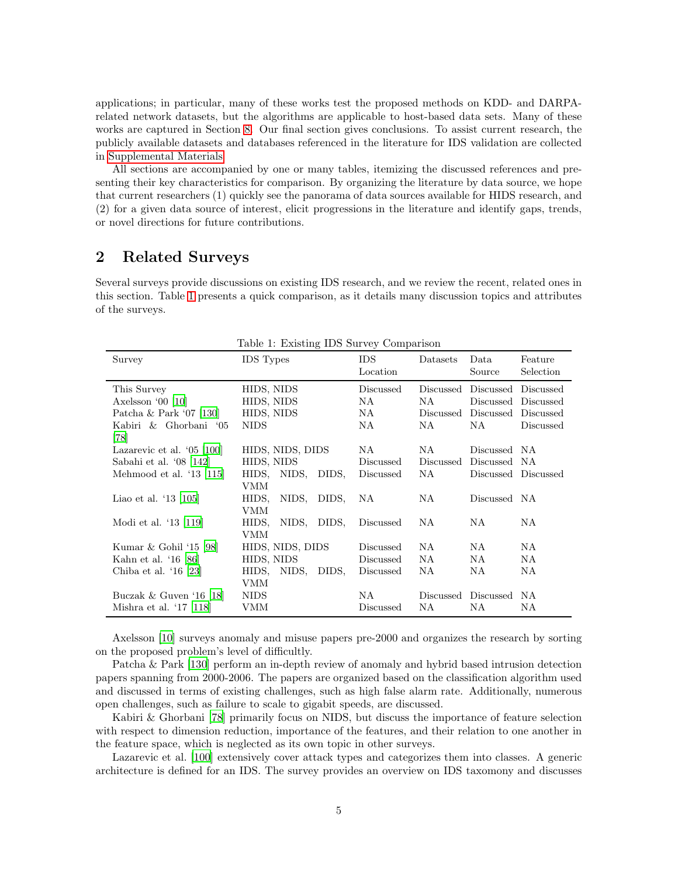applications; in particular, many of these works test the proposed methods on KDD- and DARPArelated network datasets, but the algorithms are applicable to host-based data sets. Many of these works are captured in Section [8.](#page-19-0) Our final section gives conclusions. To assist current research, the publicly available datasets and databases referenced in the literature for IDS validation are collected in [Supplemental Materials.](#page-36-0)

All sections are accompanied by one or many tables, itemizing the discussed references and presenting their key characteristics for comparison. By organizing the literature by data source, we hope that current researchers (1) quickly see the panorama of data sources available for HIDS research, and (2) for a given data source of interest, elicit progressions in the literature and identify gaps, trends, or novel directions for future contributions.

### <span id="page-4-0"></span>2 Related Surveys

Several surveys provide discussions on existing IDS research, and we review the recent, related ones in this section. Table [1](#page-4-1) presents a quick comparison, as it details many discussion topics and attributes of the surveys.

<span id="page-4-1"></span>

|                             | Table 1: Existing IDS Survey Comparison |            |           |                               |                     |
|-----------------------------|-----------------------------------------|------------|-----------|-------------------------------|---------------------|
| Survey                      | <b>IDS</b> Types                        | <b>IDS</b> | Datasets  | Data                          | Feature             |
|                             |                                         | Location   |           | Source                        | Selection           |
| This Survey                 | HIDS, NIDS                              | Discussed  |           | Discussed Discussed Discussed |                     |
| Axelsson '00 $[10]$         | HIDS, NIDS                              | NA         | NA        |                               | Discussed Discussed |
| Patcha & Park '07 [130]     | HIDS, NIDS                              | NA         |           | Discussed Discussed           | Discussed           |
| Kabiri & Ghorbani '05       | <b>NIDS</b>                             | NA         | NA        | NA                            | Discussed           |
| [78]                        |                                         |            |           |                               |                     |
| Lazarevic et al. $05$ [100] | HIDS, NIDS, DIDS                        | NA         | NA        | Discussed NA                  |                     |
| Sabahi et al. $08$ [142]    | HIDS, NIDS                              | Discussed  | Discussed | Discussed NA                  |                     |
| Mehmood et al. '13 [115]    | HIDS, NIDS, DIDS,                       | Discussed  | NA        |                               | Discussed Discussed |
|                             | <b>VMM</b>                              |            |           |                               |                     |
| Liao et al. $13$ [105]      | HIDS.<br>NIDS, DIDS,                    | NA         | NA        | Discussed NA                  |                     |
|                             | <b>VMM</b>                              |            |           |                               |                     |
| Modi et al. '13 [119]       | HIDS, NIDS, DIDS,                       | Discussed  | NА        | NА                            | NA                  |
|                             | VMM                                     |            |           |                               |                     |
| Kumar & Gohil '15 $[98]$    | HIDS, NIDS, DIDS                        | Discussed  | NA        | NA                            | NA                  |
| Kahn et al. '16 [86]        | HIDS, NIDS                              | Discussed  | NA.       | NA                            | NA                  |
| Chiba et al. $16$ [23]      | HIDS, NIDS, DIDS,                       | Discussed  | NA        | NА                            | NA.                 |
|                             | VMM                                     |            |           |                               |                     |
| Buczak & Guven '16 $[18]$   | <b>NIDS</b>                             | NA         |           | Discussed Discussed           | NA                  |
| Mishra et al. $17$ [118]    | VMM                                     | Discussed  | NA        | ΝA                            | NA                  |

Axelsson [\[10\]](#page-26-6) surveys anomaly and misuse papers pre-2000 and organizes the research by sorting on the proposed problem's level of difficultly.

Patcha & Park [\[130\]](#page-33-1) perform an in-depth review of anomaly and hybrid based intrusion detection papers spanning from 2000-2006. The papers are organized based on the classification algorithm used and discussed in terms of existing challenges, such as high false alarm rate. Additionally, numerous open challenges, such as failure to scale to gigabit speeds, are discussed.

Kabiri & Ghorbani [\[78](#page-30-2)] primarily focus on NIDS, but discuss the importance of feature selection with respect to dimension reduction, importance of the features, and their relation to one another in the feature space, which is neglected as its own topic in other surveys.

Lazarevic et al. [\[100](#page-31-0)] extensively cover attack types and categorizes them into classes. A generic architecture is defined for an IDS. The survey provides an overview on IDS taxomony and discusses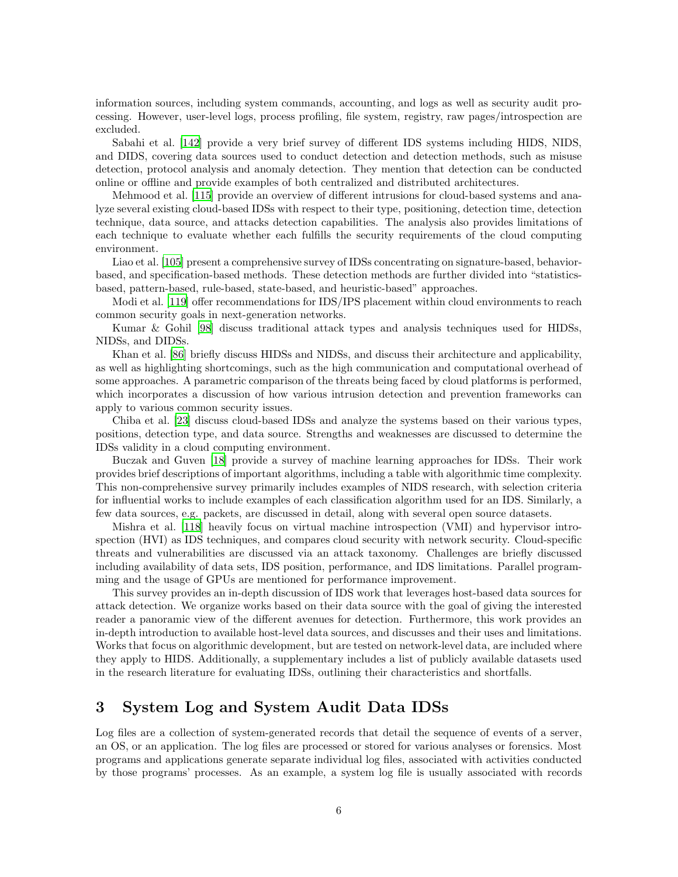information sources, including system commands, accounting, and logs as well as security audit processing. However, user-level logs, process profiling, file system, registry, raw pages/introspection are excluded.

Sabahi et al. [\[142\]](#page-33-2) provide a very brief survey of different IDS systems including HIDS, NIDS, and DIDS, covering data sources used to conduct detection and detection methods, such as misuse detection, protocol analysis and anomaly detection. They mention that detection can be conducted online or offline and provide examples of both centralized and distributed architectures.

Mehmood et al. [\[115\]](#page-32-1) provide an overview of different intrusions for cloud-based systems and analyze several existing cloud-based IDSs with respect to their type, positioning, detection time, detection technique, data source, and attacks detection capabilities. The analysis also provides limitations of each technique to evaluate whether each fulfills the security requirements of the cloud computing environment.

Liao et al. [\[105\]](#page-31-1) present a comprehensive survey of IDSs concentrating on signature-based, behaviorbased, and specification-based methods. These detection methods are further divided into "statisticsbased, pattern-based, rule-based, state-based, and heuristic-based" approaches.

Modi et al. [\[119](#page-32-0)] offer recommendations for IDS/IPS placement within cloud environments to reach common security goals in next-generation networks.

Kumar & Gohil [\[98\]](#page-31-2) discuss traditional attack types and analysis techniques used for HIDSs, NIDSs, and DIDSs.

Khan et al. [\[86\]](#page-30-3) briefly discuss HIDSs and NIDSs, and discuss their architecture and applicability, as well as highlighting shortcomings, such as the high communication and computational overhead of some approaches. A parametric comparison of the threats being faced by cloud platforms is performed, which incorporates a discussion of how various intrusion detection and prevention frameworks can apply to various common security issues.

Chiba et al. [\[23\]](#page-26-7) discuss cloud-based IDSs and analyze the systems based on their various types, positions, detection type, and data source. Strengths and weaknesses are discussed to determine the IDSs validity in a cloud computing environment.

Buczak and Guven [\[18\]](#page-26-8) provide a survey of machine learning approaches for IDSs. Their work provides brief descriptions of important algorithms, including a table with algorithmic time complexity. This non-comprehensive survey primarily includes examples of NIDS research, with selection criteria for influential works to include examples of each classification algorithm used for an IDS. Similarly, a few data sources, e.g. packets, are discussed in detail, along with several open source datasets.

Mishra et al. [\[118](#page-32-2)] heavily focus on virtual machine introspection (VMI) and hypervisor introspection (HVI) as IDS techniques, and compares cloud security with network security. Cloud-specific threats and vulnerabilities are discussed via an attack taxonomy. Challenges are briefly discussed including availability of data sets, IDS position, performance, and IDS limitations. Parallel programming and the usage of GPUs are mentioned for performance improvement.

This survey provides an in-depth discussion of IDS work that leverages host-based data sources for attack detection. We organize works based on their data source with the goal of giving the interested reader a panoramic view of the different avenues for detection. Furthermore, this work provides an in-depth introduction to available host-level data sources, and discusses and their uses and limitations. Works that focus on algorithmic development, but are tested on network-level data, are included where they apply to HIDS. Additionally, a supplementary includes a list of publicly available datasets used in the research literature for evaluating IDSs, outlining their characteristics and shortfalls.

# <span id="page-5-0"></span>3 System Log and System Audit Data IDSs

Log files are a collection of system-generated records that detail the sequence of events of a server, an OS, or an application. The log files are processed or stored for various analyses or forensics. Most programs and applications generate separate individual log files, associated with activities conducted by those programs' processes. As an example, a system log file is usually associated with records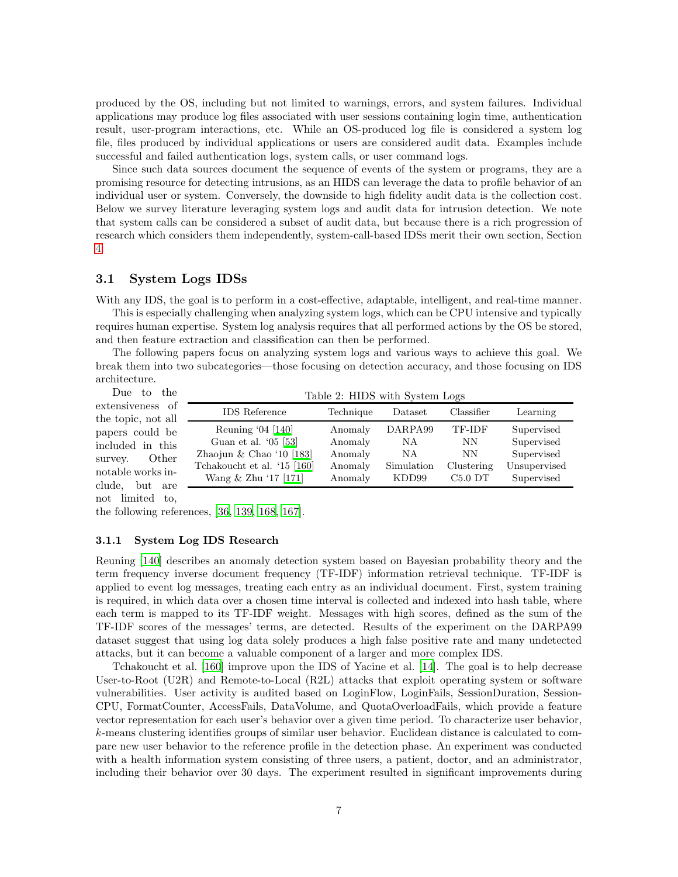produced by the OS, including but not limited to warnings, errors, and system failures. Individual applications may produce log files associated with user sessions containing login time, authentication result, user-program interactions, etc. While an OS-produced log file is considered a system log file, files produced by individual applications or users are considered audit data. Examples include successful and failed authentication logs, system calls, or user command logs.

Since such data sources document the sequence of events of the system or programs, they are a promising resource for detecting intrusions, as an HIDS can leverage the data to profile behavior of an individual user or system. Conversely, the downside to high fidelity audit data is the collection cost. Below we survey literature leveraging system logs and audit data for intrusion detection. We note that system calls can be considered a subset of audit data, but because there is a rich progression of research which considers them independently, system-call-based IDSs merit their own section, Section [4.](#page-9-0)

### 3.1 System Logs IDSs

With any IDS, the goal is to perform in a cost-effective, adaptable, intelligent, and real-time manner. This is especially challenging when analyzing system logs, which can be CPU intensive and typically requires human expertise. System log analysis requires that all performed actions by the OS be stored, and then feature extraction and classification can then be performed.

The following papers focus on analyzing system logs and various ways to achieve this goal. We break them into two subcategories—those focusing on detection accuracy, and those focusing on IDS architecture.

Due to the extensiveness of the topic, not all papers could be included in this survey. Other notable works include, but are not limited to,

Table 2: HIDS with System Logs

| <b>IDS</b> Reference        | Technique | Dataset    | Classifier | Learning     |
|-----------------------------|-----------|------------|------------|--------------|
| Reuning '04 [140]           | Anomaly   | DARPA99    | TF-IDF     | Supervised   |
| Guan et al. '05 [53]        | Anomaly   | NΑ         | NΝ         | Supervised   |
| Zhaojun & Chao '10 [183]    | Anomaly   | NΑ         | NΝ         | Supervised   |
| Tchakoucht et al. '15 [160] | Anomaly   | Simulation | Clustering | Unsupervised |
| Wang & Zhu '17 [171]        | Anomaly   | KDD99      | $C5.0\;DT$ | Supervised   |
|                             |           |            |            |              |

the following references, [\[36,](#page-27-3) [139,](#page-33-4) [168,](#page-35-2) [167\]](#page-35-3).

#### 3.1.1 System Log IDS Research

Reuning [\[140\]](#page-33-3) describes an anomaly detection system based on Bayesian probability theory and the term frequency inverse document frequency (TF-IDF) information retrieval technique. TF-IDF is applied to event log messages, treating each entry as an individual document. First, system training is required, in which data over a chosen time interval is collected and indexed into hash table, where each term is mapped to its TF-IDF weight. Messages with high scores, defined as the sum of the TF-IDF scores of the messages' terms, are detected. Results of the experiment on the DARPA99 dataset suggest that using log data solely produces a high false positive rate and many undetected attacks, but it can become a valuable component of a larger and more complex IDS.

Tchakoucht et al. [\[160\]](#page-34-2) improve upon the IDS of Yacine et al. [\[14](#page-26-9)]. The goal is to help decrease User-to-Root (U2R) and Remote-to-Local (R2L) attacks that exploit operating system or software vulnerabilities. User activity is audited based on LoginFlow, LoginFails, SessionDuration, Session-CPU, FormatCounter, AccessFails, DataVolume, and QuotaOverloadFails, which provide a feature vector representation for each user's behavior over a given time period. To characterize user behavior, k-means clustering identifies groups of similar user behavior. Euclidean distance is calculated to compare new user behavior to the reference profile in the detection phase. An experiment was conducted with a health information system consisting of three users, a patient, doctor, and an administrator, including their behavior over 30 days. The experiment resulted in significant improvements during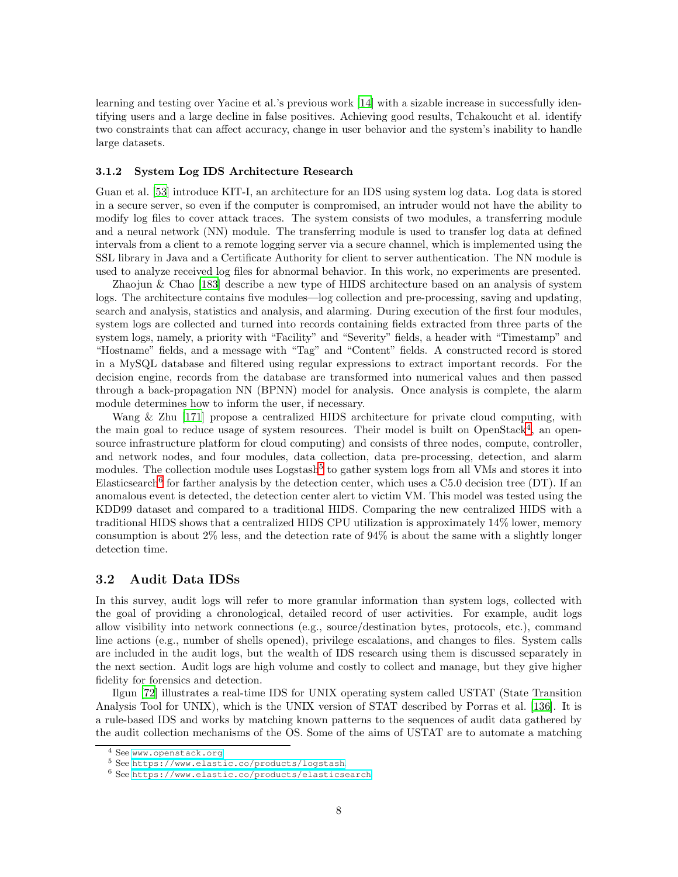learning and testing over Yacine et al.'s previous work [\[14](#page-26-9)] with a sizable increase in successfully identifying users and a large decline in false positives. Achieving good results, Tchakoucht et al. identify two constraints that can affect accuracy, change in user behavior and the system's inability to handle large datasets.

#### 3.1.2 System Log IDS Architecture Research

Guan et al. [\[53\]](#page-28-1) introduce KIT-I, an architecture for an IDS using system log data. Log data is stored in a secure server, so even if the computer is compromised, an intruder would not have the ability to modify log files to cover attack traces. The system consists of two modules, a transferring module and a neural network (NN) module. The transferring module is used to transfer log data at defined intervals from a client to a remote logging server via a secure channel, which is implemented using the SSL library in Java and a Certificate Authority for client to server authentication. The NN module is used to analyze received log files for abnormal behavior. In this work, no experiments are presented.

Zhaojun & Chao [\[183\]](#page-36-1) describe a new type of HIDS architecture based on an analysis of system logs. The architecture contains five modules—log collection and pre-processing, saving and updating, search and analysis, statistics and analysis, and alarming. During execution of the first four modules, system logs are collected and turned into records containing fields extracted from three parts of the system logs, namely, a priority with "Facility" and "Severity" fields, a header with "Timestamp" and "Hostname" fields, and a message with "Tag" and "Content" fields. A constructed record is stored in a MySQL database and filtered using regular expressions to extract important records. For the decision engine, records from the database are transformed into numerical values and then passed through a back-propagation NN (BPNN) model for analysis. Once analysis is complete, the alarm module determines how to inform the user, if necessary.

Wang & Zhu [\[171](#page-35-1)] propose a centralized HIDS architecture for private cloud computing, with the main goal to reduce usage of system resources. Their model is built on OpenStack<sup>[4](#page-7-0)</sup>, an opensource infrastructure platform for cloud computing) and consists of three nodes, compute, controller, and network nodes, and four modules, data collection, data pre-processing, detection, and alarm modules. The collection module uses Logstash<sup>[5](#page-7-1)</sup> to gather system logs from all VMs and stores it into Elasticsearch<sup>[6](#page-7-2)</sup> for farther analysis by the detection center, which uses a C5.0 decision tree (DT). If an anomalous event is detected, the detection center alert to victim VM. This model was tested using the KDD99 dataset and compared to a traditional HIDS. Comparing the new centralized HIDS with a traditional HIDS shows that a centralized HIDS CPU utilization is approximately 14% lower, memory consumption is about 2% less, and the detection rate of 94% is about the same with a slightly longer detection time.

#### 3.2 Audit Data IDSs

In this survey, audit logs will refer to more granular information than system logs, collected with the goal of providing a chronological, detailed record of user activities. For example, audit logs allow visibility into network connections (e.g., source/destination bytes, protocols, etc.), command line actions (e.g., number of shells opened), privilege escalations, and changes to files. System calls are included in the audit logs, but the wealth of IDS research using them is discussed separately in the next section. Audit logs are high volume and costly to collect and manage, but they give higher fidelity for forensics and detection.

Ilgun [\[72\]](#page-29-2) illustrates a real-time IDS for UNIX operating system called USTAT (State Transition Analysis Tool for UNIX), which is the UNIX version of STAT described by Porras et al. [\[136\]](#page-33-5). It is a rule-based IDS and works by matching known patterns to the sequences of audit data gathered by the audit collection mechanisms of the OS. Some of the aims of USTAT are to automate a matching

<sup>4</sup> See <www.openstack.org>.

<span id="page-7-0"></span><sup>5</sup> See <https://www.elastic.co/products/logstash>.

<span id="page-7-2"></span><span id="page-7-1"></span><sup>6</sup> See <https://www.elastic.co/products/elasticsearch>.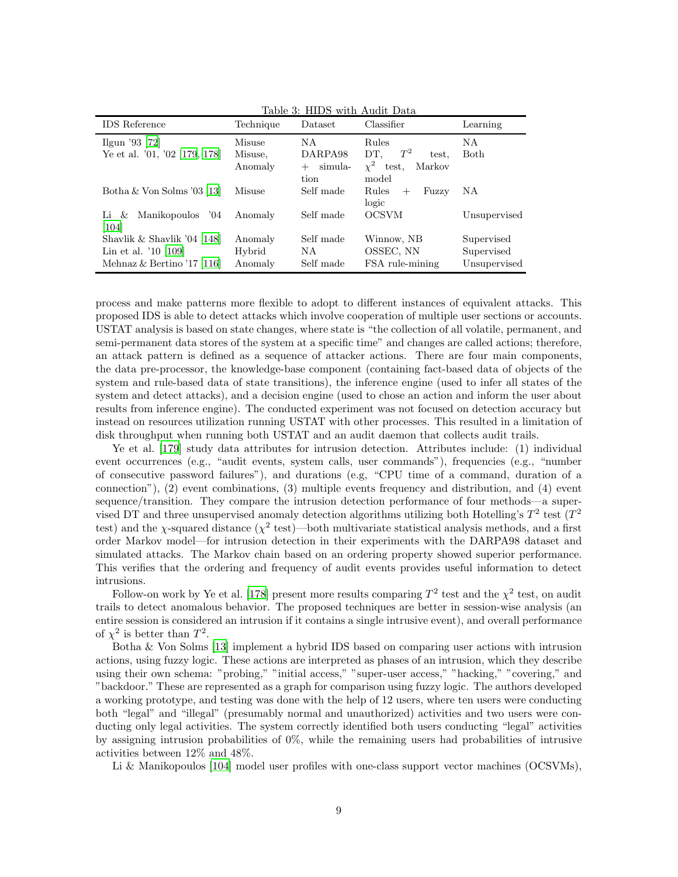| <b>IDS</b> Reference          | Technique | Dataset           | Classifier                  | Learning     |
|-------------------------------|-----------|-------------------|-----------------------------|--------------|
| Ilgun'93 [72]                 | Misuse    | NA.               | Rules                       | NΑ           |
| Ye et al. '01, '02 [179, 178] | Misuse,   | DARPA98           | $T^2$<br>DT,<br>test.       | Both         |
|                               | Anomaly   | simula-<br>$^{+}$ | $\chi^2$<br>Markov<br>test. |              |
|                               |           | tion              | model                       |              |
| Botha $&$ Von Solms '03 [13]  | Misuse    | Self made         | Rules<br>Fuzzy<br>$^{+}$    | NA           |
|                               |           |                   | logic                       |              |
| Manikopoulos '04<br>$Li \&$   | Anomaly   | Self made         | <b>OCSVM</b>                | Unsupervised |
| [104]                         |           |                   |                             |              |
| Shavlik & Shavlik $'04$ [148] | Anomaly   | Self made         | Winnow, NB                  | Supervised   |
| Lin et al. $'10$ [109]        | Hybrid    | NA.               | OSSEC, NN                   | Supervised   |
| Mehnaz & Bertino '17 [116]    | Anomaly   | Self made         | FSA rule-mining             | Unsupervised |

Table 3: HIDS with Audit Data

process and make patterns more flexible to adopt to different instances of equivalent attacks. This proposed IDS is able to detect attacks which involve cooperation of multiple user sections or accounts. USTAT analysis is based on state changes, where state is "the collection of all volatile, permanent, and semi-permanent data stores of the system at a specific time" and changes are called actions; therefore, an attack pattern is defined as a sequence of attacker actions. There are four main components, the data pre-processor, the knowledge-base component (containing fact-based data of objects of the system and rule-based data of state transitions), the inference engine (used to infer all states of the system and detect attacks), and a decision engine (used to chose an action and inform the user about results from inference engine). The conducted experiment was not focused on detection accuracy but instead on resources utilization running USTAT with other processes. This resulted in a limitation of disk throughput when running both USTAT and an audit daemon that collects audit trails.

Ye et al. [\[179\]](#page-35-4) study data attributes for intrusion detection. Attributes include: (1) individual event occurrences (e.g., "audit events, system calls, user commands"), frequencies (e.g., "number of consecutive password failures"), and durations (e.g, "CPU time of a command, duration of a connection"), (2) event combinations, (3) multiple events frequency and distribution, and (4) event sequence/transition. They compare the intrusion detection performance of four methods—a supervised DT and three unsupervised anomaly detection algorithms utilizing both Hotelling's  $T^2$  test  $(T^2)$ test) and the  $\chi$ -squared distance  $(\chi^2 \text{ test})$ —both multivariate statistical analysis methods, and a first order Markov model—for intrusion detection in their experiments with the DARPA98 dataset and simulated attacks. The Markov chain based on an ordering property showed superior performance. This verifies that the ordering and frequency of audit events provides useful information to detect intrusions.

Follow-on work by Ye et al. [\[178](#page-35-5)] present more results comparing  $T^2$  test and the  $\chi^2$  test, on audit trails to detect anomalous behavior. The proposed techniques are better in session-wise analysis (an entire session is considered an intrusion if it contains a single intrusive event), and overall performance of  $\chi^2$  is better than  $T^2$ .

Botha & Von Solms [\[13](#page-26-10)] implement a hybrid IDS based on comparing user actions with intrusion actions, using fuzzy logic. These actions are interpreted as phases of an intrusion, which they describe using their own schema: "probing," "initial access," "super-user access," "hacking," "covering," and "backdoor." These are represented as a graph for comparison using fuzzy logic. The authors developed a working prototype, and testing was done with the help of 12 users, where ten users were conducting both "legal" and "illegal" (presumably normal and unauthorized) activities and two users were conducting only legal activities. The system correctly identified both users conducting "legal" activities by assigning intrusion probabilities of 0%, while the remaining users had probabilities of intrusive activities between 12% and 48%.

Li & Manikopoulos [\[104\]](#page-31-3) model user profiles with one-class support vector machines (OCSVMs),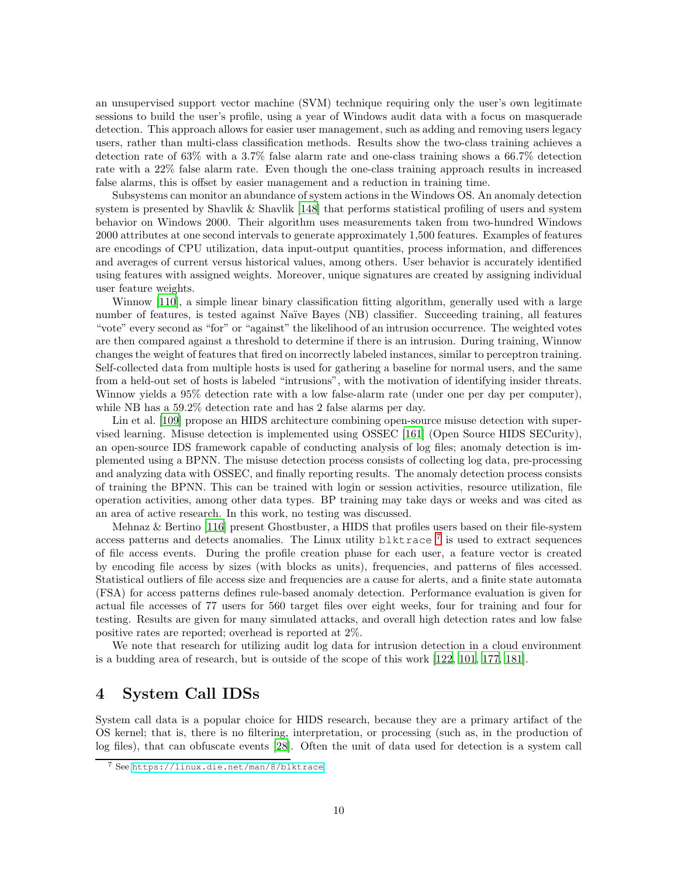an unsupervised support vector machine (SVM) technique requiring only the user's own legitimate sessions to build the user's profile, using a year of Windows audit data with a focus on masquerade detection. This approach allows for easier user management, such as adding and removing users legacy users, rather than multi-class classification methods. Results show the two-class training achieves a detection rate of 63% with a 3.7% false alarm rate and one-class training shows a 66.7% detection rate with a 22% false alarm rate. Even though the one-class training approach results in increased false alarms, this is offset by easier management and a reduction in training time.

Subsystems can monitor an abundance of system actions in the Windows OS. An anomaly detection system is presented by Shavlik & Shavlik [\[148\]](#page-34-3) that performs statistical profiling of users and system behavior on Windows 2000. Their algorithm uses measurements taken from two-hundred Windows 2000 attributes at one second intervals to generate approximately 1,500 features. Examples of features are encodings of CPU utilization, data input-output quantities, process information, and differences and averages of current versus historical values, among others. User behavior is accurately identified using features with assigned weights. Moreover, unique signatures are created by assigning individual user feature weights.

Winnow [\[110\]](#page-31-5), a simple linear binary classification fitting algorithm, generally used with a large number of features, is tested against Na¨ıve Bayes (NB) classifier. Succeeding training, all features "vote" every second as "for" or "against" the likelihood of an intrusion occurrence. The weighted votes are then compared against a threshold to determine if there is an intrusion. During training, Winnow changes the weight of features that fired on incorrectly labeled instances, similar to perceptron training. Self-collected data from multiple hosts is used for gathering a baseline for normal users, and the same from a held-out set of hosts is labeled "intrusions", with the motivation of identifying insider threats. Winnow yields a 95% detection rate with a low false-alarm rate (under one per day per computer), while NB has a 59.2% detection rate and has 2 false alarms per day.

Lin et al. [\[109\]](#page-31-4) propose an HIDS architecture combining open-source misuse detection with supervised learning. Misuse detection is implemented using OSSEC [\[161\]](#page-34-4) (Open Source HIDS SECurity), an open-source IDS framework capable of conducting analysis of log files; anomaly detection is implemented using a BPNN. The misuse detection process consists of collecting log data, pre-processing and analyzing data with OSSEC, and finally reporting results. The anomaly detection process consists of training the BPNN. This can be trained with login or session activities, resource utilization, file operation activities, among other data types. BP training may take days or weeks and was cited as an area of active research. In this work, no testing was discussed.

Mehnaz & Bertino [\[116](#page-32-3)] present Ghostbuster, a HIDS that profiles users based on their file-system access patterns and detects anomalies. The Linux utility blktrace<sup>[7](#page-9-1)</sup> is used to extract sequences of file access events. During the profile creation phase for each user, a feature vector is created by encoding file access by sizes (with blocks as units), frequencies, and patterns of files accessed. Statistical outliers of file access size and frequencies are a cause for alerts, and a finite state automata (FSA) for access patterns defines rule-based anomaly detection. Performance evaluation is given for actual file accesses of 77 users for 560 target files over eight weeks, four for training and four for testing. Results are given for many simulated attacks, and overall high detection rates and low false positive rates are reported; overhead is reported at 2%.

We note that research for utilizing audit log data for intrusion detection in a cloud environment is a budding area of research, but is outside of the scope of this work [\[122,](#page-32-4) [101,](#page-31-6) [177,](#page-35-6) [181\]](#page-36-2).

### <span id="page-9-0"></span>4 System Call IDSs

System call data is a popular choice for HIDS research, because they are a primary artifact of the OS kernel; that is, there is no filtering, interpretation, or processing (such as, in the production of log files), that can obfuscate events [\[28\]](#page-27-4). Often the unit of data used for detection is a system call

<span id="page-9-1"></span><sup>7</sup> See <https://linux.die.net/man/8/blktrace>.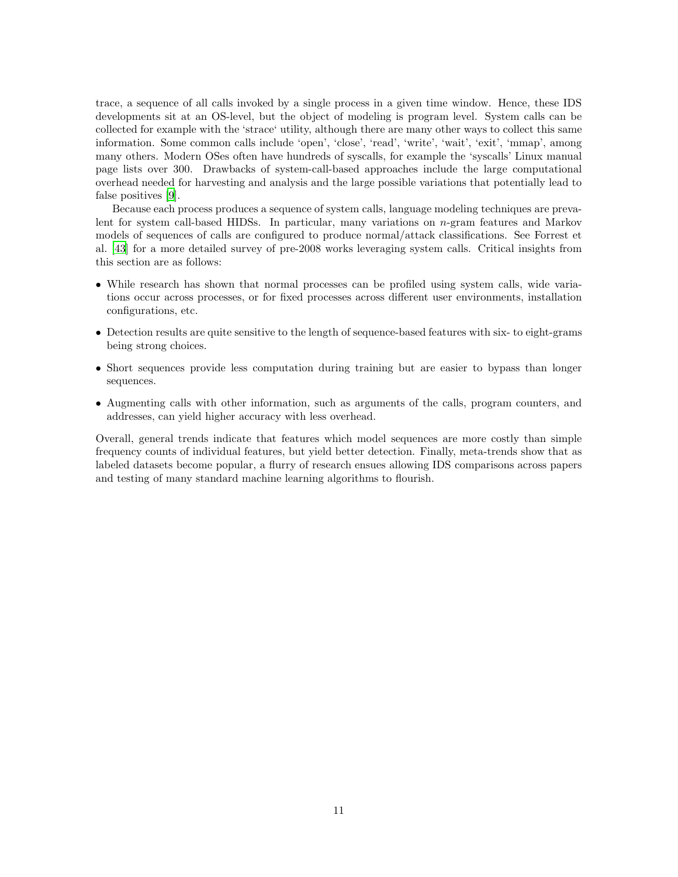trace, a sequence of all calls invoked by a single process in a given time window. Hence, these IDS developments sit at an OS-level, but the object of modeling is program level. System calls can be collected for example with the 'strace' utility, although there are many other ways to collect this same information. Some common calls include 'open', 'close', 'read', 'write', 'wait', 'exit', 'mmap', among many others. Modern OSes often have hundreds of syscalls, for example the 'syscalls' Linux manual page lists over 300. Drawbacks of system-call-based approaches include the large computational overhead needed for harvesting and analysis and the large possible variations that potentially lead to false positives [\[9](#page-26-11)].

Because each process produces a sequence of system calls, language modeling techniques are prevalent for system call-based HIDSs. In particular, many variations on n-gram features and Markov models of sequences of calls are configured to produce normal/attack classifications. See Forrest et al. [\[43\]](#page-28-2) for a more detailed survey of pre-2008 works leveraging system calls. Critical insights from this section are as follows:

- While research has shown that normal processes can be profiled using system calls, wide variations occur across processes, or for fixed processes across different user environments, installation configurations, etc.
- Detection results are quite sensitive to the length of sequence-based features with six- to eight-grams being strong choices.
- Short sequences provide less computation during training but are easier to bypass than longer sequences.
- Augmenting calls with other information, such as arguments of the calls, program counters, and addresses, can yield higher accuracy with less overhead.

Overall, general trends indicate that features which model sequences are more costly than simple frequency counts of individual features, but yield better detection. Finally, meta-trends show that as labeled datasets become popular, a flurry of research ensues allowing IDS comparisons across papers and testing of many standard machine learning algorithms to flourish.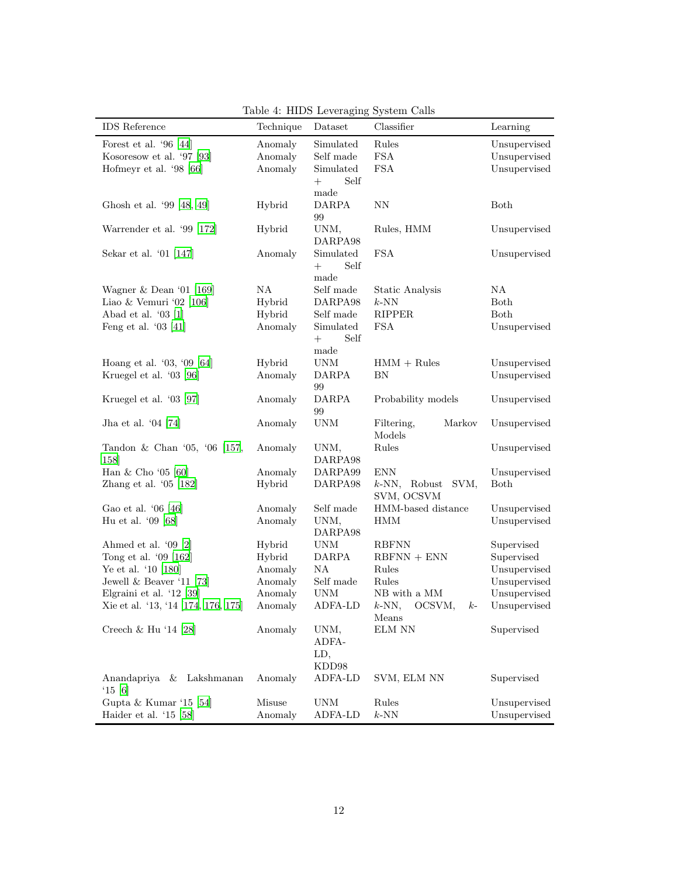| <b>IDS</b> Reference                           | Technique        | Dataset                    | rable 4. THES Leveraging System Cans<br>Classifier | Learning                 |
|------------------------------------------------|------------------|----------------------------|----------------------------------------------------|--------------------------|
| Forest et al. '96 [44]                         | Anomaly          | Simulated                  | Rules                                              | Unsupervised             |
| Kosoresow et al. '97 [93]                      | Anomaly          | Self made                  | $_{\mathrm{FSA}}$                                  | Unsupervised             |
| Hofmeyr et al. '98 [66]                        | Anomaly          | Simulated                  | <b>FSA</b>                                         | Unsupervised             |
|                                                |                  | Self<br>$^{+}$             |                                                    |                          |
|                                                |                  | made                       |                                                    |                          |
| Ghosh et al. '99 [48, 49]                      | Hybrid           | <b>DARPA</b>               | $\mathrm{NN}$                                      | Both                     |
|                                                |                  | 99                         |                                                    |                          |
| Warrender et al. '99 [172]                     | Hybrid           | UNM,                       | Rules, HMM                                         | Unsupervised             |
|                                                |                  | DARPA98                    |                                                    |                          |
| Sekar et al. '01 [147]                         | Anomaly          | Simulated                  | <b>FSA</b>                                         | Unsupervised             |
|                                                |                  | Self<br>$^{+}$             |                                                    |                          |
|                                                |                  | made                       |                                                    |                          |
| Wagner $&$ Dean '01 [169]                      | NA               | Self made                  | Static Analysis                                    | NA                       |
| Liao & Vemuri '02 $[106]$                      | Hybrid           | DARPA98                    | $k$ -NN                                            | Both                     |
| Abad et al. $03$ [1]                           | Hybrid           | Self made                  | <b>RIPPER</b>                                      | Both                     |
| Feng et al. $03$ [41]                          | Anomaly          | Simulated<br>Self          | <b>FSA</b>                                         | Unsupervised             |
|                                                |                  | $^{+}$<br>made             |                                                    |                          |
| Hoang et al. $03, 09$ [64]                     | Hybrid           | <b>UNM</b>                 | $HMM + Rules$                                      | Unsupervised             |
| Kruegel et al. '03 [96]                        | Anomaly          | <b>DARPA</b>               | BN                                                 | Unsupervised             |
|                                                |                  | 99                         |                                                    |                          |
| Kruegel et al. $03$ [97]                       | Anomaly          | <b>DARPA</b>               | Probability models                                 | Unsupervised             |
|                                                |                  | 99                         |                                                    |                          |
| Jha et al. $04$ [74]                           | Anomaly          | <b>UNM</b>                 | Markov<br>Filtering,                               | Unsupervised             |
|                                                |                  |                            | Models                                             |                          |
| Tandon & Chan $(05, 06)$ [157,                 | Anomaly          | UNM,                       | Rules                                              | Unsupervised             |
| 158                                            |                  | DARPA98                    |                                                    |                          |
| Han $\&$ Cho '05 [60]                          | Anomaly          | DARPA99                    | <b>ENN</b>                                         | Unsupervised             |
| Zhang et al. $05$ [182]                        | Hybrid           | DARPA98                    | $k$ -NN, Robust<br>SVM,                            | Both                     |
|                                                |                  |                            | SVM, OCSVM                                         |                          |
| Gao et al. $06 \; [46]$                        | Anomaly          | Self made                  | HMM-based distance                                 | Unsupervised             |
| Hu et al. '09 [68]                             | Anomaly          | UNM,                       | HMM                                                | Unsupervised             |
|                                                |                  | DARPA98                    | <b>RBFNN</b>                                       |                          |
| Ahmed et al. $09$ [2]<br>Tong et al. '09 [162] | Hybrid<br>Hybrid | <b>UNM</b><br><b>DARPA</b> | $RBFNN + ENN$                                      | Supervised<br>Supervised |
| Ye et al. '10 [180]                            | Anomaly          | NA                         | Rules                                              | Unsupervised             |
| Jewell & Beaver '11 [73]                       | Anomaly          | Self made                  | Rules                                              | Unsupervised             |
| Elgraini et al. $12$ [39]                      | Anomaly          | <b>UNM</b>                 | $\rm NB$ with a $\rm MM$                           | Unsupervised             |
| Xie et al. '13, '14 [174, 176, 175]            | Anomaly          | ADFA-LD                    | $k\text{-NN},$<br>OCSVM,<br>$k-$                   | Unsupervised             |
|                                                |                  |                            | Means                                              |                          |
| Creech & Hu '14 [28]                           | Anomaly          | UNM,                       | ELM NN                                             | Supervised               |
|                                                |                  | ADFA-                      |                                                    |                          |
|                                                |                  | LD,                        |                                                    |                          |
|                                                |                  | KDD98                      |                                                    |                          |
| Anandapriya & Lakshmanan                       | Anomaly          | ADFA-LD                    | SVM, ELM NN                                        | Supervised               |
| 15[6]                                          |                  |                            |                                                    |                          |
| Gupta & Kumar '15 [54]                         | Misuse           | <b>UNM</b>                 | Rules                                              | Unsupervised             |
| Haider et al. '15 $\left[58\right]$            | Anomaly          | ADFA-LD                    | $k$ -NN                                            | Unsupervised             |

Table 4: HIDS Leveraging System Calls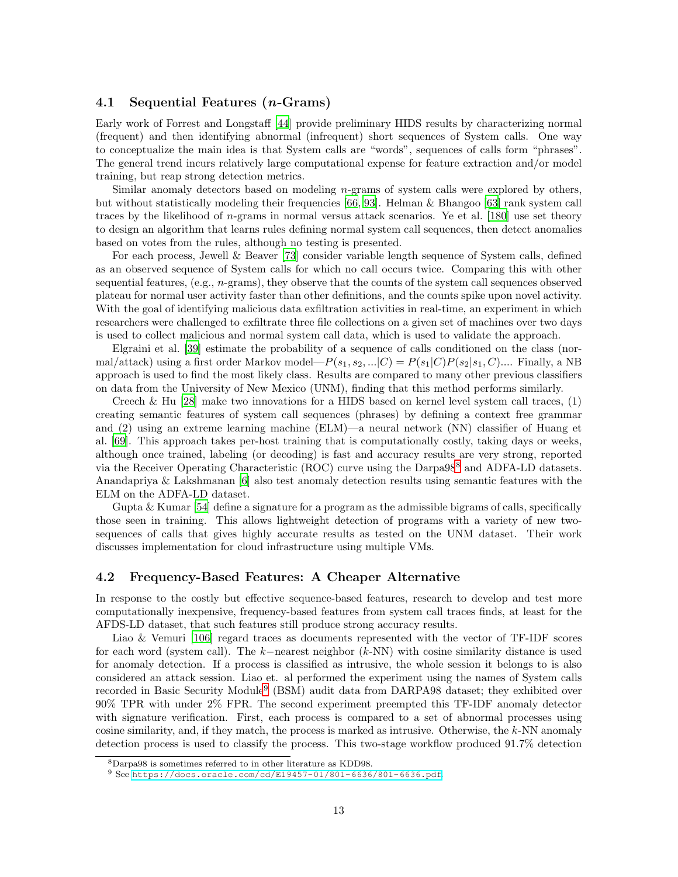#### 4.1 Sequential Features (n-Grams)

Early work of Forrest and Longstaff [\[44\]](#page-28-3) provide preliminary HIDS results by characterizing normal (frequent) and then identifying abnormal (infrequent) short sequences of System calls. One way to conceptualize the main idea is that System calls are "words", sequences of calls form "phrases". The general trend incurs relatively large computational expense for feature extraction and/or model training, but reap strong detection metrics.

Similar anomaly detectors based on modeling *n*-grams of system calls were explored by others, but without statistically modeling their frequencies [\[66](#page-29-3), [93\]](#page-30-1). Helman & Bhangoo [\[63\]](#page-29-9) rank system call traces by the likelihood of n-grams in normal versus attack scenarios. Ye et al. [\[180\]](#page-35-9) use set theory to design an algorithm that learns rules defining normal system call sequences, then detect anomalies based on votes from the rules, although no testing is presented.

For each process, Jewell & Beaver [\[73](#page-29-8)] consider variable length sequence of System calls, defined as an observed sequence of System calls for which no call occurs twice. Comparing this with other sequential features,  $(e.g., \eta_{\text{-grams}})$ , they observe that the counts of the system call sequences observed plateau for normal user activity faster than other definitions, and the counts spike upon novel activity. With the goal of identifying malicious data exfiltration activities in real-time, an experiment in which researchers were challenged to exfiltrate three file collections on a given set of machines over two days is used to collect malicious and normal system call data, which is used to validate the approach.

Elgraini et al. [\[39](#page-27-6)] estimate the probability of a sequence of calls conditioned on the class (normal/attack) using a first order Markov model— $P(s_1, s_2, ... | C) = P(s_1 | C) P(s_2 | s_1, C) ...$  Finally, a NB approach is used to find the most likely class. Results are compared to many other previous classifiers on data from the University of New Mexico (UNM), finding that this method performs similarly.

Creech & Hu  $[28]$  make two innovations for a HIDS based on kernel level system call traces,  $(1)$ creating semantic features of system call sequences (phrases) by defining a context free grammar and (2) using an extreme learning machine (ELM)—a neural network (NN) classifier of Huang et al. [\[69](#page-29-10)]. This approach takes per-host training that is computationally costly, taking days or weeks, although once trained, labeling (or decoding) is fast and accuracy results are very strong, reported via the Receiver Operating Characteristic (ROC) curve using the Darpa98[8](#page-12-0) and ADFA-LD datasets. Anandapriya & Lakshmanan [\[6](#page-25-4)] also test anomaly detection results using semantic features with the ELM on the ADFA-LD dataset.

Gupta & Kumar [\[54\]](#page-28-7) define a signature for a program as the admissible bigrams of calls, specifically those seen in training. This allows lightweight detection of programs with a variety of new twosequences of calls that gives highly accurate results as tested on the UNM dataset. Their work discusses implementation for cloud infrastructure using multiple VMs.

#### 4.2 Frequency-Based Features: A Cheaper Alternative

In response to the costly but effective sequence-based features, research to develop and test more computationally inexpensive, frequency-based features from system call traces finds, at least for the AFDS-LD dataset, that such features still produce strong accuracy results.

Liao & Vemuri [\[106\]](#page-31-7) regard traces as documents represented with the vector of TF-IDF scores for each word (system call). The  $k$ −nearest neighbor  $(k-NN)$  with cosine similarity distance is used for anomaly detection. If a process is classified as intrusive, the whole session it belongs to is also considered an attack session. Liao et. al performed the experiment using the names of System calls recorded in Basic Security Module<sup>[9](#page-12-1)</sup> (BSM) audit data from DARPA98 dataset; they exhibited over 90% TPR with under 2% FPR. The second experiment preempted this TF-IDF anomaly detector with signature verification. First, each process is compared to a set of abnormal processes using cosine similarity, and, if they match, the process is marked as intrusive. Otherwise, the  $k$ -NN anomaly detection process is used to classify the process. This two-stage workflow produced 91.7% detection

<sup>8</sup>Darpa98 is sometimes referred to in other literature as KDD98.

<span id="page-12-1"></span><span id="page-12-0"></span><sup>9</sup> See <https://docs.oracle.com/cd/E19457-01/801-6636/801-6636.pdf>.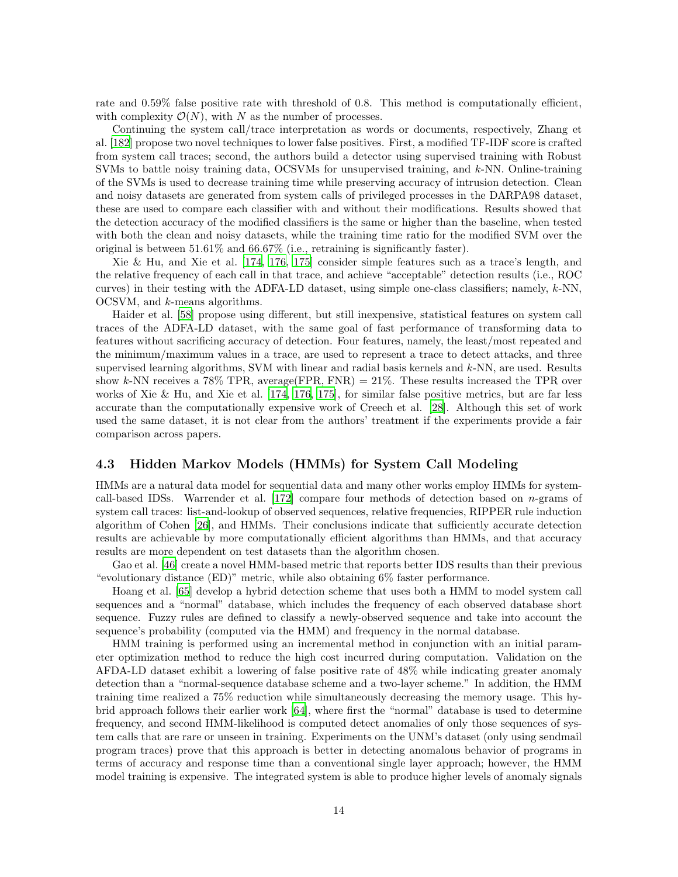rate and 0.59% false positive rate with threshold of 0.8. This method is computationally efficient, with complexity  $\mathcal{O}(N)$ , with N as the number of processes.

Continuing the system call/trace interpretation as words or documents, respectively, Zhang et al. [\[182](#page-36-3)] propose two novel techniques to lower false positives. First, a modified TF-IDF score is crafted from system call traces; second, the authors build a detector using supervised training with Robust SVMs to battle noisy training data, OCSVMs for unsupervised training, and k-NN. Online-training of the SVMs is used to decrease training time while preserving accuracy of intrusion detection. Clean and noisy datasets are generated from system calls of privileged processes in the DARPA98 dataset, these are used to compare each classifier with and without their modifications. Results showed that the detection accuracy of the modified classifiers is the same or higher than the baseline, when tested with both the clean and noisy datasets, while the training time ratio for the modified SVM over the original is between 51.61% and 66.67% (i.e., retraining is significantly faster).

Xie & Hu, and Xie et al. [\[174,](#page-35-10) [176](#page-35-11), [175](#page-35-12)] consider simple features such as a trace's length, and the relative frequency of each call in that trace, and achieve "acceptable" detection results (i.e., ROC curves) in their testing with the ADFA-LD dataset, using simple one-class classifiers; namely,  $k$ -NN, OCSVM, and k-means algorithms.

Haider et al. [\[58\]](#page-28-8) propose using different, but still inexpensive, statistical features on system call traces of the ADFA-LD dataset, with the same goal of fast performance of transforming data to features without sacrificing accuracy of detection. Four features, namely, the least/most repeated and the minimum/maximum values in a trace, are used to represent a trace to detect attacks, and three supervised learning algorithms, SVM with linear and radial basis kernels and k-NN, are used. Results show k-NN receives a 78% TPR, average(FPR, FNR) = 21%. These results increased the TPR over works of Xie & Hu, and Xie et al. [\[174](#page-35-10), [176,](#page-35-11) [175](#page-35-12)], for similar false positive metrics, but are far less accurate than the computationally expensive work of Creech et al. [\[28](#page-27-4)]. Although this set of work used the same dataset, it is not clear from the authors' treatment if the experiments provide a fair comparison across papers.

#### 4.3 Hidden Markov Models (HMMs) for System Call Modeling

HMMs are a natural data model for sequential data and many other works employ HMMs for system-call-based IDSs. Warrender et al. [\[172\]](#page-35-7) compare four methods of detection based on  $n$ -grams of system call traces: list-and-lookup of observed sequences, relative frequencies, RIPPER rule induction algorithm of Cohen [\[26](#page-27-7)], and HMMs. Their conclusions indicate that sufficiently accurate detection results are achievable by more computationally efficient algorithms than HMMs, and that accuracy results are more dependent on test datasets than the algorithm chosen.

Gao et al. [\[46](#page-28-6)] create a novel HMM-based metric that reports better IDS results than their previous "evolutionary distance (ED)" metric, while also obtaining 6% faster performance.

Hoang et al. [\[65](#page-29-11)] develop a hybrid detection scheme that uses both a HMM to model system call sequences and a "normal" database, which includes the frequency of each observed database short sequence. Fuzzy rules are defined to classify a newly-observed sequence and take into account the sequence's probability (computed via the HMM) and frequency in the normal database.

HMM training is performed using an incremental method in conjunction with an initial parameter optimization method to reduce the high cost incurred during computation. Validation on the AFDA-LD dataset exhibit a lowering of false positive rate of 48% while indicating greater anomaly detection than a "normal-sequence database scheme and a two-layer scheme." In addition, the HMM training time realized a 75% reduction while simultaneously decreasing the memory usage. This hybrid approach follows their earlier work [\[64\]](#page-29-4), where first the "normal" database is used to determine frequency, and second HMM-likelihood is computed detect anomalies of only those sequences of system calls that are rare or unseen in training. Experiments on the UNM's dataset (only using sendmail program traces) prove that this approach is better in detecting anomalous behavior of programs in terms of accuracy and response time than a conventional single layer approach; however, the HMM model training is expensive. The integrated system is able to produce higher levels of anomaly signals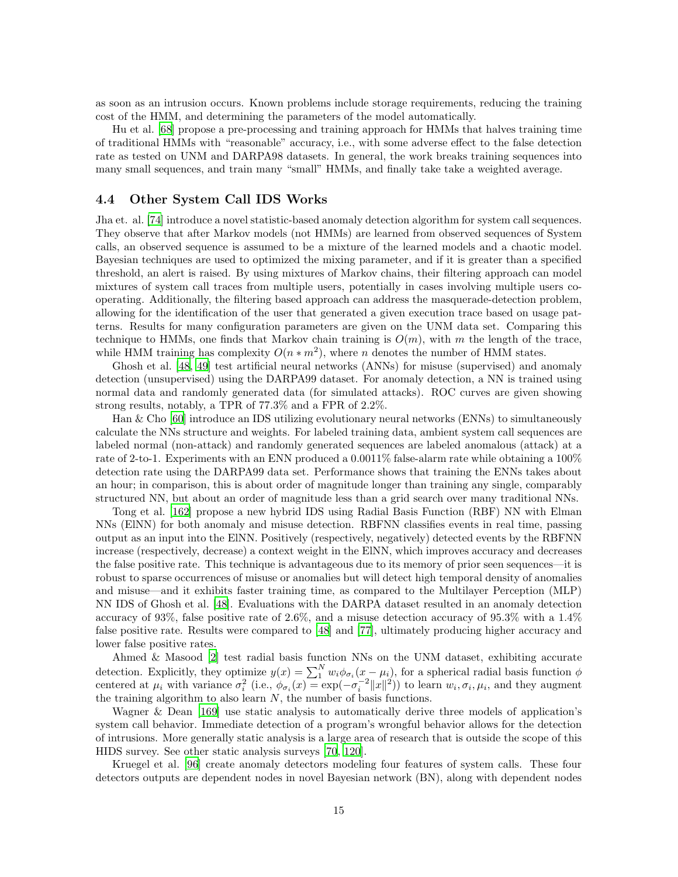as soon as an intrusion occurs. Known problems include storage requirements, reducing the training cost of the HMM, and determining the parameters of the model automatically.

Hu et al. [\[68](#page-29-7)] propose a pre-processing and training approach for HMMs that halves training time of traditional HMMs with "reasonable" accuracy, i.e., with some adverse effect to the false detection rate as tested on UNM and DARPA98 datasets. In general, the work breaks training sequences into many small sequences, and train many "small" HMMs, and finally take take a weighted average.

#### 4.4 Other System Call IDS Works

Jha et. al. [\[74](#page-29-5)] introduce a novel statistic-based anomaly detection algorithm for system call sequences. They observe that after Markov models (not HMMs) are learned from observed sequences of System calls, an observed sequence is assumed to be a mixture of the learned models and a chaotic model. Bayesian techniques are used to optimized the mixing parameter, and if it is greater than a specified threshold, an alert is raised. By using mixtures of Markov chains, their filtering approach can model mixtures of system call traces from multiple users, potentially in cases involving multiple users cooperating. Additionally, the filtering based approach can address the masquerade-detection problem, allowing for the identification of the user that generated a given execution trace based on usage patterns. Results for many configuration parameters are given on the UNM data set. Comparing this technique to HMMs, one finds that Markov chain training is  $O(m)$ , with m the length of the trace, while HMM training has complexity  $O(n * m^2)$ , where n denotes the number of HMM states.

Ghosh et al. [\[48,](#page-28-4) [49\]](#page-28-5) test artificial neural networks (ANNs) for misuse (supervised) and anomaly detection (unsupervised) using the DARPA99 dataset. For anomaly detection, a NN is trained using normal data and randomly generated data (for simulated attacks). ROC curves are given showing strong results, notably, a TPR of 77.3% and a FPR of 2.2%.

Han  $& Cho [60]$  $& Cho [60]$  introduce an IDS utilizing evolutionary neural networks (ENNs) to simultaneously calculate the NNs structure and weights. For labeled training data, ambient system call sequences are labeled normal (non-attack) and randomly generated sequences are labeled anomalous (attack) at a rate of 2-to-1. Experiments with an ENN produced a 0.0011% false-alarm rate while obtaining a 100% detection rate using the DARPA99 data set. Performance shows that training the ENNs takes about an hour; in comparison, this is about order of magnitude longer than training any single, comparably structured NN, but about an order of magnitude less than a grid search over many traditional NNs.

Tong et al. [\[162\]](#page-34-8) propose a new hybrid IDS using Radial Basis Function (RBF) NN with Elman NNs (ElNN) for both anomaly and misuse detection. RBFNN classifies events in real time, passing output as an input into the ElNN. Positively (respectively, negatively) detected events by the RBFNN increase (respectively, decrease) a context weight in the ElNN, which improves accuracy and decreases the false positive rate. This technique is advantageous due to its memory of prior seen sequences—it is robust to sparse occurrences of misuse or anomalies but will detect high temporal density of anomalies and misuse—and it exhibits faster training time, as compared to the Multilayer Perception (MLP) NN IDS of Ghosh et al. [\[48](#page-28-4)]. Evaluations with the DARPA dataset resulted in an anomaly detection accuracy of 93%, false positive rate of 2.6%, and a misuse detection accuracy of 95.3% with a 1.4% false positive rate. Results were compared to [\[48](#page-28-4)] and [\[77](#page-29-12)], ultimately producing higher accuracy and lower false positive rates.

Ahmed & Masood [\[2](#page-25-3)] test radial basis function NNs on the UNM dataset, exhibiting accurate detection. Explicitly, they optimize  $y(x) = \sum_{1}^{N} w_i \phi_{\sigma_i}(x - \mu_i)$ , for a spherical radial basis function  $\phi$ centered at  $\mu_i$  with variance  $\sigma_i^2$  (i.e.,  $\phi_{\sigma_i}(x) = \exp(-\sigma_i^{-2}||x||^2)$ ) to learn  $w_i, \sigma_i, \mu_i$ , and they augment the training algorithm to also learn  $N$ , the number of basis functions.

Wagner & Dean [\[169](#page-35-8)] use static analysis to automatically derive three models of application's system call behavior. Immediate detection of a program's wrongful behavior allows for the detection of intrusions. More generally static analysis is a large area of research that is outside the scope of this HIDS survey. See other static analysis surveys [\[70,](#page-29-13) [120\]](#page-32-5).

Kruegel et al. [\[96](#page-31-8)] create anomaly detectors modeling four features of system calls. These four detectors outputs are dependent nodes in novel Bayesian network (BN), along with dependent nodes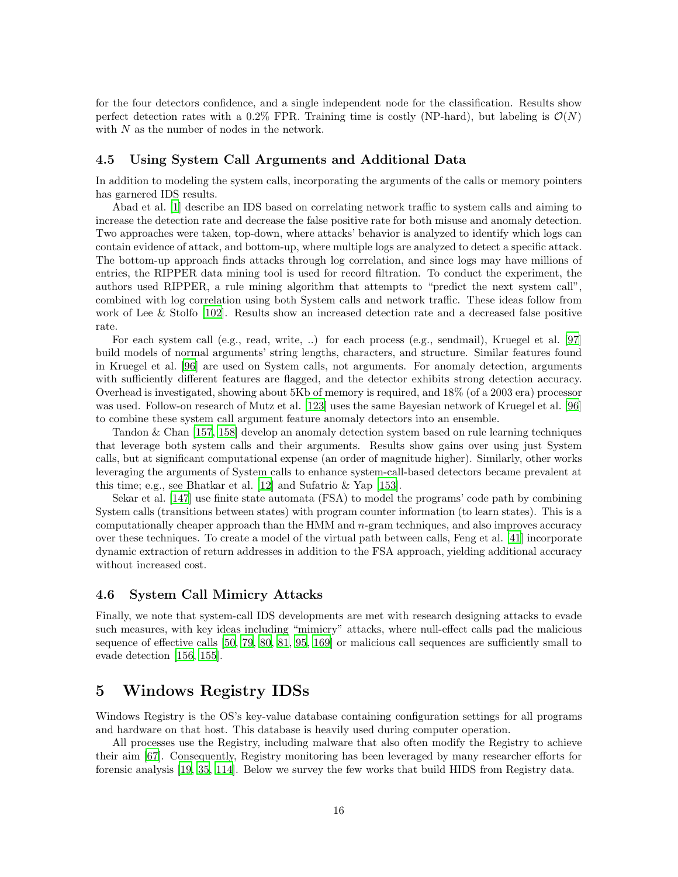for the four detectors confidence, and a single independent node for the classification. Results show perfect detection rates with a 0.2% FPR. Training time is costly (NP-hard), but labeling is  $\mathcal{O}(N)$ with  $N$  as the number of nodes in the network.

#### 4.5 Using System Call Arguments and Additional Data

In addition to modeling the system calls, incorporating the arguments of the calls or memory pointers has garnered IDS results.

Abad et al. [\[1](#page-25-2)] describe an IDS based on correlating network traffic to system calls and aiming to increase the detection rate and decrease the false positive rate for both misuse and anomaly detection. Two approaches were taken, top-down, where attacks' behavior is analyzed to identify which logs can contain evidence of attack, and bottom-up, where multiple logs are analyzed to detect a specific attack. The bottom-up approach finds attacks through log correlation, and since logs may have millions of entries, the RIPPER data mining tool is used for record filtration. To conduct the experiment, the authors used RIPPER, a rule mining algorithm that attempts to "predict the next system call", combined with log correlation using both System calls and network traffic. These ideas follow from work of Lee & Stolfo [\[102](#page-31-10)]. Results show an increased detection rate and a decreased false positive rate.

For each system call (e.g., read, write, ..) for each process (e.g., sendmail), Kruegel et al. [\[97\]](#page-31-9) build models of normal arguments' string lengths, characters, and structure. Similar features found in Kruegel et al. [\[96\]](#page-31-8) are used on System calls, not arguments. For anomaly detection, arguments with sufficiently different features are flagged, and the detector exhibits strong detection accuracy. Overhead is investigated, showing about 5Kb of memory is required, and 18% (of a 2003 era) processor was used. Follow-on research of Mutz et al. [\[123\]](#page-32-6) uses the same Bayesian network of Kruegel et al. [\[96\]](#page-31-8) to combine these system call argument feature anomaly detectors into an ensemble.

Tandon & Chan [\[157,](#page-34-6) [158\]](#page-34-7) develop an anomaly detection system based on rule learning techniques that leverage both system calls and their arguments. Results show gains over using just System calls, but at significant computational expense (an order of magnitude higher). Similarly, other works leveraging the arguments of System calls to enhance system-call-based detectors became prevalent at this time; e.g., see Bhatkar et al. [\[12\]](#page-26-12) and Sufatrio & Yap [\[153\]](#page-34-9).

Sekar et al. [\[147\]](#page-34-5) use finite state automata (FSA) to model the programs' code path by combining System calls (transitions between states) with program counter information (to learn states). This is a computationally cheaper approach than the HMM and n-gram techniques, and also improves accuracy over these techniques. To create a model of the virtual path between calls, Feng et al. [\[41\]](#page-27-5) incorporate dynamic extraction of return addresses in addition to the FSA approach, yielding additional accuracy without increased cost.

#### 4.6 System Call Mimicry Attacks

Finally, we note that system-call IDS developments are met with research designing attacks to evade such measures, with key ideas including "mimicry" attacks, where null-effect calls pad the malicious sequence of effective calls [\[50,](#page-28-9) [79,](#page-30-4) [80,](#page-30-5) [81,](#page-30-6) [95](#page-31-11), [169](#page-35-8)] or malicious call sequences are sufficiently small to evade detection [\[156,](#page-34-10) [155\]](#page-34-11).

### <span id="page-15-0"></span>5 Windows Registry IDSs

Windows Registry is the OS's key-value database containing configuration settings for all programs and hardware on that host. This database is heavily used during computer operation.

All processes use the Registry, including malware that also often modify the Registry to achieve their aim [\[67\]](#page-29-14). Consequently, Registry monitoring has been leveraged by many researcher efforts for forensic analysis [\[19,](#page-26-13) [35,](#page-27-8) [114\]](#page-32-7). Below we survey the few works that build HIDS from Registry data.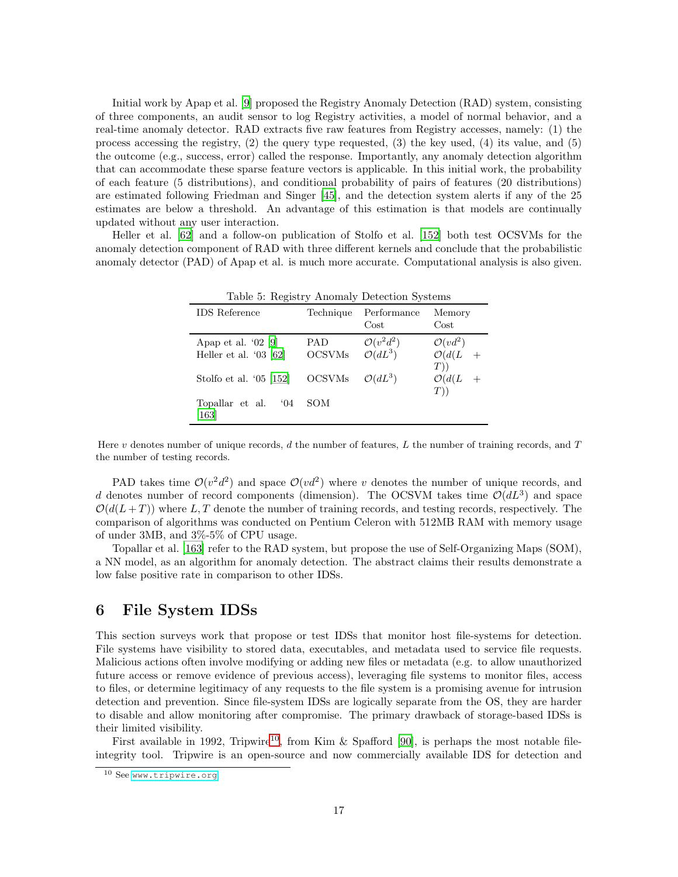Initial work by Apap et al. [\[9](#page-26-11)] proposed the Registry Anomaly Detection (RAD) system, consisting of three components, an audit sensor to log Registry activities, a model of normal behavior, and a real-time anomaly detector. RAD extracts five raw features from Registry accesses, namely: (1) the process accessing the registry,  $(2)$  the query type requested,  $(3)$  the key used,  $(4)$  its value, and  $(5)$ the outcome (e.g., success, error) called the response. Importantly, any anomaly detection algorithm that can accommodate these sparse feature vectors is applicable. In this initial work, the probability of each feature (5 distributions), and conditional probability of pairs of features (20 distributions) are estimated following Friedman and Singer [\[45](#page-28-10)], and the detection system alerts if any of the 25 estimates are below a threshold. An advantage of this estimation is that models are continually updated without any user interaction.

Heller et al. [\[62\]](#page-29-15) and a follow-on publication of Stolfo et al. [\[152](#page-34-12)] both test OCSVMs for the anomaly detection component of RAD with three different kernels and conclude that the probabilistic anomaly detector (PAD) of Apap et al. is much more accurate. Computational analysis is also given.

| Technique     | Performance           | Memory                                                                                    |
|---------------|-----------------------|-------------------------------------------------------------------------------------------|
|               | Cost                  | $\cos t$                                                                                  |
| <b>PAD</b>    | $\mathcal{O}(v^2d^2)$ | $\mathcal{O}(vd^2)$                                                                       |
| <b>OCSVMs</b> |                       | $\mathcal{O}(d(L))$<br>$+$                                                                |
|               |                       | T))                                                                                       |
|               |                       | $\mathcal{O}(d(L))$<br>$^{+}$                                                             |
| SOM           |                       | T)                                                                                        |
|               | <b>OCSVMs</b>         | Table 5: Registry Anomaly Detection Systems<br>$\mathcal{O}(dL^3)$<br>$\mathcal{O}(dL^3)$ |

Here  $v$  denotes number of unique records,  $d$  the number of features,  $L$  the number of training records, and  $T$ the number of testing records.

PAD takes time  $\mathcal{O}(v^2 d^2)$  and space  $\mathcal{O}(v d^2)$  where v denotes the number of unique records, and d denotes number of record components (dimension). The OCSVM takes time  $\mathcal{O}(dL^3)$  and space  $\mathcal{O}(d(L+T))$  where L, T denote the number of training records, and testing records, respectively. The comparison of algorithms was conducted on Pentium Celeron with 512MB RAM with memory usage of under 3MB, and 3%-5% of CPU usage.

Topallar et al. [\[163\]](#page-34-13) refer to the RAD system, but propose the use of Self-Organizing Maps (SOM), a NN model, as an algorithm for anomaly detection. The abstract claims their results demonstrate a low false positive rate in comparison to other IDSs.

### <span id="page-16-0"></span>6 File System IDSs

This section surveys work that propose or test IDSs that monitor host file-systems for detection. File systems have visibility to stored data, executables, and metadata used to service file requests. Malicious actions often involve modifying or adding new files or metadata (e.g. to allow unauthorized future access or remove evidence of previous access), leveraging file systems to monitor files, access to files, or determine legitimacy of any requests to the file system is a promising avenue for intrusion detection and prevention. Since file-system IDSs are logically separate from the OS, they are harder to disable and allow monitoring after compromise. The primary drawback of storage-based IDSs is their limited visibility.

First available in 1992, Tripwire<sup>[10](#page-16-1)</sup>, from Kim & Spafford [\[90\]](#page-30-7), is perhaps the most notable fileintegrity tool. Tripwire is an open-source and now commercially available IDS for detection and

<span id="page-16-1"></span><sup>10</sup> See <www.tripwire.org>.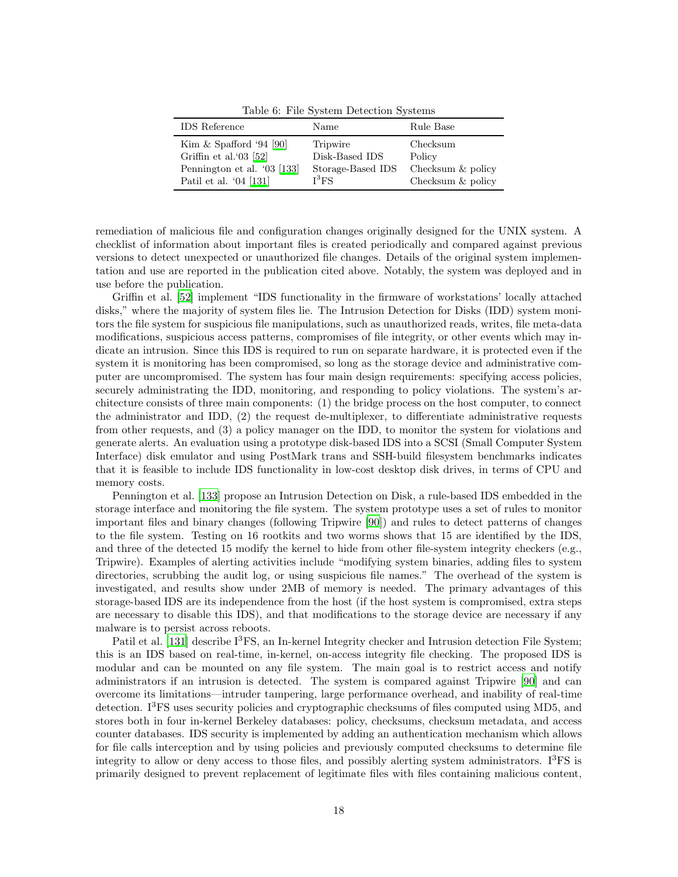Table 6: File System Detection Systems

| <b>IDS</b> Reference        | Name              | Rule Base         |
|-----------------------------|-------------------|-------------------|
| Kim $&$ Spafford '94 [90]   | Tripwire          | Checksum          |
| Griffin et al. $03$ [52]    | Disk-Based IDS    | Policy            |
| Pennington et al. '03 [133] | Storage-Based IDS | Checksum & policy |
| Patil et al. '04 [131]      | $I^3$ FS          | Checksum & policy |

remediation of malicious file and configuration changes originally designed for the UNIX system. A checklist of information about important files is created periodically and compared against previous versions to detect unexpected or unauthorized file changes. Details of the original system implementation and use are reported in the publication cited above. Notably, the system was deployed and in use before the publication.

Griffin et al. [\[52](#page-28-11)] implement "IDS functionality in the firmware of workstations' locally attached disks," where the majority of system files lie. The Intrusion Detection for Disks (IDD) system monitors the file system for suspicious file manipulations, such as unauthorized reads, writes, file meta-data modifications, suspicious access patterns, compromises of file integrity, or other events which may indicate an intrusion. Since this IDS is required to run on separate hardware, it is protected even if the system it is monitoring has been compromised, so long as the storage device and administrative computer are uncompromised. The system has four main design requirements: specifying access policies, securely administrating the IDD, monitoring, and responding to policy violations. The system's architecture consists of three main components: (1) the bridge process on the host computer, to connect the administrator and IDD, (2) the request de-multiplexer, to differentiate administrative requests from other requests, and (3) a policy manager on the IDD, to monitor the system for violations and generate alerts. An evaluation using a prototype disk-based IDS into a SCSI (Small Computer System Interface) disk emulator and using PostMark trans and SSH-build filesystem benchmarks indicates that it is feasible to include IDS functionality in low-cost desktop disk drives, in terms of CPU and memory costs.

Pennington et al. [\[133\]](#page-33-6) propose an Intrusion Detection on Disk, a rule-based IDS embedded in the storage interface and monitoring the file system. The system prototype uses a set of rules to monitor important files and binary changes (following Tripwire [\[90\]](#page-30-7)) and rules to detect patterns of changes to the file system. Testing on 16 rootkits and two worms shows that 15 are identified by the IDS, and three of the detected 15 modify the kernel to hide from other file-system integrity checkers (e.g., Tripwire). Examples of alerting activities include "modifying system binaries, adding files to system directories, scrubbing the audit log, or using suspicious file names." The overhead of the system is investigated, and results show under 2MB of memory is needed. The primary advantages of this storage-based IDS are its independence from the host (if the host system is compromised, extra steps are necessary to disable this IDS), and that modifications to the storage device are necessary if any malware is to persist across reboots.

Patil et al. [\[131\]](#page-33-7) describe I<sup>3</sup>FS, an In-kernel Integrity checker and Intrusion detection File System; this is an IDS based on real-time, in-kernel, on-access integrity file checking. The proposed IDS is modular and can be mounted on any file system. The main goal is to restrict access and notify administrators if an intrusion is detected. The system is compared against Tripwire [\[90\]](#page-30-7) and can overcome its limitations—intruder tampering, large performance overhead, and inability of real-time detection. I<sup>3</sup>FS uses security policies and cryptographic checksums of files computed using MD5, and stores both in four in-kernel Berkeley databases: policy, checksums, checksum metadata, and access counter databases. IDS security is implemented by adding an authentication mechanism which allows for file calls interception and by using policies and previously computed checksums to determine file integrity to allow or deny access to those files, and possibly alerting system administrators. I<sup>3</sup>FS is primarily designed to prevent replacement of legitimate files with files containing malicious content,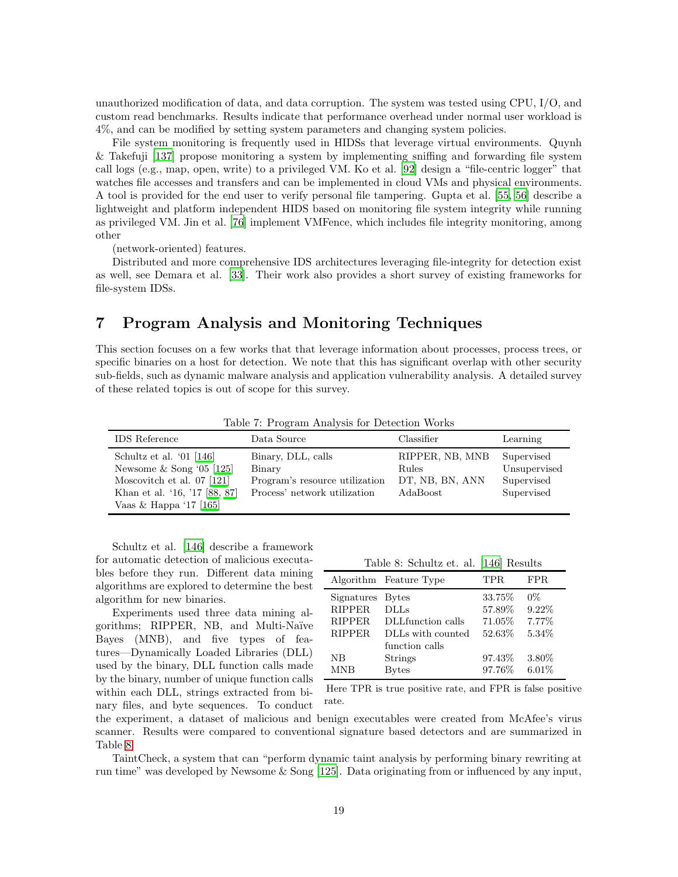unauthorized modification of data, and data corruption. The system was tested using CPU, I/O, and custom read benchmarks. Results indicate that performance overhead under normal user workload is 4%, and can be modified by setting system parameters and changing system policies.

File system monitoring is frequently used in HIDSs that leverage virtual environments. Quynh & Takefuji [\[137\]](#page-33-8) propose monitoring a system by implementing sniffing and forwarding file system call logs (e.g., map, open, write) to a privileged VM. Ko et al. [\[92\]](#page-30-8) design a "file-centric logger" that watches file accesses and transfers and can be implemented in cloud VMs and physical environments. A tool is provided for the end user to verify personal file tampering. Gupta et al. [\[55,](#page-28-12) [56\]](#page-28-13) describe a lightweight and platform independent HIDS based on monitoring file system integrity while running as privileged VM. Jin et al. [\[76](#page-29-16)] implement VMFence, which includes file integrity monitoring, among other

(network-oriented) features.

Distributed and more comprehensive IDS architectures leveraging file-integrity for detection exist as well, see Demara et al. [\[33](#page-27-9)]. Their work also provides a short survey of existing frameworks for file-system IDSs.

# <span id="page-18-0"></span>7 Program Analysis and Monitoring Techniques

This section focuses on a few works that that leverage information about processes, process trees, or specific binaries on a host for detection. We note that this has significant overlap with other security sub-fields, such as dynamic malware analysis and application vulnerability analysis. A detailed survey of these related topics is out of scope for this survey.

| <b>IDS</b> Reference                                    | Data Source                    | Classifier               | Learning                   |
|---------------------------------------------------------|--------------------------------|--------------------------|----------------------------|
| Schultz et al. $01$ [146]<br>Newsome $&$ Song '05 [125] | Binary, DLL, calls<br>Binary   | RIPPER, NB, MNB<br>Rules | Supervised<br>Unsupervised |
| Moscovitch et al. $07$ [121]                            | Program's resource utilization | DT, NB, BN, ANN          | Supervised                 |
| Khan et al. '16, '17 [88, 87]<br>Vaas & Happa '17 [165] | Process' network utilization   | AdaBoost                 | Supervised                 |

Table 7: Program Analysis for Detection Works

Schultz et al. [\[146\]](#page-33-9) describe a framework for automatic detection of malicious executables before they run. Different data mining algorithms are explored to determine the best algorithm for new binaries.

Experiments used three data mining algorithms; RIPPER, NB, and Multi-Naïve Bayes (MNB), and five types of features—Dynamically Loaded Libraries (DLL) used by the binary, DLL function calls made by the binary, number of unique function calls within each DLL, strings extracted from binary files, and byte sequences. To conduct

<span id="page-18-1"></span>Table 8: Schultz et. al. [\[146\]](#page-33-9) Results

|               | Algorithm Feature Type | <b>TPR</b> | <b>FPR</b> |
|---------------|------------------------|------------|------------|
| Signatures    | <b>Bytes</b>           | 33.75%     | $0\%$      |
| <b>RIPPER</b> | <b>DLLs</b>            | 57.89%     | 9.22%      |
| RIPPER.       | DLLfunction calls      | 71.05%     | 7.77%      |
| RIPPER.       | DLLs with counted      | 52.63%     | 5.34\%     |
|               | function calls         |            |            |
| NB            | Strings                | 97.43%     | 3.80%      |
| <b>MNB</b>    | <b>Bytes</b>           | 97.76%     | 6.01%      |
|               |                        |            |            |

Here TPR is true positive rate, and FPR is false positive rate.

the experiment, a dataset of malicious and benign executables were created from McAfee's virus scanner. Results were compared to conventional signature based detectors and are summarized in Table [8.](#page-18-1)

TaintCheck, a system that can "perform dynamic taint analysis by performing binary rewriting at run time" was developed by Newsome & Song [\[125\]](#page-32-8). Data originating from or influenced by any input,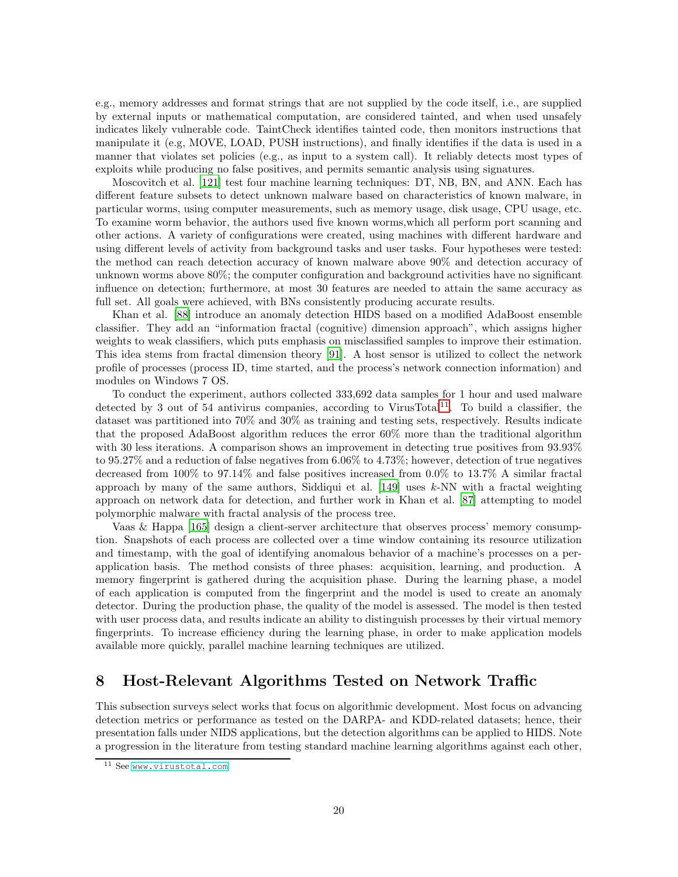e.g., memory addresses and format strings that are not supplied by the code itself, i.e., are supplied by external inputs or mathematical computation, are considered tainted, and when used unsafely indicates likely vulnerable code. TaintCheck identifies tainted code, then monitors instructions that manipulate it (e.g, MOVE, LOAD, PUSH instructions), and finally identifies if the data is used in a manner that violates set policies (e.g., as input to a system call). It reliably detects most types of exploits while producing no false positives, and permits semantic analysis using signatures.

Moscovitch et al. [\[121](#page-32-9)] test four machine learning techniques: DT, NB, BN, and ANN. Each has different feature subsets to detect unknown malware based on characteristics of known malware, in particular worms, using computer measurements, such as memory usage, disk usage, CPU usage, etc. To examine worm behavior, the authors used five known worms,which all perform port scanning and other actions. A variety of configurations were created, using machines with different hardware and using different levels of activity from background tasks and user tasks. Four hypotheses were tested: the method can reach detection accuracy of known malware above 90% and detection accuracy of unknown worms above 80%; the computer configuration and background activities have no significant influence on detection; furthermore, at most 30 features are needed to attain the same accuracy as full set. All goals were achieved, with BNs consistently producing accurate results.

Khan et al. [\[88\]](#page-30-9) introduce an anomaly detection HIDS based on a modified AdaBoost ensemble classifier. They add an "information fractal (cognitive) dimension approach", which assigns higher weights to weak classifiers, which puts emphasis on misclassified samples to improve their estimation. This idea stems from fractal dimension theory [\[91](#page-30-11)]. A host sensor is utilized to collect the network profile of processes (process ID, time started, and the process's network connection information) and modules on Windows 7 OS.

To conduct the experiment, authors collected 333,692 data samples for 1 hour and used malware detected by 3 out of 54 antivirus companies, according to VirusTotal<sup>[11](#page-19-1)</sup>. To build a classifier, the dataset was partitioned into 70% and 30% as training and testing sets, respectively. Results indicate that the proposed AdaBoost algorithm reduces the error 60% more than the traditional algorithm with 30 less iterations. A comparison shows an improvement in detecting true positives from 93.93% to 95.27% and a reduction of false negatives from 6.06% to 4.73%; however, detection of true negatives decreased from 100% to 97.14% and false positives increased from 0.0% to 13.7% A similar fractal approach by many of the same authors, Siddiqui et al.  $[149]$  uses  $k$ -NN with a fractal weighting approach on network data for detection, and further work in Khan et al. [\[87\]](#page-30-10) attempting to model polymorphic malware with fractal analysis of the process tree.

Vaas & Happa [\[165](#page-35-13)] design a client-server architecture that observes process' memory consumption. Snapshots of each process are collected over a time window containing its resource utilization and timestamp, with the goal of identifying anomalous behavior of a machine's processes on a perapplication basis. The method consists of three phases: acquisition, learning, and production. A memory fingerprint is gathered during the acquisition phase. During the learning phase, a model of each application is computed from the fingerprint and the model is used to create an anomaly detector. During the production phase, the quality of the model is assessed. The model is then tested with user process data, and results indicate an ability to distinguish processes by their virtual memory fingerprints. To increase efficiency during the learning phase, in order to make application models available more quickly, parallel machine learning techniques are utilized.

# <span id="page-19-0"></span>8 Host-Relevant Algorithms Tested on Network Traffic

This subsection surveys select works that focus on algorithmic development. Most focus on advancing detection metrics or performance as tested on the DARPA- and KDD-related datasets; hence, their presentation falls under NIDS applications, but the detection algorithms can be applied to HIDS. Note a progression in the literature from testing standard machine learning algorithms against each other,

<span id="page-19-1"></span><sup>11</sup> See <www.virustotal.com>.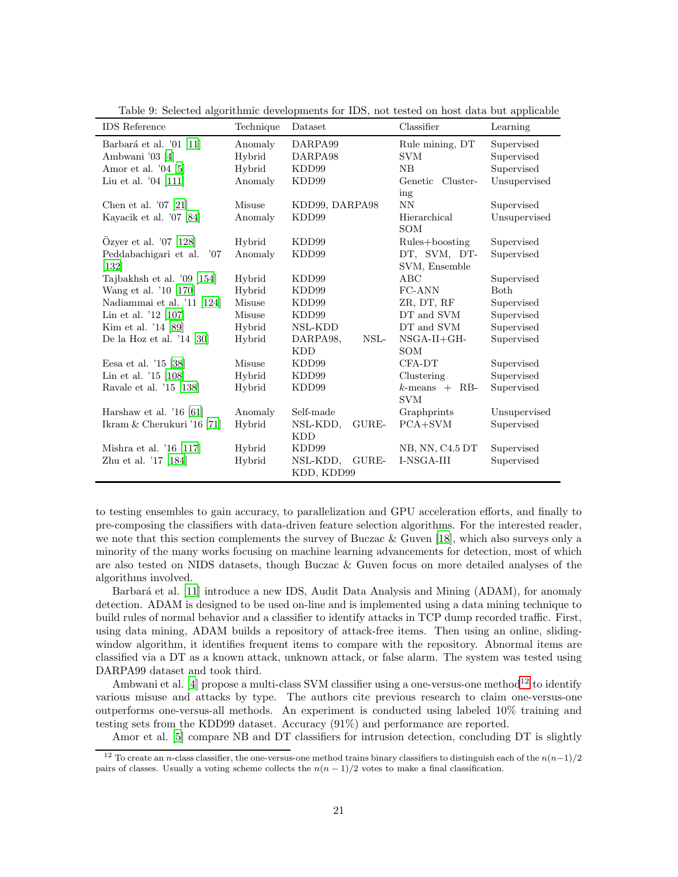| <b>IDS</b> Reference                  | Technique     | Dataset        |       | Classifier         | Learning     |
|---------------------------------------|---------------|----------------|-------|--------------------|--------------|
| Barbará et al. '01 [11]               | Anomaly       | DARPA99        |       | Rule mining, DT    | Supervised   |
| Ambwani '03 [4]                       | Hybrid        | DARPA98        |       | <b>SVM</b>         | Supervised   |
| Amor et al. $'04$ [5]                 | Hybrid        | KDD99          |       | NB                 | Supervised   |
| Liu et al. $'04$ [111]                | Anomaly       | KDD99          |       | Genetic Cluster-   | Unsupervised |
|                                       |               |                |       | ing                |              |
| Chen et al. $'07$ [21]                | Misuse        | KDD99, DARPA98 |       | <b>NN</b>          | Supervised   |
| Kayacik et al. '07 [84]               | Anomaly       | KDD99          |       | Hierarchical       | Unsupervised |
|                                       |               |                |       | SOM                |              |
| Ozyer et al. $'07$ [128]              | Hybrid        | KDD99          |       | $Rules + boosting$ | Supervised   |
| Peddabachigari et al.<br>$^{\circ}07$ | Anomaly       | KDD99          |       | DT, SVM, DT-       | Supervised   |
| $[132]$                               |               |                |       | SVM, Ensemble      |              |
| Tajbakhsh et al. $'09$ [154]          | Hybrid        | KDD99          |       | ABC                | Supervised   |
| Wang et al. '10 [170]                 | Hybrid        | KDD99          |       | FC-ANN             | <b>Both</b>  |
| Nadiammai et al. '11 [124]            | <b>Misuse</b> | KDD99          |       | ZR, DT, RF         | Supervised   |
| Lin et al. $'12$ [107]                | <b>Misuse</b> | KDD99          |       | DT and SVM         | Supervised   |
| Kim et al. '14 [89]                   | Hybrid        | NSL-KDD        |       | DT and SVM         | Supervised   |
| De la Hoz et al. $'14$ [30]           | Hybrid        | DARPA98.       | NSL-  | $NSGA-II+GH-$      | Supervised   |
|                                       |               | <b>KDD</b>     |       | SOM                |              |
| Eesa et al. '15 [38]                  | Misuse        | KDD99          |       | CFA-DT             | Supervised   |
| Lin et al. $'15$ [108]                | Hybrid        | KDD99          |       | Clustering         | Supervised   |
| Ravale et al. '15 [138]               | Hybrid        | KDD99          |       | $k$ -means + RB-   | Supervised   |
|                                       |               |                |       | <b>SVM</b>         |              |
| Harshaw et al. $'16$ [61]             | Anomaly       | Self-made      |       | Graphprints        | Unsupervised |
| Ikram $&$ Cherukuri '16 [71]          | Hybrid        | NSL-KDD,       | GURE- | $PCA+SVM$          | Supervised   |
|                                       |               | <b>KDD</b>     |       |                    |              |
| Mishra et al. '16 [117]               | Hybrid        | KDD99          |       | NB, NN, C4.5 DT    | Supervised   |
| Zhu et al. '17 [184]                  | Hybrid        | NSL-KDD,       | GURE- | I-NSGA-III         | Supervised   |
|                                       |               | KDD, KDD99     |       |                    |              |

Table 9: Selected algorithmic developments for IDS, not tested on host data but applicable

to testing ensembles to gain accuracy, to parallelization and GPU acceleration efforts, and finally to pre-composing the classifiers with data-driven feature selection algorithms. For the interested reader, we note that this section complements the survey of Buczac & Guven [\[18](#page-26-8)], which also surveys only a minority of the many works focusing on machine learning advancements for detection, most of which are also tested on NIDS datasets, though Buczac & Guven focus on more detailed analyses of the algorithms involved.

Barbará et al. [\[11\]](#page-26-14) introduce a new IDS, Audit Data Analysis and Mining (ADAM), for anomaly detection. ADAM is designed to be used on-line and is implemented using a data mining technique to build rules of normal behavior and a classifier to identify attacks in TCP dump recorded traffic. First, using data mining, ADAM builds a repository of attack-free items. Then using an online, slidingwindow algorithm, it identifies frequent items to compare with the repository. Abnormal items are classified via a DT as a known attack, unknown attack, or false alarm. The system was tested using DARPA99 dataset and took third.

Ambwani et al. [\[4\]](#page-25-5) propose a multi-class SVM classifier using a one-versus-one method<sup>[12](#page-20-0)</sup> to identify various misuse and attacks by type. The authors cite previous research to claim one-versus-one outperforms one-versus-all methods. An experiment is conducted using labeled 10% training and testing sets from the KDD99 dataset. Accuracy (91%) and performance are reported.

Amor et al. [\[5\]](#page-25-6) compare NB and DT classifiers for intrusion detection, concluding DT is slightly

<span id="page-20-0"></span><sup>&</sup>lt;sup>12</sup> To create an n-class classifier, the one-versus-one method trains binary classifiers to distinguish each of the  $n(n-1)/2$ pairs of classes. Usually a voting scheme collects the  $n(n-1)/2$  votes to make a final classification.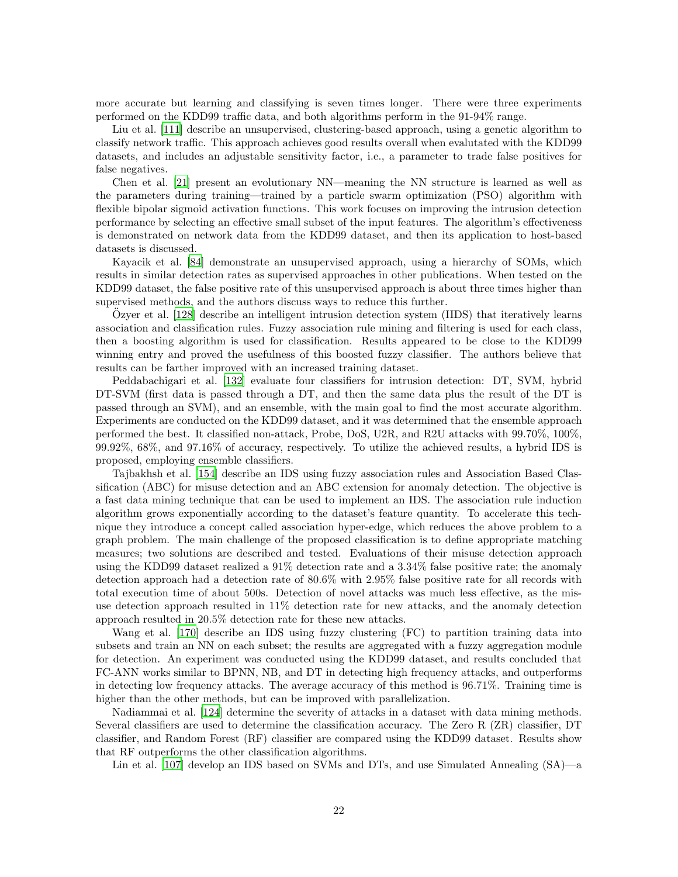more accurate but learning and classifying is seven times longer. There were three experiments performed on the KDD99 traffic data, and both algorithms perform in the 91-94% range.

Liu et al. [\[111\]](#page-31-12) describe an unsupervised, clustering-based approach, using a genetic algorithm to classify network traffic. This approach achieves good results overall when evalutated with the KDD99 datasets, and includes an adjustable sensitivity factor, i.e., a parameter to trade false positives for false negatives.

Chen et al. [\[21](#page-26-15)] present an evolutionary NN—meaning the NN structure is learned as well as the parameters during training—trained by a particle swarm optimization (PSO) algorithm with flexible bipolar sigmoid activation functions. This work focuses on improving the intrusion detection performance by selecting an effective small subset of the input features. The algorithm's effectiveness is demonstrated on network data from the KDD99 dataset, and then its application to host-based datasets is discussed.

Kayacik et al. [\[84\]](#page-30-12) demonstrate an unsupervised approach, using a hierarchy of SOMs, which results in similar detection rates as supervised approaches in other publications. When tested on the KDD99 dataset, the false positive rate of this unsupervised approach is about three times higher than supervised methods, and the authors discuss ways to reduce this further.

Ozyer et al.  $[128]$  describe an intelligent intrusion detection system  $(IIDS)$  that iteratively learns association and classification rules. Fuzzy association rule mining and filtering is used for each class, then a boosting algorithm is used for classification. Results appeared to be close to the KDD99 winning entry and proved the usefulness of this boosted fuzzy classifier. The authors believe that results can be farther improved with an increased training dataset.

Peddabachigari et al. [\[132\]](#page-33-10) evaluate four classifiers for intrusion detection: DT, SVM, hybrid DT-SVM (first data is passed through a DT, and then the same data plus the result of the DT is passed through an SVM), and an ensemble, with the main goal to find the most accurate algorithm. Experiments are conducted on the KDD99 dataset, and it was determined that the ensemble approach performed the best. It classified non-attack, Probe, DoS, U2R, and R2U attacks with 99.70%, 100%, 99.92%, 68%, and 97.16% of accuracy, respectively. To utilize the achieved results, a hybrid IDS is proposed, employing ensemble classifiers.

Tajbakhsh et al. [\[154](#page-34-15)] describe an IDS using fuzzy association rules and Association Based Classification (ABC) for misuse detection and an ABC extension for anomaly detection. The objective is a fast data mining technique that can be used to implement an IDS. The association rule induction algorithm grows exponentially according to the dataset's feature quantity. To accelerate this technique they introduce a concept called association hyper-edge, which reduces the above problem to a graph problem. The main challenge of the proposed classification is to define appropriate matching measures; two solutions are described and tested. Evaluations of their misuse detection approach using the KDD99 dataset realized a 91% detection rate and a 3.34% false positive rate; the anomaly detection approach had a detection rate of 80.6% with 2.95% false positive rate for all records with total execution time of about 500s. Detection of novel attacks was much less effective, as the misuse detection approach resulted in 11% detection rate for new attacks, and the anomaly detection approach resulted in 20.5% detection rate for these new attacks.

Wang et al. [\[170\]](#page-35-14) describe an IDS using fuzzy clustering (FC) to partition training data into subsets and train an NN on each subset; the results are aggregated with a fuzzy aggregation module for detection. An experiment was conducted using the KDD99 dataset, and results concluded that FC-ANN works similar to BPNN, NB, and DT in detecting high frequency attacks, and outperforms in detecting low frequency attacks. The average accuracy of this method is 96.71%. Training time is higher than the other methods, but can be improved with parallelization.

Nadiammai et al. [\[124\]](#page-32-11) determine the severity of attacks in a dataset with data mining methods. Several classifiers are used to determine the classification accuracy. The Zero R (ZR) classifier, DT classifier, and Random Forest (RF) classifier are compared using the KDD99 dataset. Results show that RF outperforms the other classification algorithms.

Lin et al. [\[107\]](#page-31-13) develop an IDS based on SVMs and DTs, and use Simulated Annealing (SA)—a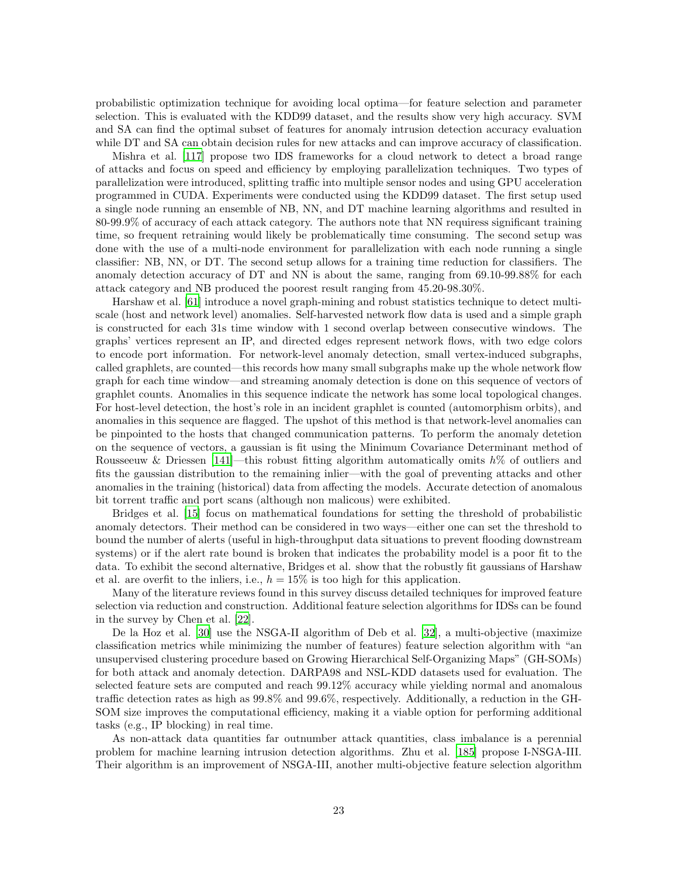probabilistic optimization technique for avoiding local optima—for feature selection and parameter selection. This is evaluated with the KDD99 dataset, and the results show very high accuracy. SVM and SA can find the optimal subset of features for anomaly intrusion detection accuracy evaluation while DT and SA can obtain decision rules for new attacks and can improve accuracy of classification.

Mishra et al. [\[117](#page-32-12)] propose two IDS frameworks for a cloud network to detect a broad range of attacks and focus on speed and efficiency by employing parallelization techniques. Two types of parallelization were introduced, splitting traffic into multiple sensor nodes and using GPU acceleration programmed in CUDA. Experiments were conducted using the KDD99 dataset. The first setup used a single node running an ensemble of NB, NN, and DT machine learning algorithms and resulted in 80-99.9% of accuracy of each attack category. The authors note that NN requiress significant training time, so frequent retraining would likely be problematically time consuming. The second setup was done with the use of a multi-node environment for parallelization with each node running a single classifier: NB, NN, or DT. The second setup allows for a training time reduction for classifiers. The anomaly detection accuracy of DT and NN is about the same, ranging from 69.10-99.88% for each attack category and NB produced the poorest result ranging from 45.20-98.30%.

Harshaw et al. [\[61](#page-29-0)] introduce a novel graph-mining and robust statistics technique to detect multiscale (host and network level) anomalies. Self-harvested network flow data is used and a simple graph is constructed for each 31s time window with 1 second overlap between consecutive windows. The graphs' vertices represent an IP, and directed edges represent network flows, with two edge colors to encode port information. For network-level anomaly detection, small vertex-induced subgraphs, called graphlets, are counted—this records how many small subgraphs make up the whole network flow graph for each time window—and streaming anomaly detection is done on this sequence of vectors of graphlet counts. Anomalies in this sequence indicate the network has some local topological changes. For host-level detection, the host's role in an incident graphlet is counted (automorphism orbits), and anomalies in this sequence are flagged. The upshot of this method is that network-level anomalies can be pinpointed to the hosts that changed communication patterns. To perform the anomaly detetion on the sequence of vectors, a gaussian is fit using the Minimum Covariance Determinant method of Rousseeuw & Driessen [\[141](#page-33-12)]—this robust fitting algorithm automatically omits  $h\%$  of outliers and fits the gaussian distribution to the remaining inlier—with the goal of preventing attacks and other anomalies in the training (historical) data from affecting the models. Accurate detection of anomalous bit torrent traffic and port scans (although non malicous) were exhibited.

Bridges et al. [\[15\]](#page-26-3) focus on mathematical foundations for setting the threshold of probabilistic anomaly detectors. Their method can be considered in two ways—either one can set the threshold to bound the number of alerts (useful in high-throughput data situations to prevent flooding downstream systems) or if the alert rate bound is broken that indicates the probability model is a poor fit to the data. To exhibit the second alternative, Bridges et al. show that the robustly fit gaussians of Harshaw et al. are overfit to the inliers, i.e.,  $h = 15\%$  is too high for this application.

Many of the literature reviews found in this survey discuss detailed techniques for improved feature selection via reduction and construction. Additional feature selection algorithms for IDSs can be found in the survey by Chen et al. [\[22\]](#page-26-16).

De la Hoz et al. [\[30\]](#page-27-10) use the NSGA-II algorithm of Deb et al. [\[32\]](#page-27-12), a multi-objective (maximize classification metrics while minimizing the number of features) feature selection algorithm with "an unsupervised clustering procedure based on Growing Hierarchical Self-Organizing Maps" (GH-SOMs) for both attack and anomaly detection. DARPA98 and NSL-KDD datasets used for evaluation. The selected feature sets are computed and reach 99.12% accuracy while yielding normal and anomalous traffic detection rates as high as 99.8% and 99.6%, respectively. Additionally, a reduction in the GH-SOM size improves the computational efficiency, making it a viable option for performing additional tasks (e.g., IP blocking) in real time.

As non-attack data quantities far outnumber attack quantities, class imbalance is a perennial problem for machine learning intrusion detection algorithms. Zhu et al. [\[185\]](#page-36-5) propose I-NSGA-III. Their algorithm is an improvement of NSGA-III, another multi-objective feature selection algorithm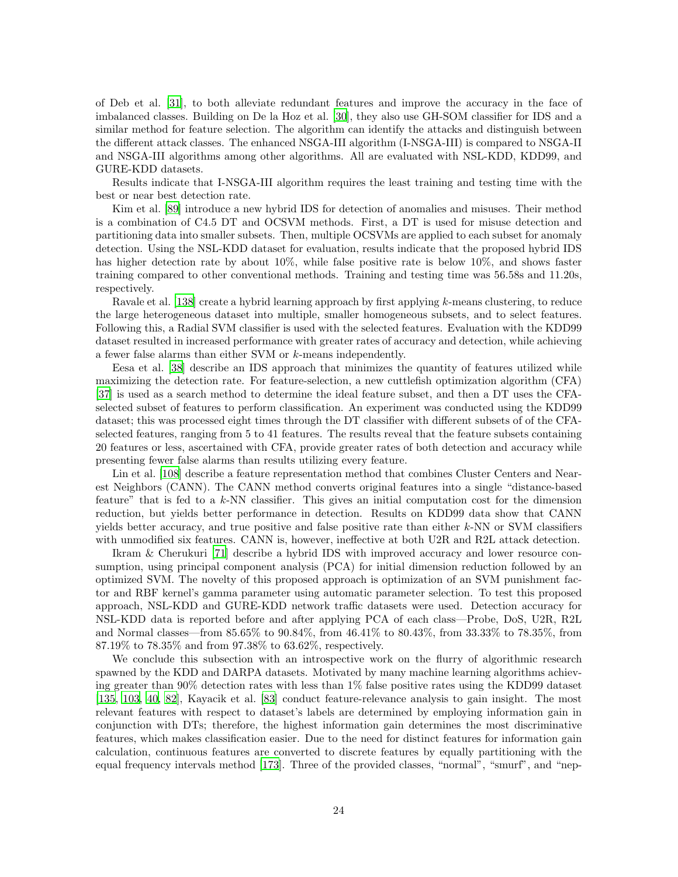of Deb et al. [\[31\]](#page-27-13), to both alleviate redundant features and improve the accuracy in the face of imbalanced classes. Building on De la Hoz et al. [\[30](#page-27-10)], they also use GH-SOM classifier for IDS and a similar method for feature selection. The algorithm can identify the attacks and distinguish between the different attack classes. The enhanced NSGA-III algorithm (I-NSGA-III) is compared to NSGA-II and NSGA-III algorithms among other algorithms. All are evaluated with NSL-KDD, KDD99, and GURE-KDD datasets.

Results indicate that I-NSGA-III algorithm requires the least training and testing time with the best or near best detection rate.

Kim et al. [\[89](#page-30-13)] introduce a new hybrid IDS for detection of anomalies and misuses. Their method is a combination of C4.5 DT and OCSVM methods. First, a DT is used for misuse detection and partitioning data into smaller subsets. Then, multiple OCSVMs are applied to each subset for anomaly detection. Using the NSL-KDD dataset for evaluation, results indicate that the proposed hybrid IDS has higher detection rate by about 10%, while false positive rate is below 10%, and shows faster training compared to other conventional methods. Training and testing time was 56.58s and 11.20s, respectively.

Ravale et al. [\[138\]](#page-33-11) create a hybrid learning approach by first applying k-means clustering, to reduce the large heterogeneous dataset into multiple, smaller homogeneous subsets, and to select features. Following this, a Radial SVM classifier is used with the selected features. Evaluation with the KDD99 dataset resulted in increased performance with greater rates of accuracy and detection, while achieving a fewer false alarms than either SVM or k-means independently.

Eesa et al. [\[38\]](#page-27-11) describe an IDS approach that minimizes the quantity of features utilized while maximizing the detection rate. For feature-selection, a new cuttlefish optimization algorithm (CFA) [\[37](#page-27-14)] is used as a search method to determine the ideal feature subset, and then a DT uses the CFAselected subset of features to perform classification. An experiment was conducted using the KDD99 dataset; this was processed eight times through the DT classifier with different subsets of of the CFAselected features, ranging from 5 to 41 features. The results reveal that the feature subsets containing 20 features or less, ascertained with CFA, provide greater rates of both detection and accuracy while presenting fewer false alarms than results utilizing every feature.

Lin et al. [\[108\]](#page-31-14) describe a feature representation method that combines Cluster Centers and Nearest Neighbors (CANN). The CANN method converts original features into a single "distance-based feature" that is fed to a k-NN classifier. This gives an initial computation cost for the dimension reduction, but yields better performance in detection. Results on KDD99 data show that CANN yields better accuracy, and true positive and false positive rate than either k-NN or SVM classifiers with unmodified six features. CANN is, however, ineffective at both U2R and R2L attack detection.

Ikram & Cherukuri [\[71\]](#page-29-17) describe a hybrid IDS with improved accuracy and lower resource consumption, using principal component analysis (PCA) for initial dimension reduction followed by an optimized SVM. The novelty of this proposed approach is optimization of an SVM punishment factor and RBF kernel's gamma parameter using automatic parameter selection. To test this proposed approach, NSL-KDD and GURE-KDD network traffic datasets were used. Detection accuracy for NSL-KDD data is reported before and after applying PCA of each class—Probe, DoS, U2R, R2L and Normal classes—from 85.65% to 90.84%, from 46.41% to 80.43%, from 33.33% to 78.35%, from 87.19% to 78.35% and from 97.38% to 63.62%, respectively.

We conclude this subsection with an introspective work on the flurry of algorithmic research spawned by the KDD and DARPA datasets. Motivated by many machine learning algorithms achieving greater than 90% detection rates with less than 1% false positive rates using the KDD99 dataset [\[135](#page-33-13), [103,](#page-31-15) [40,](#page-27-15) [82\]](#page-30-14), Kayacik et al. [\[83](#page-30-15)] conduct feature-relevance analysis to gain insight. The most relevant features with respect to dataset's labels are determined by employing information gain in conjunction with DTs; therefore, the highest information gain determines the most discriminative features, which makes classification easier. Due to the need for distinct features for information gain calculation, continuous features are converted to discrete features by equally partitioning with the equal frequency intervals method [\[173\]](#page-35-15). Three of the provided classes, "normal", "smurf", and "nep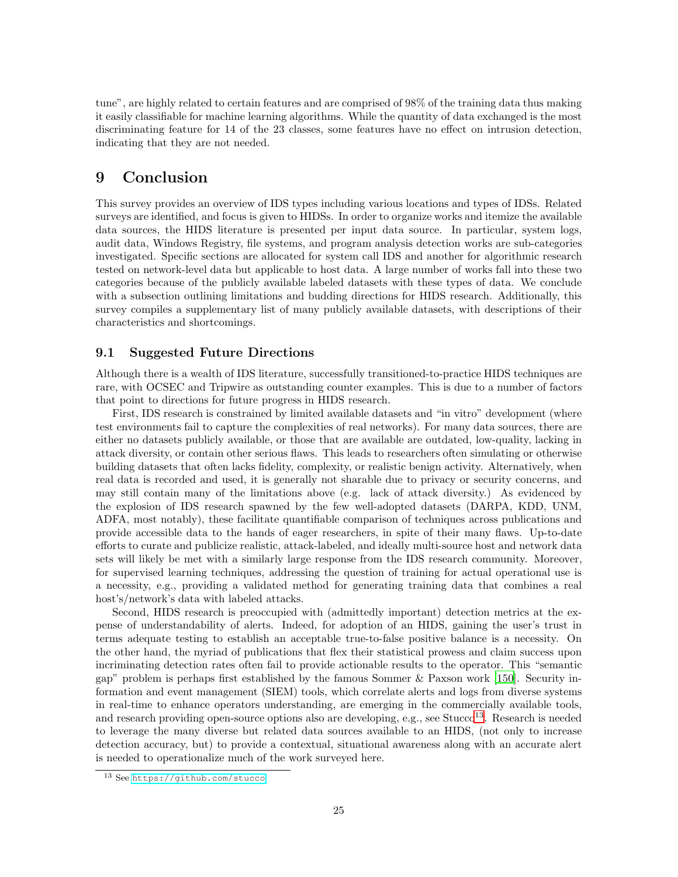tune", are highly related to certain features and are comprised of 98% of the training data thus making it easily classifiable for machine learning algorithms. While the quantity of data exchanged is the most discriminating feature for 14 of the 23 classes, some features have no effect on intrusion detection, indicating that they are not needed.

# 9 Conclusion

This survey provides an overview of IDS types including various locations and types of IDSs. Related surveys are identified, and focus is given to HIDSs. In order to organize works and itemize the available data sources, the HIDS literature is presented per input data source. In particular, system logs, audit data, Windows Registry, file systems, and program analysis detection works are sub-categories investigated. Specific sections are allocated for system call IDS and another for algorithmic research tested on network-level data but applicable to host data. A large number of works fall into these two categories because of the publicly available labeled datasets with these types of data. We conclude with a subsection outlining limitations and budding directions for HIDS research. Additionally, this survey compiles a supplementary list of many publicly available datasets, with descriptions of their characteristics and shortcomings.

### 9.1 Suggested Future Directions

Although there is a wealth of IDS literature, successfully transitioned-to-practice HIDS techniques are rare, with OCSEC and Tripwire as outstanding counter examples. This is due to a number of factors that point to directions for future progress in HIDS research.

First, IDS research is constrained by limited available datasets and "in vitro" development (where test environments fail to capture the complexities of real networks). For many data sources, there are either no datasets publicly available, or those that are available are outdated, low-quality, lacking in attack diversity, or contain other serious flaws. This leads to researchers often simulating or otherwise building datasets that often lacks fidelity, complexity, or realistic benign activity. Alternatively, when real data is recorded and used, it is generally not sharable due to privacy or security concerns, and may still contain many of the limitations above (e.g. lack of attack diversity.) As evidenced by the explosion of IDS research spawned by the few well-adopted datasets (DARPA, KDD, UNM, ADFA, most notably), these facilitate quantifiable comparison of techniques across publications and provide accessible data to the hands of eager researchers, in spite of their many flaws. Up-to-date efforts to curate and publicize realistic, attack-labeled, and ideally multi-source host and network data sets will likely be met with a similarly large response from the IDS research community. Moreover, for supervised learning techniques, addressing the question of training for actual operational use is a necessity, e.g., providing a validated method for generating training data that combines a real host's/network's data with labeled attacks.

Second, HIDS research is preoccupied with (admittedly important) detection metrics at the expense of understandability of alerts. Indeed, for adoption of an HIDS, gaining the user's trust in terms adequate testing to establish an acceptable true-to-false positive balance is a necessity. On the other hand, the myriad of publications that flex their statistical prowess and claim success upon incriminating detection rates often fail to provide actionable results to the operator. This "semantic gap" problem is perhaps first established by the famous Sommer & Paxson work [\[150\]](#page-34-1). Security information and event management (SIEM) tools, which correlate alerts and logs from diverse systems in real-time to enhance operators understanding, are emerging in the commercially available tools, and research providing open-source options also are developing, e.g., see Stucco<sup>[13](#page-24-0)</sup>. Research is needed to leverage the many diverse but related data sources available to an HIDS, (not only to increase detection accuracy, but) to provide a contextual, situational awareness along with an accurate alert is needed to operationalize much of the work surveyed here.

<span id="page-24-0"></span><sup>13</sup> See <https://github.com/stucco>.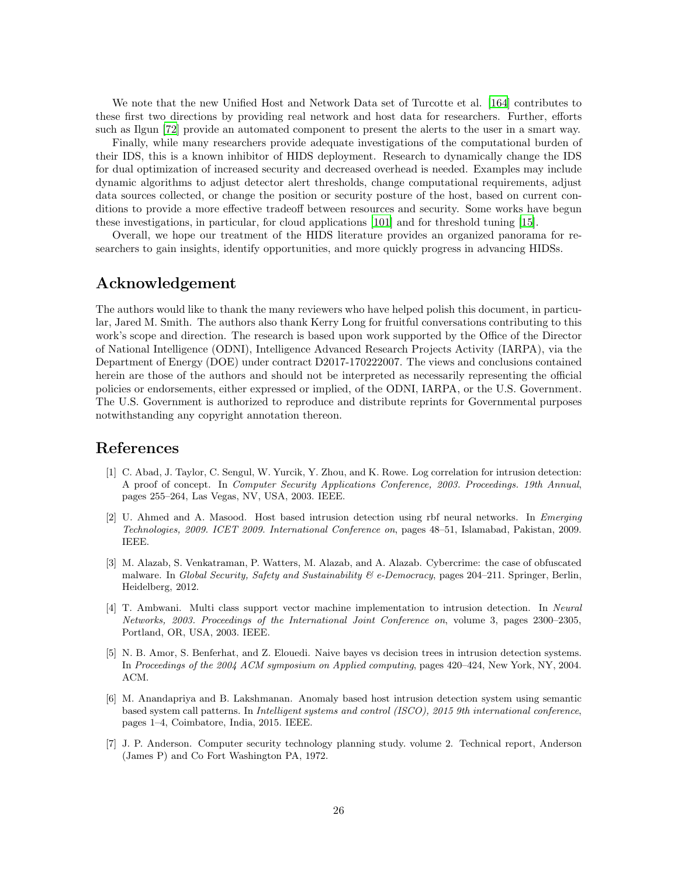We note that the new Unified Host and Network Data set of Turcotte et al. [\[164\]](#page-35-16) contributes to these first two directions by providing real network and host data for researchers. Further, efforts such as Ilgun [\[72\]](#page-29-2) provide an automated component to present the alerts to the user in a smart way.

Finally, while many researchers provide adequate investigations of the computational burden of their IDS, this is a known inhibitor of HIDS deployment. Research to dynamically change the IDS for dual optimization of increased security and decreased overhead is needed. Examples may include dynamic algorithms to adjust detector alert thresholds, change computational requirements, adjust data sources collected, or change the position or security posture of the host, based on current conditions to provide a more effective tradeoff between resources and security. Some works have begun these investigations, in particular, for cloud applications [\[101\]](#page-31-6) and for threshold tuning [\[15](#page-26-3)].

Overall, we hope our treatment of the HIDS literature provides an organized panorama for researchers to gain insights, identify opportunities, and more quickly progress in advancing HIDSs.

### Acknowledgement

The authors would like to thank the many reviewers who have helped polish this document, in particular, Jared M. Smith. The authors also thank Kerry Long for fruitful conversations contributing to this work's scope and direction. The research is based upon work supported by the Office of the Director of National Intelligence (ODNI), Intelligence Advanced Research Projects Activity (IARPA), via the Department of Energy (DOE) under contract D2017-170222007. The views and conclusions contained herein are those of the authors and should not be interpreted as necessarily representing the official policies or endorsements, either expressed or implied, of the ODNI, IARPA, or the U.S. Government. The U.S. Government is authorized to reproduce and distribute reprints for Governmental purposes notwithstanding any copyright annotation thereon.

### References

- <span id="page-25-2"></span>[1] C. Abad, J. Taylor, C. Sengul, W. Yurcik, Y. Zhou, and K. Rowe. Log correlation for intrusion detection: A proof of concept. In *Computer Security Applications Conference, 2003. Proceedings. 19th Annual*, pages 255–264, Las Vegas, NV, USA, 2003. IEEE.
- <span id="page-25-3"></span>[2] U. Ahmed and A. Masood. Host based intrusion detection using rbf neural networks. In *Emerging Technologies, 2009. ICET 2009. International Conference on*, pages 48–51, Islamabad, Pakistan, 2009. IEEE.
- <span id="page-25-1"></span>[3] M. Alazab, S. Venkatraman, P. Watters, M. Alazab, and A. Alazab. Cybercrime: the case of obfuscated malware. In *Global Security, Safety and Sustainability & e-Democracy*, pages 204–211. Springer, Berlin, Heidelberg, 2012.
- <span id="page-25-5"></span>[4] T. Ambwani. Multi class support vector machine implementation to intrusion detection. In *Neural Networks, 2003. Proceedings of the International Joint Conference on*, volume 3, pages 2300–2305, Portland, OR, USA, 2003. IEEE.
- <span id="page-25-6"></span>[5] N. B. Amor, S. Benferhat, and Z. Elouedi. Naive bayes vs decision trees in intrusion detection systems. In *Proceedings of the 2004 ACM symposium on Applied computing*, pages 420–424, New York, NY, 2004. ACM.
- <span id="page-25-4"></span>[6] M. Anandapriya and B. Lakshmanan. Anomaly based host intrusion detection system using semantic based system call patterns. In *Intelligent systems and control (ISCO), 2015 9th international conference*, pages 1–4, Coimbatore, India, 2015. IEEE.
- <span id="page-25-0"></span>[7] J. P. Anderson. Computer security technology planning study. volume 2. Technical report, Anderson (James P) and Co Fort Washington PA, 1972.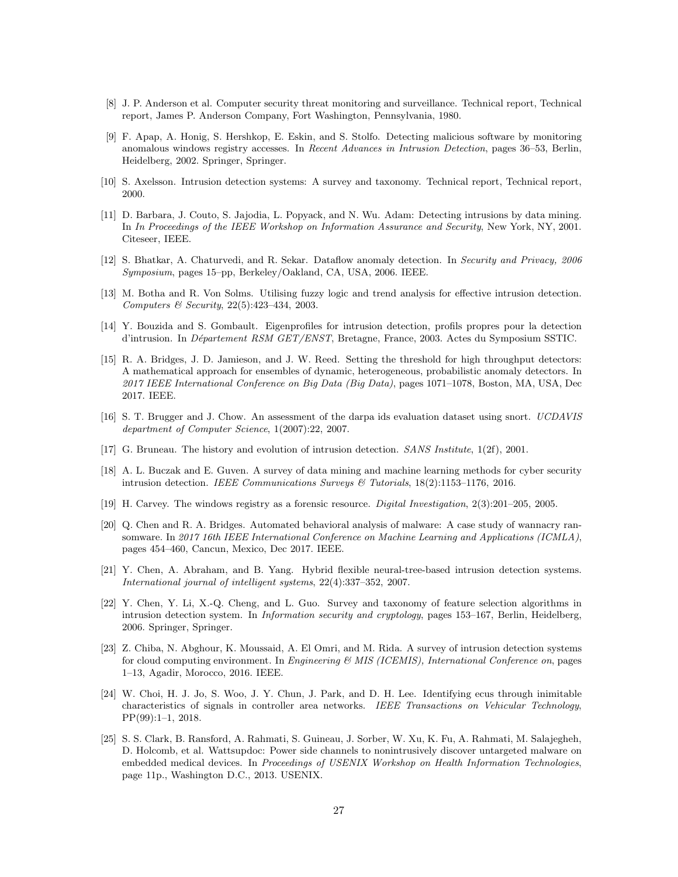- <span id="page-26-0"></span>[8] J. P. Anderson et al. Computer security threat monitoring and surveillance. Technical report, Technical report, James P. Anderson Company, Fort Washington, Pennsylvania, 1980.
- <span id="page-26-11"></span>[9] F. Apap, A. Honig, S. Hershkop, E. Eskin, and S. Stolfo. Detecting malicious software by monitoring anomalous windows registry accesses. In *Recent Advances in Intrusion Detection*, pages 36–53, Berlin, Heidelberg, 2002. Springer, Springer.
- <span id="page-26-6"></span>[10] S. Axelsson. Intrusion detection systems: A survey and taxonomy. Technical report, Technical report, 2000.
- <span id="page-26-14"></span>[11] D. Barbara, J. Couto, S. Jajodia, L. Popyack, and N. Wu. Adam: Detecting intrusions by data mining. In *In Proceedings of the IEEE Workshop on Information Assurance and Security*, New York, NY, 2001. Citeseer, IEEE.
- <span id="page-26-12"></span>[12] S. Bhatkar, A. Chaturvedi, and R. Sekar. Dataflow anomaly detection. In *Security and Privacy, 2006 Symposium*, pages 15–pp, Berkeley/Oakland, CA, USA, 2006. IEEE.
- <span id="page-26-10"></span>[13] M. Botha and R. Von Solms. Utilising fuzzy logic and trend analysis for effective intrusion detection. *Computers & Security*, 22(5):423–434, 2003.
- <span id="page-26-9"></span>[14] Y. Bouzida and S. Gombault. Eigenprofiles for intrusion detection, profils propres pour la detection d'intrusion. In *D´epartement RSM GET/ENST*, Bretagne, France, 2003. Actes du Symposium SSTIC.
- <span id="page-26-3"></span>[15] R. A. Bridges, J. D. Jamieson, and J. W. Reed. Setting the threshold for high throughput detectors: A mathematical approach for ensembles of dynamic, heterogeneous, probabilistic anomaly detectors. In *2017 IEEE International Conference on Big Data (Big Data)*, pages 1071–1078, Boston, MA, USA, Dec 2017. IEEE.
- <span id="page-26-17"></span>[16] S. T. Brugger and J. Chow. An assessment of the darpa ids evaluation dataset using snort. *UCDAVIS department of Computer Science*, 1(2007):22, 2007.
- <span id="page-26-1"></span>[17] G. Bruneau. The history and evolution of intrusion detection. *SANS Institute*, 1(2f), 2001.
- <span id="page-26-8"></span>[18] A. L. Buczak and E. Guven. A survey of data mining and machine learning methods for cyber security intrusion detection. *IEEE Communications Surveys & Tutorials*, 18(2):1153–1176, 2016.
- <span id="page-26-13"></span>[19] H. Carvey. The windows registry as a forensic resource. *Digital Investigation*, 2(3):201–205, 2005.
- <span id="page-26-2"></span>[20] Q. Chen and R. A. Bridges. Automated behavioral analysis of malware: A case study of wannacry ransomware. In *2017 16th IEEE International Conference on Machine Learning and Applications (ICMLA)*, pages 454–460, Cancun, Mexico, Dec 2017. IEEE.
- <span id="page-26-15"></span>[21] Y. Chen, A. Abraham, and B. Yang. Hybrid flexible neural-tree-based intrusion detection systems. *International journal of intelligent systems*, 22(4):337–352, 2007.
- <span id="page-26-16"></span>[22] Y. Chen, Y. Li, X.-Q. Cheng, and L. Guo. Survey and taxonomy of feature selection algorithms in intrusion detection system. In *Information security and cryptology*, pages 153–167, Berlin, Heidelberg, 2006. Springer, Springer.
- <span id="page-26-7"></span>[23] Z. Chiba, N. Abghour, K. Moussaid, A. El Omri, and M. Rida. A survey of intrusion detection systems for cloud computing environment. In *Engineering & MIS (ICEMIS), International Conference on*, pages 1–13, Agadir, Morocco, 2016. IEEE.
- <span id="page-26-4"></span>[24] W. Choi, H. J. Jo, S. Woo, J. Y. Chun, J. Park, and D. H. Lee. Identifying ecus through inimitable characteristics of signals in controller area networks. *IEEE Transactions on Vehicular Technology*, PP(99):1–1, 2018.
- <span id="page-26-5"></span>[25] S. S. Clark, B. Ransford, A. Rahmati, S. Guineau, J. Sorber, W. Xu, K. Fu, A. Rahmati, M. Salajegheh, D. Holcomb, et al. Wattsupdoc: Power side channels to nonintrusively discover untargeted malware on embedded medical devices. In *Proceedings of USENIX Workshop on Health Information Technologies*, page 11p., Washington D.C., 2013. USENIX.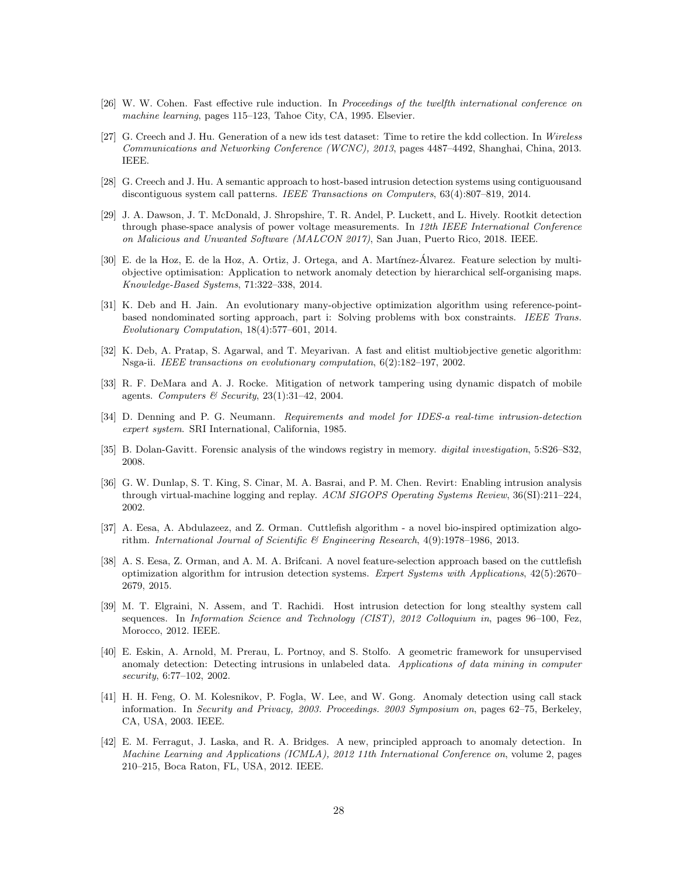- <span id="page-27-7"></span>[26] W. W. Cohen. Fast effective rule induction. In *Proceedings of the twelfth international conference on machine learning*, pages 115–123, Tahoe City, CA, 1995. Elsevier.
- <span id="page-27-16"></span>[27] G. Creech and J. Hu. Generation of a new ids test dataset: Time to retire the kdd collection. In *Wireless Communications and Networking Conference (WCNC), 2013*, pages 4487–4492, Shanghai, China, 2013. IEEE.
- <span id="page-27-4"></span>[28] G. Creech and J. Hu. A semantic approach to host-based intrusion detection systems using contiguousand discontiguous system call patterns. *IEEE Transactions on Computers*, 63(4):807–819, 2014.
- <span id="page-27-2"></span>[29] J. A. Dawson, J. T. McDonald, J. Shropshire, T. R. Andel, P. Luckett, and L. Hively. Rootkit detection through phase-space analysis of power voltage measurements. In *12th IEEE International Conference on Malicious and Unwanted Software (MALCON 2017)*, San Juan, Puerto Rico, 2018. IEEE.
- <span id="page-27-10"></span>[30] E. de la Hoz, E. de la Hoz, A. Ortiz, J. Ortega, and A. Martínez-Álvarez. Feature selection by multiobjective optimisation: Application to network anomaly detection by hierarchical self-organising maps. *Knowledge-Based Systems*, 71:322–338, 2014.
- <span id="page-27-13"></span>[31] K. Deb and H. Jain. An evolutionary many-objective optimization algorithm using reference-pointbased nondominated sorting approach, part i: Solving problems with box constraints. *IEEE Trans. Evolutionary Computation*, 18(4):577–601, 2014.
- <span id="page-27-12"></span>[32] K. Deb, A. Pratap, S. Agarwal, and T. Meyarivan. A fast and elitist multiobjective genetic algorithm: Nsga-ii. *IEEE transactions on evolutionary computation*, 6(2):182–197, 2002.
- <span id="page-27-9"></span>[33] R. F. DeMara and A. J. Rocke. Mitigation of network tampering using dynamic dispatch of mobile agents. *Computers & Security*, 23(1):31–42, 2004.
- <span id="page-27-0"></span>[34] D. Denning and P. G. Neumann. *Requirements and model for IDES-a real-time intrusion-detection expert system*. SRI International, California, 1985.
- <span id="page-27-8"></span>[35] B. Dolan-Gavitt. Forensic analysis of the windows registry in memory. *digital investigation*, 5:S26–S32, 2008.
- <span id="page-27-3"></span>[36] G. W. Dunlap, S. T. King, S. Cinar, M. A. Basrai, and P. M. Chen. Revirt: Enabling intrusion analysis through virtual-machine logging and replay. *ACM SIGOPS Operating Systems Review*, 36(SI):211–224, 2002.
- <span id="page-27-14"></span>[37] A. Eesa, A. Abdulazeez, and Z. Orman. Cuttlefish algorithm - a novel bio-inspired optimization algorithm. *International Journal of Scientific & Engineering Research*, 4(9):1978–1986, 2013.
- <span id="page-27-11"></span>[38] A. S. Eesa, Z. Orman, and A. M. A. Brifcani. A novel feature-selection approach based on the cuttlefish optimization algorithm for intrusion detection systems. *Expert Systems with Applications*, 42(5):2670– 2679, 2015.
- <span id="page-27-6"></span>[39] M. T. Elgraini, N. Assem, and T. Rachidi. Host intrusion detection for long stealthy system call sequences. In *Information Science and Technology (CIST), 2012 Colloquium in*, pages 96–100, Fez, Morocco, 2012. IEEE.
- <span id="page-27-15"></span>[40] E. Eskin, A. Arnold, M. Prerau, L. Portnoy, and S. Stolfo. A geometric framework for unsupervised anomaly detection: Detecting intrusions in unlabeled data. *Applications of data mining in computer security*, 6:77–102, 2002.
- <span id="page-27-5"></span>[41] H. H. Feng, O. M. Kolesnikov, P. Fogla, W. Lee, and W. Gong. Anomaly detection using call stack information. In *Security and Privacy, 2003. Proceedings. 2003 Symposium on*, pages 62–75, Berkeley, CA, USA, 2003. IEEE.
- <span id="page-27-1"></span>[42] E. M. Ferragut, J. Laska, and R. A. Bridges. A new, principled approach to anomaly detection. In *Machine Learning and Applications (ICMLA), 2012 11th International Conference on*, volume 2, pages 210–215, Boca Raton, FL, USA, 2012. IEEE.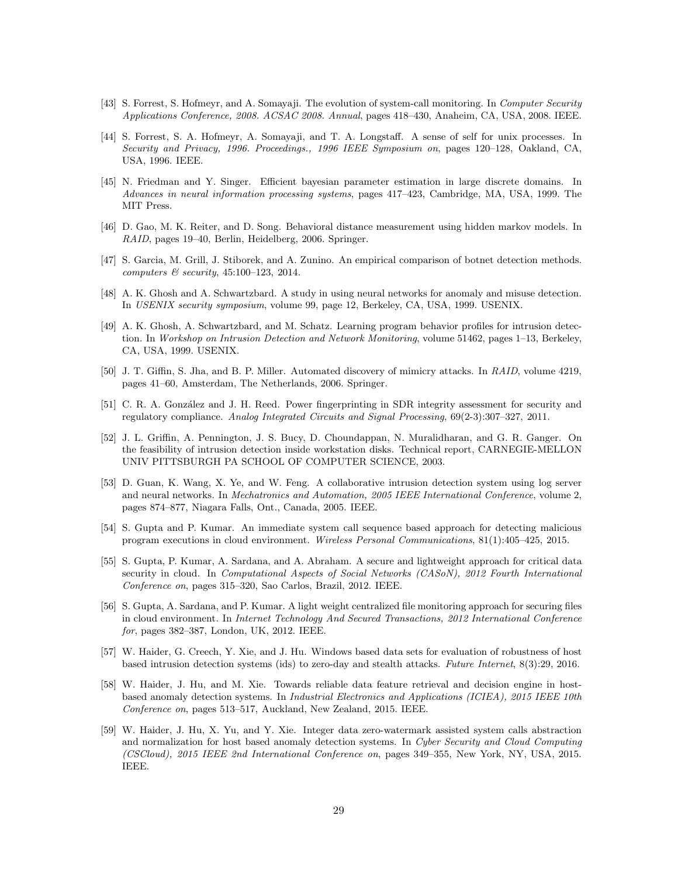- <span id="page-28-2"></span>[43] S. Forrest, S. Hofmeyr, and A. Somayaji. The evolution of system-call monitoring. In *Computer Security Applications Conference, 2008. ACSAC 2008. Annual*, pages 418–430, Anaheim, CA, USA, 2008. IEEE.
- <span id="page-28-3"></span>[44] S. Forrest, S. A. Hofmeyr, A. Somayaji, and T. A. Longstaff. A sense of self for unix processes. In *Security and Privacy, 1996. Proceedings., 1996 IEEE Symposium on*, pages 120–128, Oakland, CA, USA, 1996. IEEE.
- <span id="page-28-10"></span>[45] N. Friedman and Y. Singer. Efficient bayesian parameter estimation in large discrete domains. In *Advances in neural information processing systems*, pages 417–423, Cambridge, MA, USA, 1999. The MIT Press.
- <span id="page-28-6"></span>[46] D. Gao, M. K. Reiter, and D. Song. Behavioral distance measurement using hidden markov models. In *RAID*, pages 19–40, Berlin, Heidelberg, 2006. Springer.
- <span id="page-28-16"></span>[47] S. Garcia, M. Grill, J. Stiborek, and A. Zunino. An empirical comparison of botnet detection methods. *computers & security*, 45:100–123, 2014.
- <span id="page-28-4"></span>[48] A. K. Ghosh and A. Schwartzbard. A study in using neural networks for anomaly and misuse detection. In *USENIX security symposium*, volume 99, page 12, Berkeley, CA, USA, 1999. USENIX.
- <span id="page-28-5"></span>[49] A. K. Ghosh, A. Schwartzbard, and M. Schatz. Learning program behavior profiles for intrusion detection. In *Workshop on Intrusion Detection and Network Monitoring*, volume 51462, pages 1–13, Berkeley, CA, USA, 1999. USENIX.
- <span id="page-28-9"></span>[50] J. T. Giffin, S. Jha, and B. P. Miller. Automated discovery of mimicry attacks. In *RAID*, volume 4219, pages 41–60, Amsterdam, The Netherlands, 2006. Springer.
- <span id="page-28-0"></span>[51] C. R. A. González and J. H. Reed. Power fingerprinting in SDR integrity assessment for security and regulatory compliance. *Analog Integrated Circuits and Signal Processing*, 69(2-3):307–327, 2011.
- <span id="page-28-11"></span>[52] J. L. Griffin, A. Pennington, J. S. Bucy, D. Choundappan, N. Muralidharan, and G. R. Ganger. On the feasibility of intrusion detection inside workstation disks. Technical report, CARNEGIE-MELLON UNIV PITTSBURGH PA SCHOOL OF COMPUTER SCIENCE, 2003.
- <span id="page-28-1"></span>[53] D. Guan, K. Wang, X. Ye, and W. Feng. A collaborative intrusion detection system using log server and neural networks. In *Mechatronics and Automation, 2005 IEEE International Conference*, volume 2, pages 874–877, Niagara Falls, Ont., Canada, 2005. IEEE.
- <span id="page-28-7"></span>[54] S. Gupta and P. Kumar. An immediate system call sequence based approach for detecting malicious program executions in cloud environment. *Wireless Personal Communications*, 81(1):405–425, 2015.
- <span id="page-28-12"></span>[55] S. Gupta, P. Kumar, A. Sardana, and A. Abraham. A secure and lightweight approach for critical data security in cloud. In *Computational Aspects of Social Networks (CASoN), 2012 Fourth International Conference on*, pages 315–320, Sao Carlos, Brazil, 2012. IEEE.
- <span id="page-28-13"></span>[56] S. Gupta, A. Sardana, and P. Kumar. A light weight centralized file monitoring approach for securing files in cloud environment. In *Internet Technology And Secured Transactions, 2012 International Conference for*, pages 382–387, London, UK, 2012. IEEE.
- <span id="page-28-15"></span>[57] W. Haider, G. Creech, Y. Xie, and J. Hu. Windows based data sets for evaluation of robustness of host based intrusion detection systems (ids) to zero-day and stealth attacks. *Future Internet*, 8(3):29, 2016.
- <span id="page-28-8"></span>[58] W. Haider, J. Hu, and M. Xie. Towards reliable data feature retrieval and decision engine in hostbased anomaly detection systems. In *Industrial Electronics and Applications (ICIEA), 2015 IEEE 10th Conference on*, pages 513–517, Auckland, New Zealand, 2015. IEEE.
- <span id="page-28-14"></span>[59] W. Haider, J. Hu, X. Yu, and Y. Xie. Integer data zero-watermark assisted system calls abstraction and normalization for host based anomaly detection systems. In *Cyber Security and Cloud Computing (CSCloud), 2015 IEEE 2nd International Conference on*, pages 349–355, New York, NY, USA, 2015. IEEE.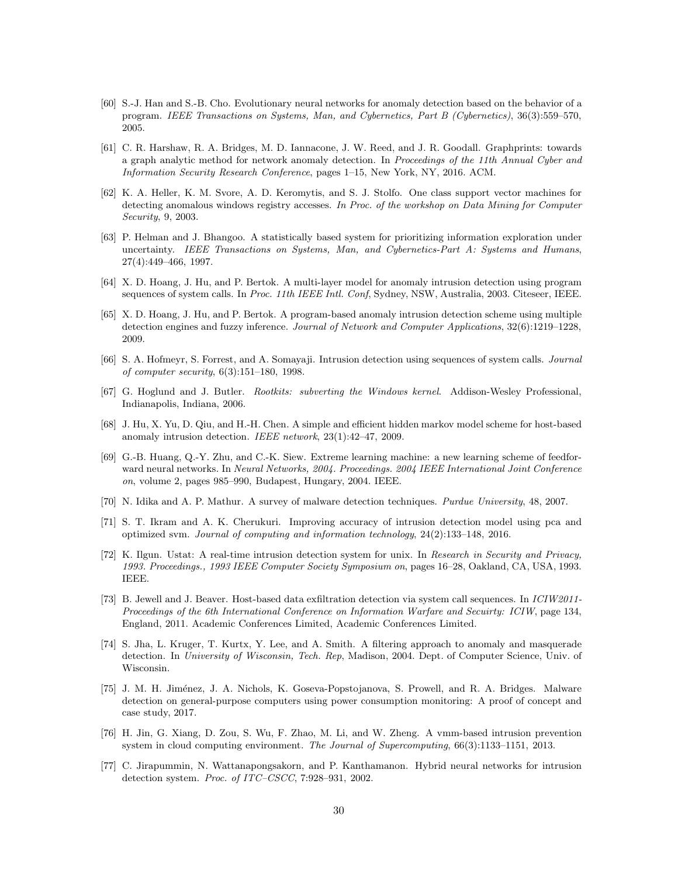- <span id="page-29-6"></span>[60] S.-J. Han and S.-B. Cho. Evolutionary neural networks for anomaly detection based on the behavior of a program. *IEEE Transactions on Systems, Man, and Cybernetics, Part B (Cybernetics)*, 36(3):559–570, 2005.
- <span id="page-29-0"></span>[61] C. R. Harshaw, R. A. Bridges, M. D. Iannacone, J. W. Reed, and J. R. Goodall. Graphprints: towards a graph analytic method for network anomaly detection. In *Proceedings of the 11th Annual Cyber and Information Security Research Conference*, pages 1–15, New York, NY, 2016. ACM.
- <span id="page-29-15"></span>[62] K. A. Heller, K. M. Svore, A. D. Keromytis, and S. J. Stolfo. One class support vector machines for detecting anomalous windows registry accesses. *In Proc. of the workshop on Data Mining for Computer Security*, 9, 2003.
- <span id="page-29-9"></span>[63] P. Helman and J. Bhangoo. A statistically based system for prioritizing information exploration under uncertainty. *IEEE Transactions on Systems, Man, and Cybernetics-Part A: Systems and Humans*, 27(4):449–466, 1997.
- <span id="page-29-4"></span>[64] X. D. Hoang, J. Hu, and P. Bertok. A multi-layer model for anomaly intrusion detection using program sequences of system calls. In *Proc. 11th IEEE Intl. Conf*, Sydney, NSW, Australia, 2003. Citeseer, IEEE.
- <span id="page-29-11"></span>[65] X. D. Hoang, J. Hu, and P. Bertok. A program-based anomaly intrusion detection scheme using multiple detection engines and fuzzy inference. *Journal of Network and Computer Applications*, 32(6):1219–1228, 2009.
- <span id="page-29-3"></span>[66] S. A. Hofmeyr, S. Forrest, and A. Somayaji. Intrusion detection using sequences of system calls. *Journal of computer security*, 6(3):151–180, 1998.
- <span id="page-29-14"></span>[67] G. Hoglund and J. Butler. *Rootkits: subverting the Windows kernel*. Addison-Wesley Professional, Indianapolis, Indiana, 2006.
- <span id="page-29-7"></span>[68] J. Hu, X. Yu, D. Qiu, and H.-H. Chen. A simple and efficient hidden markov model scheme for host-based anomaly intrusion detection. *IEEE network*, 23(1):42–47, 2009.
- <span id="page-29-10"></span>[69] G.-B. Huang, Q.-Y. Zhu, and C.-K. Siew. Extreme learning machine: a new learning scheme of feedforward neural networks. In *Neural Networks, 2004. Proceedings. 2004 IEEE International Joint Conference on*, volume 2, pages 985–990, Budapest, Hungary, 2004. IEEE.
- <span id="page-29-13"></span>[70] N. Idika and A. P. Mathur. A survey of malware detection techniques. *Purdue University*, 48, 2007.
- <span id="page-29-17"></span>[71] S. T. Ikram and A. K. Cherukuri. Improving accuracy of intrusion detection model using pca and optimized svm. *Journal of computing and information technology*, 24(2):133–148, 2016.
- <span id="page-29-2"></span>[72] K. Ilgun. Ustat: A real-time intrusion detection system for unix. In *Research in Security and Privacy, 1993. Proceedings., 1993 IEEE Computer Society Symposium on*, pages 16–28, Oakland, CA, USA, 1993. IEEE.
- <span id="page-29-8"></span>[73] B. Jewell and J. Beaver. Host-based data exfiltration detection via system call sequences. In *ICIW2011- Proceedings of the 6th International Conference on Information Warfare and Secuirty: ICIW*, page 134, England, 2011. Academic Conferences Limited, Academic Conferences Limited.
- <span id="page-29-5"></span>[74] S. Jha, L. Kruger, T. Kurtx, Y. Lee, and A. Smith. A filtering approach to anomaly and masquerade detection. In *University of Wisconsin, Tech. Rep*, Madison, 2004. Dept. of Computer Science, Univ. of Wisconsin.
- <span id="page-29-1"></span>[75] J. M. H. Jiménez, J. A. Nichols, K. Goseva-Popstojanova, S. Prowell, and R. A. Bridges. Malware detection on general-purpose computers using power consumption monitoring: A proof of concept and case study, 2017.
- <span id="page-29-16"></span>[76] H. Jin, G. Xiang, D. Zou, S. Wu, F. Zhao, M. Li, and W. Zheng. A vmm-based intrusion prevention system in cloud computing environment. *The Journal of Supercomputing*, 66(3):1133–1151, 2013.
- <span id="page-29-12"></span>[77] C. Jirapummin, N. Wattanapongsakorn, and P. Kanthamanon. Hybrid neural networks for intrusion detection system. *Proc. of ITC–CSCC*, 7:928–931, 2002.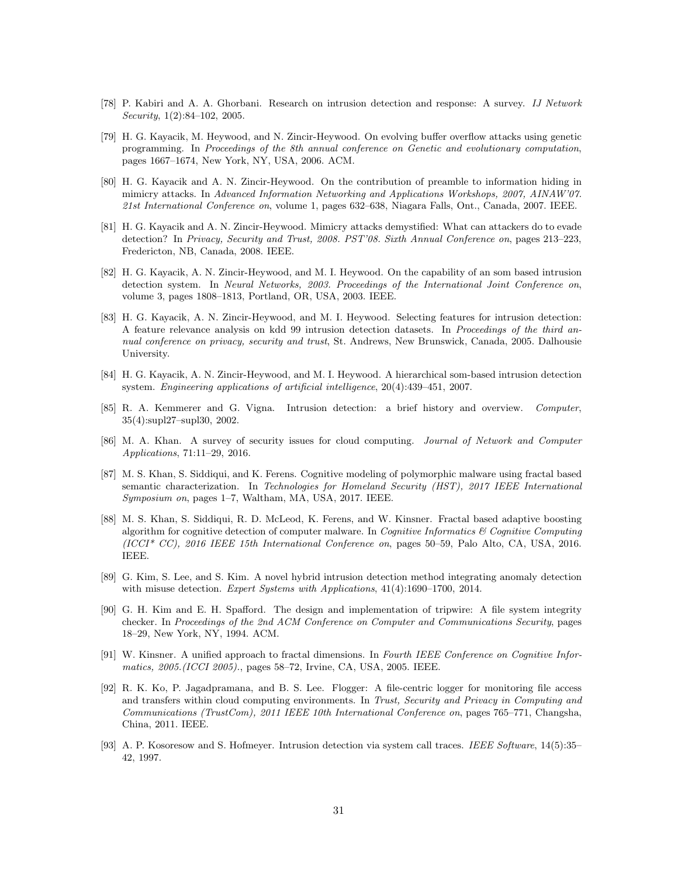- <span id="page-30-2"></span>[78] P. Kabiri and A. A. Ghorbani. Research on intrusion detection and response: A survey. *IJ Network Security*, 1(2):84–102, 2005.
- <span id="page-30-4"></span>[79] H. G. Kayacik, M. Heywood, and N. Zincir-Heywood. On evolving buffer overflow attacks using genetic programming. In *Proceedings of the 8th annual conference on Genetic and evolutionary computation*, pages 1667–1674, New York, NY, USA, 2006. ACM.
- <span id="page-30-5"></span>[80] H. G. Kayacik and A. N. Zincir-Heywood. On the contribution of preamble to information hiding in mimicry attacks. In *Advanced Information Networking and Applications Workshops, 2007, AINAW'07. 21st International Conference on*, volume 1, pages 632–638, Niagara Falls, Ont., Canada, 2007. IEEE.
- <span id="page-30-6"></span>[81] H. G. Kayacik and A. N. Zincir-Heywood. Mimicry attacks demystified: What can attackers do to evade detection? In *Privacy, Security and Trust, 2008. PST'08. Sixth Annual Conference on*, pages 213–223, Fredericton, NB, Canada, 2008. IEEE.
- <span id="page-30-14"></span>[82] H. G. Kayacik, A. N. Zincir-Heywood, and M. I. Heywood. On the capability of an som based intrusion detection system. In *Neural Networks, 2003. Proceedings of the International Joint Conference on*, volume 3, pages 1808–1813, Portland, OR, USA, 2003. IEEE.
- <span id="page-30-15"></span>[83] H. G. Kayacik, A. N. Zincir-Heywood, and M. I. Heywood. Selecting features for intrusion detection: A feature relevance analysis on kdd 99 intrusion detection datasets. In *Proceedings of the third annual conference on privacy, security and trust*, St. Andrews, New Brunswick, Canada, 2005. Dalhousie University.
- <span id="page-30-12"></span>[84] H. G. Kayacik, A. N. Zincir-Heywood, and M. I. Heywood. A hierarchical som-based intrusion detection system. *Engineering applications of artificial intelligence*, 20(4):439–451, 2007.
- <span id="page-30-0"></span>[85] R. A. Kemmerer and G. Vigna. Intrusion detection: a brief history and overview. *Computer*, 35(4):supl27–supl30, 2002.
- <span id="page-30-3"></span>[86] M. A. Khan. A survey of security issues for cloud computing. *Journal of Network and Computer Applications*, 71:11–29, 2016.
- <span id="page-30-10"></span>[87] M. S. Khan, S. Siddiqui, and K. Ferens. Cognitive modeling of polymorphic malware using fractal based semantic characterization. In *Technologies for Homeland Security (HST), 2017 IEEE International Symposium on*, pages 1–7, Waltham, MA, USA, 2017. IEEE.
- <span id="page-30-9"></span>[88] M. S. Khan, S. Siddiqui, R. D. McLeod, K. Ferens, and W. Kinsner. Fractal based adaptive boosting algorithm for cognitive detection of computer malware. In *Cognitive Informatics & Cognitive Computing (ICCI\* CC), 2016 IEEE 15th International Conference on*, pages 50–59, Palo Alto, CA, USA, 2016. IEEE.
- <span id="page-30-13"></span>[89] G. Kim, S. Lee, and S. Kim. A novel hybrid intrusion detection method integrating anomaly detection with misuse detection. *Expert Systems with Applications*, 41(4):1690–1700, 2014.
- <span id="page-30-7"></span>[90] G. H. Kim and E. H. Spafford. The design and implementation of tripwire: A file system integrity checker. In *Proceedings of the 2nd ACM Conference on Computer and Communications Security*, pages 18–29, New York, NY, 1994. ACM.
- <span id="page-30-11"></span>[91] W. Kinsner. A unified approach to fractal dimensions. In *Fourth IEEE Conference on Cognitive Informatics, 2005.(ICCI 2005).*, pages 58–72, Irvine, CA, USA, 2005. IEEE.
- <span id="page-30-8"></span>[92] R. K. Ko, P. Jagadpramana, and B. S. Lee. Flogger: A file-centric logger for monitoring file access and transfers within cloud computing environments. In *Trust, Security and Privacy in Computing and Communications (TrustCom), 2011 IEEE 10th International Conference on*, pages 765–771, Changsha, China, 2011. IEEE.
- <span id="page-30-1"></span>[93] A. P. Kosoresow and S. Hofmeyer. Intrusion detection via system call traces. *IEEE Software*, 14(5):35– 42, 1997.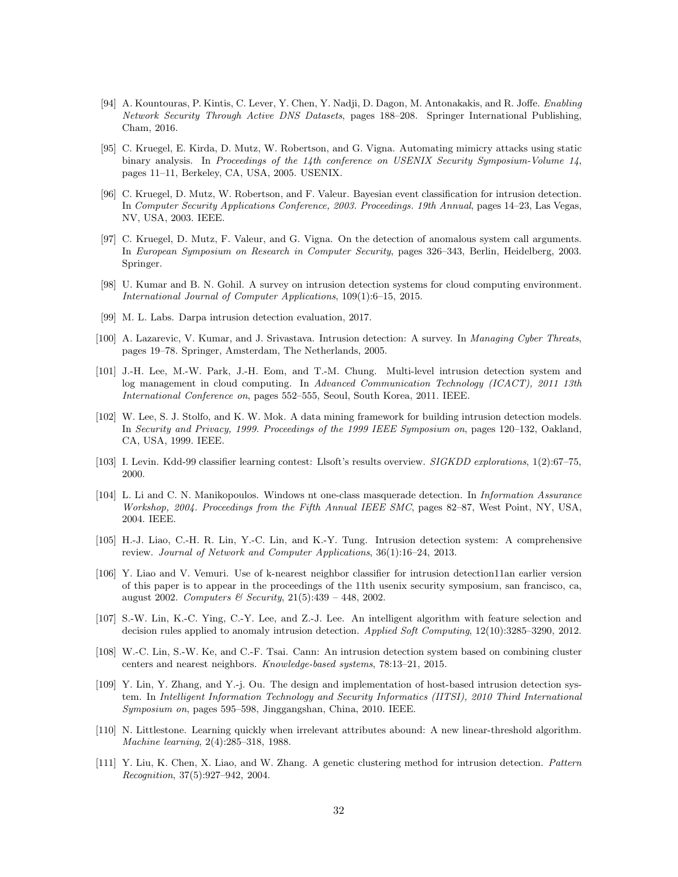- <span id="page-31-17"></span>[94] A. Kountouras, P. Kintis, C. Lever, Y. Chen, Y. Nadji, D. Dagon, M. Antonakakis, and R. Joffe. *Enabling Network Security Through Active DNS Datasets*, pages 188–208. Springer International Publishing, Cham, 2016.
- <span id="page-31-11"></span>[95] C. Kruegel, E. Kirda, D. Mutz, W. Robertson, and G. Vigna. Automating mimicry attacks using static binary analysis. In *Proceedings of the 14th conference on USENIX Security Symposium-Volume 14*, pages 11–11, Berkeley, CA, USA, 2005. USENIX.
- <span id="page-31-8"></span>[96] C. Kruegel, D. Mutz, W. Robertson, and F. Valeur. Bayesian event classification for intrusion detection. In *Computer Security Applications Conference, 2003. Proceedings. 19th Annual*, pages 14–23, Las Vegas, NV, USA, 2003. IEEE.
- <span id="page-31-9"></span>[97] C. Kruegel, D. Mutz, F. Valeur, and G. Vigna. On the detection of anomalous system call arguments. In *European Symposium on Research in Computer Security*, pages 326–343, Berlin, Heidelberg, 2003. Springer.
- <span id="page-31-2"></span>[98] U. Kumar and B. N. Gohil. A survey on intrusion detection systems for cloud computing environment. *International Journal of Computer Applications*, 109(1):6–15, 2015.
- <span id="page-31-16"></span>[99] M. L. Labs. Darpa intrusion detection evaluation, 2017.
- <span id="page-31-0"></span>[100] A. Lazarevic, V. Kumar, and J. Srivastava. Intrusion detection: A survey. In *Managing Cyber Threats*, pages 19–78. Springer, Amsterdam, The Netherlands, 2005.
- <span id="page-31-6"></span>[101] J.-H. Lee, M.-W. Park, J.-H. Eom, and T.-M. Chung. Multi-level intrusion detection system and log management in cloud computing. In *Advanced Communication Technology (ICACT), 2011 13th International Conference on*, pages 552–555, Seoul, South Korea, 2011. IEEE.
- <span id="page-31-10"></span>[102] W. Lee, S. J. Stolfo, and K. W. Mok. A data mining framework for building intrusion detection models. In *Security and Privacy, 1999. Proceedings of the 1999 IEEE Symposium on*, pages 120–132, Oakland, CA, USA, 1999. IEEE.
- <span id="page-31-15"></span>[103] I. Levin. Kdd-99 classifier learning contest: Llsoft's results overview. *SIGKDD explorations*, 1(2):67–75, 2000.
- <span id="page-31-3"></span>[104] L. Li and C. N. Manikopoulos. Windows nt one-class masquerade detection. In *Information Assurance Workshop, 2004. Proceedings from the Fifth Annual IEEE SMC*, pages 82–87, West Point, NY, USA, 2004. IEEE.
- <span id="page-31-1"></span>[105] H.-J. Liao, C.-H. R. Lin, Y.-C. Lin, and K.-Y. Tung. Intrusion detection system: A comprehensive review. *Journal of Network and Computer Applications*, 36(1):16–24, 2013.
- <span id="page-31-7"></span>[106] Y. Liao and V. Vemuri. Use of k-nearest neighbor classifier for intrusion detection11an earlier version of this paper is to appear in the proceedings of the 11th usenix security symposium, san francisco, ca, august 2002. *Computers & Security*, 21(5):439 – 448, 2002.
- <span id="page-31-13"></span>[107] S.-W. Lin, K.-C. Ying, C.-Y. Lee, and Z.-J. Lee. An intelligent algorithm with feature selection and decision rules applied to anomaly intrusion detection. *Applied Soft Computing*, 12(10):3285–3290, 2012.
- <span id="page-31-14"></span>[108] W.-C. Lin, S.-W. Ke, and C.-F. Tsai. Cann: An intrusion detection system based on combining cluster centers and nearest neighbors. *Knowledge-based systems*, 78:13–21, 2015.
- <span id="page-31-4"></span>[109] Y. Lin, Y. Zhang, and Y.-j. Ou. The design and implementation of host-based intrusion detection system. In *Intelligent Information Technology and Security Informatics (IITSI), 2010 Third International Symposium on*, pages 595–598, Jinggangshan, China, 2010. IEEE.
- <span id="page-31-5"></span>[110] N. Littlestone. Learning quickly when irrelevant attributes abound: A new linear-threshold algorithm. *Machine learning*, 2(4):285–318, 1988.
- <span id="page-31-12"></span>[111] Y. Liu, K. Chen, X. Liao, and W. Zhang. A genetic clustering method for intrusion detection. *Pattern Recognition*, 37(5):927–942, 2004.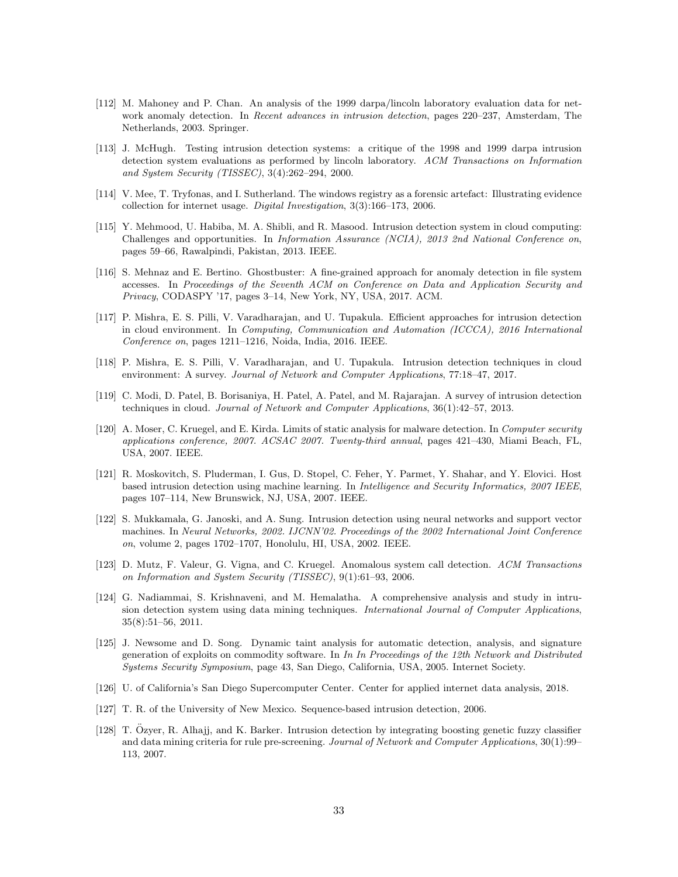- <span id="page-32-14"></span>[112] M. Mahoney and P. Chan. An analysis of the 1999 darpa/lincoln laboratory evaluation data for network anomaly detection. In *Recent advances in intrusion detection*, pages 220–237, Amsterdam, The Netherlands, 2003. Springer.
- <span id="page-32-13"></span>[113] J. McHugh. Testing intrusion detection systems: a critique of the 1998 and 1999 darpa intrusion detection system evaluations as performed by lincoln laboratory. *ACM Transactions on Information and System Security (TISSEC)*, 3(4):262–294, 2000.
- <span id="page-32-7"></span>[114] V. Mee, T. Tryfonas, and I. Sutherland. The windows registry as a forensic artefact: Illustrating evidence collection for internet usage. *Digital Investigation*, 3(3):166–173, 2006.
- <span id="page-32-1"></span>[115] Y. Mehmood, U. Habiba, M. A. Shibli, and R. Masood. Intrusion detection system in cloud computing: Challenges and opportunities. In *Information Assurance (NCIA), 2013 2nd National Conference on*, pages 59–66, Rawalpindi, Pakistan, 2013. IEEE.
- <span id="page-32-3"></span>[116] S. Mehnaz and E. Bertino. Ghostbuster: A fine-grained approach for anomaly detection in file system accesses. In *Proceedings of the Seventh ACM on Conference on Data and Application Security and Privacy*, CODASPY '17, pages 3–14, New York, NY, USA, 2017. ACM.
- <span id="page-32-12"></span>[117] P. Mishra, E. S. Pilli, V. Varadharajan, and U. Tupakula. Efficient approaches for intrusion detection in cloud environment. In *Computing, Communication and Automation (ICCCA), 2016 International Conference on*, pages 1211–1216, Noida, India, 2016. IEEE.
- <span id="page-32-2"></span>[118] P. Mishra, E. S. Pilli, V. Varadharajan, and U. Tupakula. Intrusion detection techniques in cloud environment: A survey. *Journal of Network and Computer Applications*, 77:18–47, 2017.
- <span id="page-32-0"></span>[119] C. Modi, D. Patel, B. Borisaniya, H. Patel, A. Patel, and M. Rajarajan. A survey of intrusion detection techniques in cloud. *Journal of Network and Computer Applications*, 36(1):42–57, 2013.
- <span id="page-32-5"></span>[120] A. Moser, C. Kruegel, and E. Kirda. Limits of static analysis for malware detection. In *Computer security applications conference, 2007. ACSAC 2007. Twenty-third annual*, pages 421–430, Miami Beach, FL, USA, 2007. IEEE.
- <span id="page-32-9"></span>[121] R. Moskovitch, S. Pluderman, I. Gus, D. Stopel, C. Feher, Y. Parmet, Y. Shahar, and Y. Elovici. Host based intrusion detection using machine learning. In *Intelligence and Security Informatics, 2007 IEEE*, pages 107–114, New Brunswick, NJ, USA, 2007. IEEE.
- <span id="page-32-4"></span>[122] S. Mukkamala, G. Janoski, and A. Sung. Intrusion detection using neural networks and support vector machines. In *Neural Networks, 2002. IJCNN'02. Proceedings of the 2002 International Joint Conference on*, volume 2, pages 1702–1707, Honolulu, HI, USA, 2002. IEEE.
- <span id="page-32-6"></span>[123] D. Mutz, F. Valeur, G. Vigna, and C. Kruegel. Anomalous system call detection. *ACM Transactions on Information and System Security (TISSEC)*, 9(1):61–93, 2006.
- <span id="page-32-11"></span>[124] G. Nadiammai, S. Krishnaveni, and M. Hemalatha. A comprehensive analysis and study in intrusion detection system using data mining techniques. *International Journal of Computer Applications*, 35(8):51–56, 2011.
- <span id="page-32-8"></span>[125] J. Newsome and D. Song. Dynamic taint analysis for automatic detection, analysis, and signature generation of exploits on commodity software. In *In In Proceedings of the 12th Network and Distributed Systems Security Symposium*, page 43, San Diego, California, USA, 2005. Internet Society.
- <span id="page-32-16"></span>[126] U. of California's San Diego Supercomputer Center. Center for applied internet data analysis, 2018.
- <span id="page-32-15"></span>[127] T. R. of the University of New Mexico. Sequence-based intrusion detection, 2006.
- <span id="page-32-10"></span>[128] T. Ozyer, R. Alhajj, and K. Barker. Intrusion detection by integrating boosting genetic fuzzy classifier and data mining criteria for rule pre-screening. *Journal of Network and Computer Applications*, 30(1):99– 113, 2007.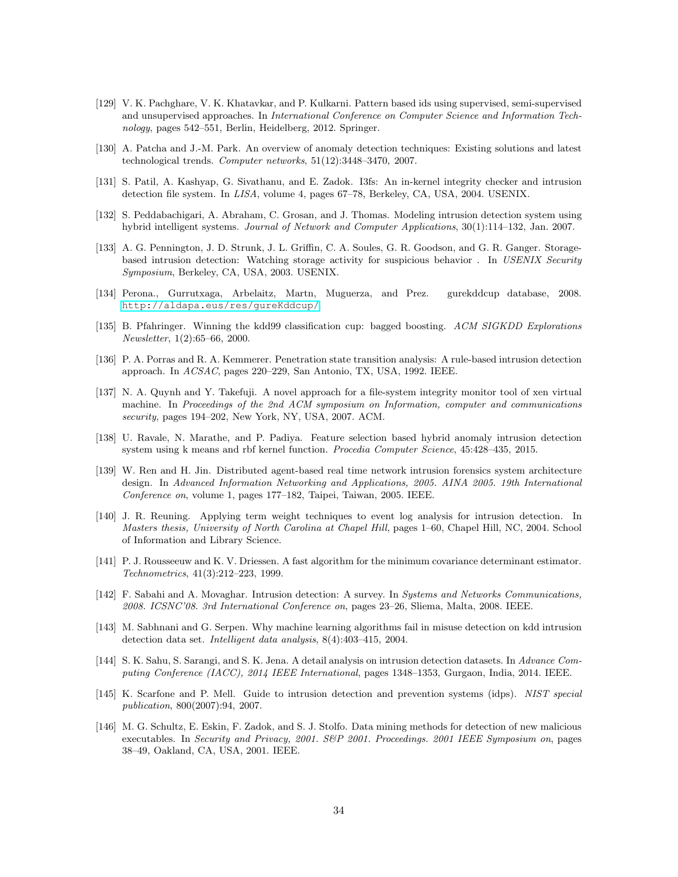- <span id="page-33-14"></span>[129] V. K. Pachghare, V. K. Khatavkar, and P. Kulkarni. Pattern based ids using supervised, semi-supervised and unsupervised approaches. In *International Conference on Computer Science and Information Technology*, pages 542–551, Berlin, Heidelberg, 2012. Springer.
- <span id="page-33-1"></span>[130] A. Patcha and J.-M. Park. An overview of anomaly detection techniques: Existing solutions and latest technological trends. *Computer networks*, 51(12):3448–3470, 2007.
- <span id="page-33-7"></span>[131] S. Patil, A. Kashyap, G. Sivathanu, and E. Zadok. I3fs: An in-kernel integrity checker and intrusion detection file system. In *LISA*, volume 4, pages 67–78, Berkeley, CA, USA, 2004. USENIX.
- <span id="page-33-10"></span>[132] S. Peddabachigari, A. Abraham, C. Grosan, and J. Thomas. Modeling intrusion detection system using hybrid intelligent systems. *Journal of Network and Computer Applications*, 30(1):114–132, Jan. 2007.
- <span id="page-33-6"></span>[133] A. G. Pennington, J. D. Strunk, J. L. Griffin, C. A. Soules, G. R. Goodson, and G. R. Ganger. Storagebased intrusion detection: Watching storage activity for suspicious behavior . In *USENIX Security Symposium*, Berkeley, CA, USA, 2003. USENIX.
- <span id="page-33-17"></span>[134] Perona., Gurrutxaga, Arbelaitz, Martn, Muguerza, and Prez. gurekddcup database, 2008. <http://aldapa.eus/res/gureKddcup/>.
- <span id="page-33-13"></span>[135] B. Pfahringer. Winning the kdd99 classification cup: bagged boosting. *ACM SIGKDD Explorations Newsletter*, 1(2):65–66, 2000.
- <span id="page-33-5"></span>[136] P. A. Porras and R. A. Kemmerer. Penetration state transition analysis: A rule-based intrusion detection approach. In *ACSAC*, pages 220–229, San Antonio, TX, USA, 1992. IEEE.
- <span id="page-33-8"></span>[137] N. A. Quynh and Y. Takefuji. A novel approach for a file-system integrity monitor tool of xen virtual machine. In *Proceedings of the 2nd ACM symposium on Information, computer and communications security*, pages 194–202, New York, NY, USA, 2007. ACM.
- <span id="page-33-11"></span>[138] U. Ravale, N. Marathe, and P. Padiya. Feature selection based hybrid anomaly intrusion detection system using k means and rbf kernel function. *Procedia Computer Science*, 45:428–435, 2015.
- <span id="page-33-4"></span>[139] W. Ren and H. Jin. Distributed agent-based real time network intrusion forensics system architecture design. In *Advanced Information Networking and Applications, 2005. AINA 2005. 19th International Conference on*, volume 1, pages 177–182, Taipei, Taiwan, 2005. IEEE.
- <span id="page-33-3"></span>[140] J. R. Reuning. Applying term weight techniques to event log analysis for intrusion detection. In *Masters thesis, University of North Carolina at Chapel Hill*, pages 1–60, Chapel Hill, NC, 2004. School of Information and Library Science.
- <span id="page-33-12"></span>[141] P. J. Rousseeuw and K. V. Driessen. A fast algorithm for the minimum covariance determinant estimator. *Technometrics*, 41(3):212–223, 1999.
- <span id="page-33-2"></span>[142] F. Sabahi and A. Movaghar. Intrusion detection: A survey. In *Systems and Networks Communications, 2008. ICSNC'08. 3rd International Conference on*, pages 23–26, Sliema, Malta, 2008. IEEE.
- <span id="page-33-15"></span>[143] M. Sabhnani and G. Serpen. Why machine learning algorithms fail in misuse detection on kdd intrusion detection data set. *Intelligent data analysis*, 8(4):403–415, 2004.
- <span id="page-33-16"></span>[144] S. K. Sahu, S. Sarangi, and S. K. Jena. A detail analysis on intrusion detection datasets. In *Advance Computing Conference (IACC), 2014 IEEE International*, pages 1348–1353, Gurgaon, India, 2014. IEEE.
- <span id="page-33-0"></span>[145] K. Scarfone and P. Mell. Guide to intrusion detection and prevention systems (idps). *NIST special publication*, 800(2007):94, 2007.
- <span id="page-33-9"></span>[146] M. G. Schultz, E. Eskin, F. Zadok, and S. J. Stolfo. Data mining methods for detection of new malicious executables. In *Security and Privacy, 2001. S&P 2001. Proceedings. 2001 IEEE Symposium on*, pages 38–49, Oakland, CA, USA, 2001. IEEE.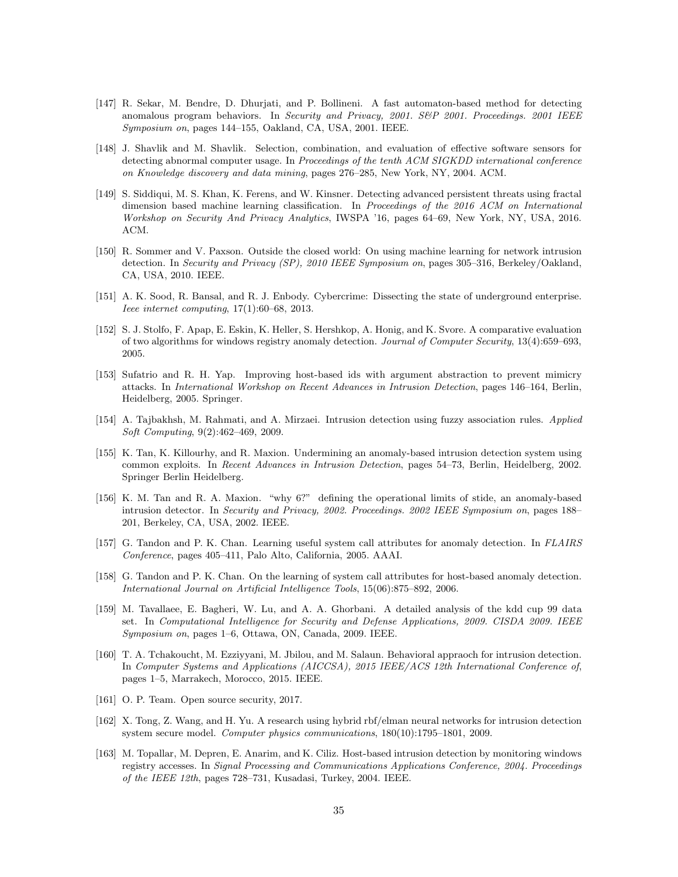- <span id="page-34-5"></span>[147] R. Sekar, M. Bendre, D. Dhurjati, and P. Bollineni. A fast automaton-based method for detecting anomalous program behaviors. In *Security and Privacy, 2001. S&P 2001. Proceedings. 2001 IEEE Symposium on*, pages 144–155, Oakland, CA, USA, 2001. IEEE.
- <span id="page-34-3"></span>[148] J. Shavlik and M. Shavlik. Selection, combination, and evaluation of effective software sensors for detecting abnormal computer usage. In *Proceedings of the tenth ACM SIGKDD international conference on Knowledge discovery and data mining*, pages 276–285, New York, NY, 2004. ACM.
- <span id="page-34-14"></span>[149] S. Siddiqui, M. S. Khan, K. Ferens, and W. Kinsner. Detecting advanced persistent threats using fractal dimension based machine learning classification. In *Proceedings of the 2016 ACM on International Workshop on Security And Privacy Analytics*, IWSPA '16, pages 64–69, New York, NY, USA, 2016. ACM.
- <span id="page-34-1"></span>[150] R. Sommer and V. Paxson. Outside the closed world: On using machine learning for network intrusion detection. In *Security and Privacy (SP), 2010 IEEE Symposium on*, pages 305–316, Berkeley/Oakland, CA, USA, 2010. IEEE.
- <span id="page-34-0"></span>[151] A. K. Sood, R. Bansal, and R. J. Enbody. Cybercrime: Dissecting the state of underground enterprise. *Ieee internet computing*, 17(1):60–68, 2013.
- <span id="page-34-12"></span>[152] S. J. Stolfo, F. Apap, E. Eskin, K. Heller, S. Hershkop, A. Honig, and K. Svore. A comparative evaluation of two algorithms for windows registry anomaly detection. *Journal of Computer Security*, 13(4):659–693, 2005.
- <span id="page-34-9"></span>[153] Sufatrio and R. H. Yap. Improving host-based ids with argument abstraction to prevent mimicry attacks. In *International Workshop on Recent Advances in Intrusion Detection*, pages 146–164, Berlin, Heidelberg, 2005. Springer.
- <span id="page-34-15"></span>[154] A. Tajbakhsh, M. Rahmati, and A. Mirzaei. Intrusion detection using fuzzy association rules. *Applied Soft Computing*, 9(2):462–469, 2009.
- <span id="page-34-11"></span>[155] K. Tan, K. Killourhy, and R. Maxion. Undermining an anomaly-based intrusion detection system using common exploits. In *Recent Advances in Intrusion Detection*, pages 54–73, Berlin, Heidelberg, 2002. Springer Berlin Heidelberg.
- <span id="page-34-10"></span>[156] K. M. Tan and R. A. Maxion. "why 6?" defining the operational limits of stide, an anomaly-based intrusion detector. In *Security and Privacy, 2002. Proceedings. 2002 IEEE Symposium on*, pages 188– 201, Berkeley, CA, USA, 2002. IEEE.
- <span id="page-34-6"></span>[157] G. Tandon and P. K. Chan. Learning useful system call attributes for anomaly detection. In *FLAIRS Conference*, pages 405–411, Palo Alto, California, 2005. AAAI.
- <span id="page-34-7"></span>[158] G. Tandon and P. K. Chan. On the learning of system call attributes for host-based anomaly detection. *International Journal on Artificial Intelligence Tools*, 15(06):875–892, 2006.
- <span id="page-34-16"></span>[159] M. Tavallaee, E. Bagheri, W. Lu, and A. A. Ghorbani. A detailed analysis of the kdd cup 99 data set. In *Computational Intelligence for Security and Defense Applications, 2009. CISDA 2009. IEEE Symposium on*, pages 1–6, Ottawa, ON, Canada, 2009. IEEE.
- <span id="page-34-2"></span>[160] T. A. Tchakoucht, M. Ezziyyani, M. Jbilou, and M. Salaun. Behavioral appraoch for intrusion detection. In *Computer Systems and Applications (AICCSA), 2015 IEEE/ACS 12th International Conference of*, pages 1–5, Marrakech, Morocco, 2015. IEEE.
- <span id="page-34-4"></span>[161] O. P. Team. Open source security, 2017.
- <span id="page-34-8"></span>[162] X. Tong, Z. Wang, and H. Yu. A research using hybrid rbf/elman neural networks for intrusion detection system secure model. *Computer physics communications*, 180(10):1795–1801, 2009.
- <span id="page-34-13"></span>[163] M. Topallar, M. Depren, E. Anarim, and K. Ciliz. Host-based intrusion detection by monitoring windows registry accesses. In *Signal Processing and Communications Applications Conference, 2004. Proceedings of the IEEE 12th*, pages 728–731, Kusadasi, Turkey, 2004. IEEE.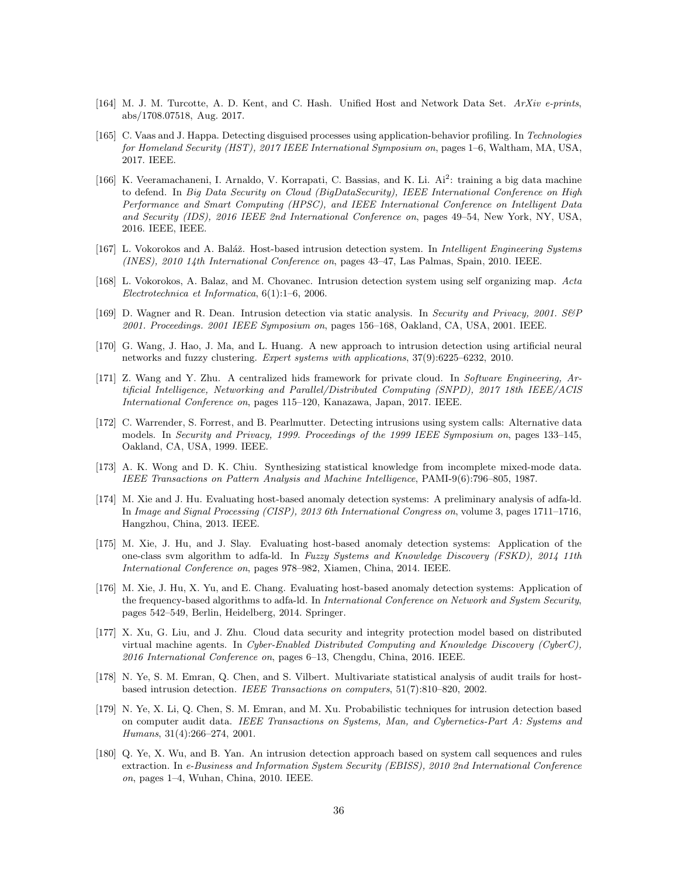- <span id="page-35-16"></span>[164] M. J. M. Turcotte, A. D. Kent, and C. Hash. Unified Host and Network Data Set. *ArXiv e-prints*, abs/1708.07518, Aug. 2017.
- <span id="page-35-13"></span>[165] C. Vaas and J. Happa. Detecting disguised processes using application-behavior profiling. In *Technologies for Homeland Security (HST), 2017 IEEE International Symposium on*, pages 1–6, Waltham, MA, USA, 2017. IEEE.
- <span id="page-35-0"></span>[166] K. Veeramachaneni, I. Arnaldo, V. Korrapati, C. Bassias, and K. Li. Ai<sup>2</sup>: training a big data machine to defend. In *Big Data Security on Cloud (BigDataSecurity), IEEE International Conference on High Performance and Smart Computing (HPSC), and IEEE International Conference on Intelligent Data and Security (IDS), 2016 IEEE 2nd International Conference on*, pages 49–54, New York, NY, USA, 2016. IEEE, IEEE.
- <span id="page-35-3"></span>[167] L. Vokorokos and A. Baláž. Host-based intrusion detection system. In *Intelligent Engineering Systems (INES), 2010 14th International Conference on*, pages 43–47, Las Palmas, Spain, 2010. IEEE.
- <span id="page-35-2"></span>[168] L. Vokorokos, A. Balaz, and M. Chovanec. Intrusion detection system using self organizing map. *Acta Electrotechnica et Informatica*, 6(1):1–6, 2006.
- <span id="page-35-8"></span>[169] D. Wagner and R. Dean. Intrusion detection via static analysis. In *Security and Privacy, 2001. S&P 2001. Proceedings. 2001 IEEE Symposium on*, pages 156–168, Oakland, CA, USA, 2001. IEEE.
- <span id="page-35-14"></span>[170] G. Wang, J. Hao, J. Ma, and L. Huang. A new approach to intrusion detection using artificial neural networks and fuzzy clustering. *Expert systems with applications*, 37(9):6225–6232, 2010.
- <span id="page-35-1"></span>[171] Z. Wang and Y. Zhu. A centralized hids framework for private cloud. In *Software Engineering, Artificial Intelligence, Networking and Parallel/Distributed Computing (SNPD), 2017 18th IEEE/ACIS International Conference on*, pages 115–120, Kanazawa, Japan, 2017. IEEE.
- <span id="page-35-7"></span>[172] C. Warrender, S. Forrest, and B. Pearlmutter. Detecting intrusions using system calls: Alternative data models. In *Security and Privacy, 1999. Proceedings of the 1999 IEEE Symposium on*, pages 133–145, Oakland, CA, USA, 1999. IEEE.
- <span id="page-35-15"></span>[173] A. K. Wong and D. K. Chiu. Synthesizing statistical knowledge from incomplete mixed-mode data. *IEEE Transactions on Pattern Analysis and Machine Intelligence*, PAMI-9(6):796–805, 1987.
- <span id="page-35-10"></span>[174] M. Xie and J. Hu. Evaluating host-based anomaly detection systems: A preliminary analysis of adfa-ld. In *Image and Signal Processing (CISP), 2013 6th International Congress on*, volume 3, pages 1711–1716, Hangzhou, China, 2013. IEEE.
- <span id="page-35-12"></span>[175] M. Xie, J. Hu, and J. Slay. Evaluating host-based anomaly detection systems: Application of the one-class svm algorithm to adfa-ld. In *Fuzzy Systems and Knowledge Discovery (FSKD), 2014 11th International Conference on*, pages 978–982, Xiamen, China, 2014. IEEE.
- <span id="page-35-11"></span>[176] M. Xie, J. Hu, X. Yu, and E. Chang. Evaluating host-based anomaly detection systems: Application of the frequency-based algorithms to adfa-ld. In *International Conference on Network and System Security*, pages 542–549, Berlin, Heidelberg, 2014. Springer.
- <span id="page-35-6"></span>[177] X. Xu, G. Liu, and J. Zhu. Cloud data security and integrity protection model based on distributed virtual machine agents. In *Cyber-Enabled Distributed Computing and Knowledge Discovery (CyberC), 2016 International Conference on*, pages 6–13, Chengdu, China, 2016. IEEE.
- <span id="page-35-5"></span>[178] N. Ye, S. M. Emran, Q. Chen, and S. Vilbert. Multivariate statistical analysis of audit trails for hostbased intrusion detection. *IEEE Transactions on computers*, 51(7):810–820, 2002.
- <span id="page-35-4"></span>[179] N. Ye, X. Li, Q. Chen, S. M. Emran, and M. Xu. Probabilistic techniques for intrusion detection based on computer audit data. *IEEE Transactions on Systems, Man, and Cybernetics-Part A: Systems and Humans*, 31(4):266–274, 2001.
- <span id="page-35-9"></span>[180] Q. Ye, X. Wu, and B. Yan. An intrusion detection approach based on system call sequences and rules extraction. In *e-Business and Information System Security (EBISS), 2010 2nd International Conference on*, pages 1–4, Wuhan, China, 2010. IEEE.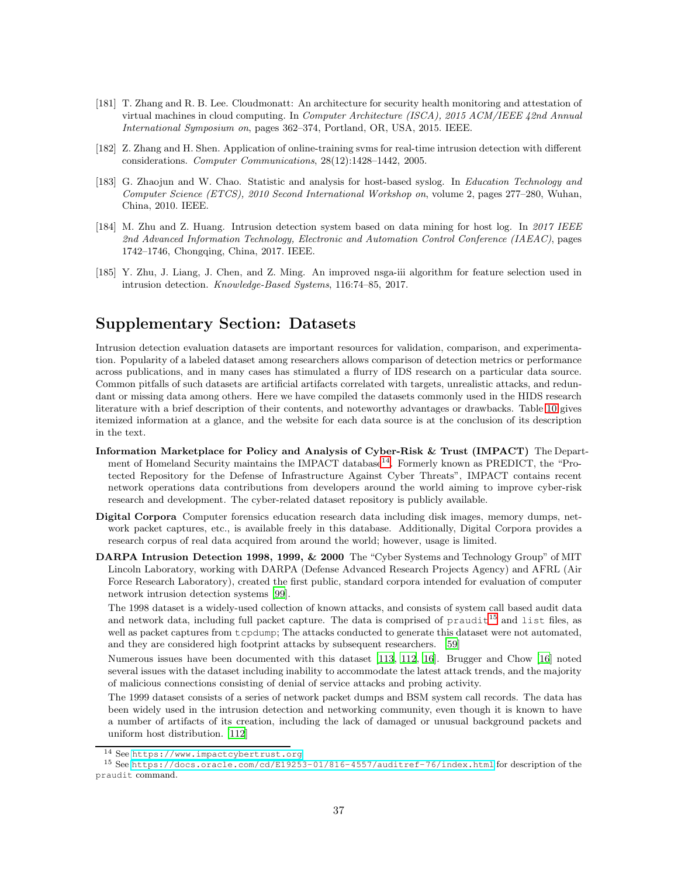- <span id="page-36-2"></span>[181] T. Zhang and R. B. Lee. Cloudmonatt: An architecture for security health monitoring and attestation of virtual machines in cloud computing. In *Computer Architecture (ISCA), 2015 ACM/IEEE 42nd Annual International Symposium on*, pages 362–374, Portland, OR, USA, 2015. IEEE.
- <span id="page-36-3"></span>[182] Z. Zhang and H. Shen. Application of online-training svms for real-time intrusion detection with different considerations. *Computer Communications*, 28(12):1428–1442, 2005.
- <span id="page-36-1"></span>[183] G. Zhaojun and W. Chao. Statistic and analysis for host-based syslog. In *Education Technology and Computer Science (ETCS), 2010 Second International Workshop on*, volume 2, pages 277–280, Wuhan, China, 2010. IEEE.
- <span id="page-36-4"></span>[184] M. Zhu and Z. Huang. Intrusion detection system based on data mining for host log. In *2017 IEEE 2nd Advanced Information Technology, Electronic and Automation Control Conference (IAEAC)*, pages 1742–1746, Chongqing, China, 2017. IEEE.
- <span id="page-36-5"></span>[185] Y. Zhu, J. Liang, J. Chen, and Z. Ming. An improved nsga-iii algorithm for feature selection used in intrusion detection. *Knowledge-Based Systems*, 116:74–85, 2017.

# <span id="page-36-0"></span>Supplementary Section: Datasets

Intrusion detection evaluation datasets are important resources for validation, comparison, and experimentation. Popularity of a labeled dataset among researchers allows comparison of detection metrics or performance across publications, and in many cases has stimulated a flurry of IDS research on a particular data source. Common pitfalls of such datasets are artificial artifacts correlated with targets, unrealistic attacks, and redundant or missing data among others. Here we have compiled the datasets commonly used in the HIDS research literature with a brief description of their contents, and noteworthy advantages or drawbacks. Table [10](#page-37-0) gives itemized information at a glance, and the website for each data source is at the conclusion of its description in the text.

- Information Marketplace for Policy and Analysis of Cyber-Risk & Trust (IMPACT) The Depart-ment of Homeland Security maintains the IMPACT database<sup>[14](#page-36-6)</sup>. Formerly known as PREDICT, the "Protected Repository for the Defense of Infrastructure Against Cyber Threats", IMPACT contains recent network operations data contributions from developers around the world aiming to improve cyber-risk research and development. The cyber-related dataset repository is publicly available.
- Digital Corpora Computer forensics education research data including disk images, memory dumps, network packet captures, etc., is available freely in this database. Additionally, Digital Corpora provides a research corpus of real data acquired from around the world; however, usage is limited.
- DARPA Intrusion Detection 1998, 1999, & 2000 The "Cyber Systems and Technology Group" of MIT Lincoln Laboratory, working with DARPA (Defense Advanced Research Projects Agency) and AFRL (Air Force Research Laboratory), created the first public, standard corpora intended for evaluation of computer network intrusion detection systems [\[99](#page-31-16)].

The 1998 dataset is a widely-used collection of known attacks, and consists of system call based audit data and network data, including full packet capture. The data is comprised of praudit<sup>[15](#page-36-7)</sup> and list files, as well as packet captures from tcpdump; The attacks conducted to generate this dataset were not automated, and they are considered high footprint attacks by subsequent researchers. [\[59](#page-28-14)]

Numerous issues have been documented with this dataset [\[113](#page-32-13), [112](#page-32-14), [16\]](#page-26-17). Brugger and Chow [\[16\]](#page-26-17) noted several issues with the dataset including inability to accommodate the latest attack trends, and the majority of malicious connections consisting of denial of service attacks and probing activity.

The 1999 dataset consists of a series of network packet dumps and BSM system call records. The data has been widely used in the intrusion detection and networking community, even though it is known to have a number of artifacts of its creation, including the lack of damaged or unusual background packets and uniform host distribution. [\[112](#page-32-14)]

<span id="page-36-6"></span><sup>14</sup> See <https://www.impactcybertrust.org>.

<span id="page-36-7"></span><sup>15</sup> See <https://docs.oracle.com/cd/E19253-01/816-4557/auditref-76/index.html> for description of the praudit command.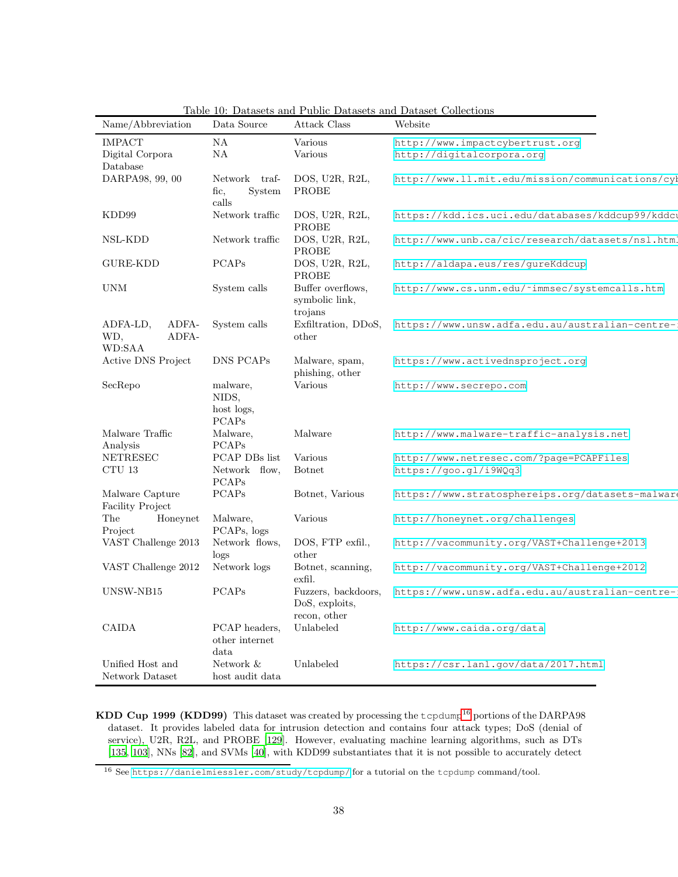| Name/Abbreviation                            | Data Source                                     | Attack Class                                          | Table TV. Datasets and I ubile Datasets and Dataset Conections<br>Website |
|----------------------------------------------|-------------------------------------------------|-------------------------------------------------------|---------------------------------------------------------------------------|
| <b>IMPACT</b><br>Digital Corpora<br>Database | NA<br>NA                                        | Various<br>Various                                    | http://www.impactcybertrust.org<br>http://digitalcorpora.org              |
| DARPA98, 99, 00                              | Network traf-<br>System<br>fic,<br>calls        | DOS, U2R, R2L,<br>PROBE                               | http://www.ll.mit.edu/mission/communications/cyl                          |
| KDD99                                        | Network traffic                                 | DOS, U2R, R2L,<br>PROBE                               | https://kdd.ics.uci.edu/databases/kddcup99/kddcu                          |
| NSL-KDD                                      | Network traffic                                 | DOS, U2R, R2L,<br>PROBE                               | http://www.unb.ca/cic/research/datasets/nsl.html                          |
| <b>GURE-KDD</b>                              | PCAPs                                           | DOS, U2R, R2L,<br>PROBE                               | http://aldapa.eus/res/gureKddcup                                          |
| <b>UNM</b>                                   | System calls                                    | Buffer overflows,<br>symbolic link,<br>trojans        | http://www.cs.unm.edu/~immsec/systemcalls.htm                             |
| ADFA-LD,<br>ADFA-<br>WD,<br>ADFA-<br>WD:SAA  | System calls                                    | Exfiltration, DDoS,<br>other                          | https://www.unsw.adfa.edu.au/australian-centre-                           |
| Active DNS Project                           | DNS PCAPs                                       | Malware, spam,<br>phishing, other                     | https://www.activednsproject.org                                          |
| SecRepo                                      | malware,<br>NIDS,<br>host logs,<br><b>PCAPs</b> | Various                                               | http://www.secrepo.com                                                    |
| Malware Traffic<br>Analysis                  | Malware,<br><b>PCAPs</b>                        | Malware                                               | http://www.malware-traffic-analysis.net                                   |
| <b>NETRESEC</b>                              | PCAP DBs list                                   | Various                                               | http://www.netresec.com/?page=PCAPFiles                                   |
| CTU 13                                       | Network flow,<br>PCAPs                          | <b>Botnet</b>                                         | https://goo.gl/i9WQq3                                                     |
| Malware Capture<br><b>Facility Project</b>   | PCAPs                                           | Botnet, Various                                       | https://www.stratosphereips.org/datasets-malware                          |
| The<br>Honeynet<br>Project                   | Malware,<br>PCAPs, logs                         | Various                                               | http://honeynet.org/challenges                                            |
| VAST Challenge 2013                          | Network flows,<br>logs                          | DOS, FTP exfil.,<br>other                             | http://vacommunity.org/VAST+Challenge+2013                                |
| VAST Challenge 2012                          | Network logs                                    | Botnet, scanning,<br>exfil.                           | http://vacommunity.org/VAST+Challenge+2012                                |
| UNSW-NB15                                    | PCAPs                                           | Fuzzers, backdoors,<br>DoS, exploits,<br>recon, other | https://www.unsw.adfa.edu.au/australian-centre-                           |
| CAIDA                                        | PCAP headers.<br>other internet<br>data         | Unlabeled                                             | http://www.caida.org/data                                                 |
| Unified Host and<br>Network Dataset          | Network &<br>host audit data                    | Unlabeled                                             | https://csr.lanl.gov/data/2017.html                                       |

<span id="page-37-0"></span>Table 10: Datasets and Public Datasets and Dataset Collections

KDD Cup 1999 (KDD99) This dataset was created by processing the tcpdump<sup>[16](#page-37-1)</sup> portions of the DARPA98 dataset. It provides labeled data for intrusion detection and contains four attack types; DoS (denial of service), U2R, R2L, and PROBE [\[129\]](#page-33-14). However, evaluating machine learning algorithms, such as DTs [\[135](#page-33-13), [103](#page-31-15)], NNs [\[82\]](#page-30-14), and SVMs [\[40](#page-27-15)], with KDD99 substantiates that it is not possible to accurately detect

<span id="page-37-1"></span><sup>16</sup> See <https://danielmiessler.com/study/tcpdump/> for a tutorial on the tcpdump command/tool.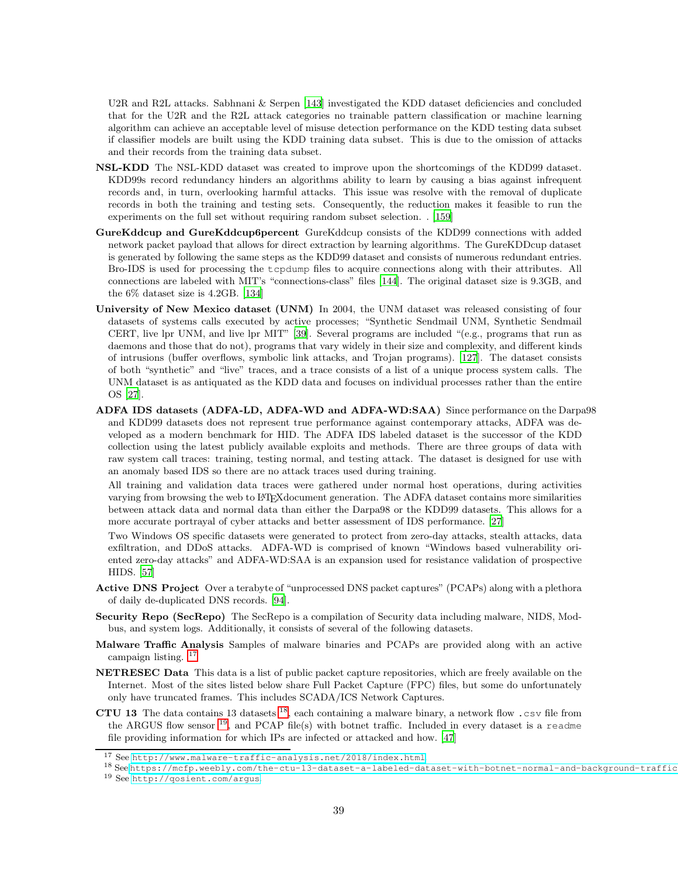U2R and R2L attacks. Sabhnani & Serpen [\[143](#page-33-15)] investigated the KDD dataset deficiencies and concluded that for the U2R and the R2L attack categories no trainable pattern classification or machine learning algorithm can achieve an acceptable level of misuse detection performance on the KDD testing data subset if classifier models are built using the KDD training data subset. This is due to the omission of attacks and their records from the training data subset.

- NSL-KDD The NSL-KDD dataset was created to improve upon the shortcomings of the KDD99 dataset. KDD99s record redundancy hinders an algorithms ability to learn by causing a bias against infrequent records and, in turn, overlooking harmful attacks. This issue was resolve with the removal of duplicate records in both the training and testing sets. Consequently, the reduction makes it feasible to run the experiments on the full set without requiring random subset selection. . [\[159](#page-34-16)]
- GureKddcup and GureKddcup6percent GureKddcup consists of the KDD99 connections with added network packet payload that allows for direct extraction by learning algorithms. The GureKDDcup dataset is generated by following the same steps as the KDD99 dataset and consists of numerous redundant entries. Bro-IDS is used for processing the tcpdump files to acquire connections along with their attributes. All connections are labeled with MIT's "connections-class" files [\[144\]](#page-33-16). The original dataset size is 9.3GB, and the 6% dataset size is 4.2GB. [\[134](#page-33-17)]
- University of New Mexico dataset (UNM) In 2004, the UNM dataset was released consisting of four datasets of systems calls executed by active processes; "Synthetic Sendmail UNM, Synthetic Sendmail CERT, live lpr UNM, and live lpr MIT" [\[39](#page-27-6)]. Several programs are included "(e.g., programs that run as daemons and those that do not), programs that vary widely in their size and complexity, and different kinds of intrusions (buffer overflows, symbolic link attacks, and Trojan programs). [\[127](#page-32-15)]. The dataset consists of both "synthetic" and "live" traces, and a trace consists of a list of a unique process system calls. The UNM dataset is as antiquated as the KDD data and focuses on individual processes rather than the entire OS [\[27\]](#page-27-16).
- ADFA IDS datasets (ADFA-LD, ADFA-WD and ADFA-WD:SAA) Since performance on the Darpa98 and KDD99 datasets does not represent true performance against contemporary attacks, ADFA was developed as a modern benchmark for HID. The ADFA IDS labeled dataset is the successor of the KDD collection using the latest publicly available exploits and methods. There are three groups of data with raw system call traces: training, testing normal, and testing attack. The dataset is designed for use with an anomaly based IDS so there are no attack traces used during training.

All training and validation data traces were gathered under normal host operations, during activities varying from browsing the web to L<sup>A</sup>TEXdocument generation. The ADFA dataset contains more similarities between attack data and normal data than either the Darpa98 or the KDD99 datasets. This allows for a more accurate portrayal of cyber attacks and better assessment of IDS performance. [\[27](#page-27-16)]

Two Windows OS specific datasets were generated to protect from zero-day attacks, stealth attacks, data exfiltration, and DDoS attacks. ADFA-WD is comprised of known "Windows based vulnerability oriented zero-day attacks" and ADFA-WD:SAA is an expansion used for resistance validation of prospective HIDS. [\[57](#page-28-15)]

- Active DNS Project Over a terabyte of "unprocessed DNS packet captures" (PCAPs) along with a plethora of daily de-duplicated DNS records. [\[94\]](#page-31-17).
- Security Repo (SecRepo) The SecRepo is a compilation of Security data including malware, NIDS, Modbus, and system logs. Additionally, it consists of several of the following datasets.
- Malware Traffic Analysis Samples of malware binaries and PCAPs are provided along with an active campaign listing. [17](#page-38-0)
- NETRESEC Data This data is a list of public packet capture repositories, which are freely available on the Internet. Most of the sites listed below share Full Packet Capture (FPC) files, but some do unfortunately only have truncated frames. This includes SCADA/ICS Network Captures.
- CTU 13 The data contains 13 datasets <sup>[18](#page-38-1)</sup>, each containing a malware binary, a network flow .csv file from the ARGUS flow sensor [19](#page-38-2), and PCAP file(s) with botnet traffic. Included in every dataset is a readme file providing information for which IPs are infected or attacked and how. [\[47](#page-28-16)]

<sup>17</sup> See <http://www.malware-traffic-analysis.net/2018/index.html>.

<span id="page-38-0"></span><sup>18</sup> See https://mcfp.weebly.com/the-ctu-13-dataset-a-labeled-dataset-with-botnet-normal-and-background-traffic

<span id="page-38-2"></span><span id="page-38-1"></span><sup>19</sup> See <http://qosient.com/argus>.